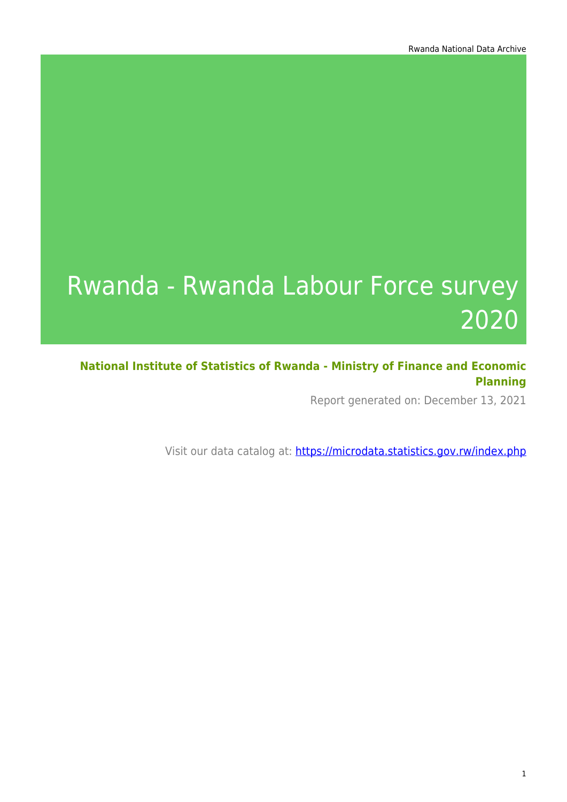# Rwanda - Rwanda Labour Force survey 2020

**National Institute of Statistics of Rwanda - Ministry of Finance and Economic Planning**

Report generated on: December 13, 2021

Visit our data catalog at: https://microdata.statistics.gov.rw/index.php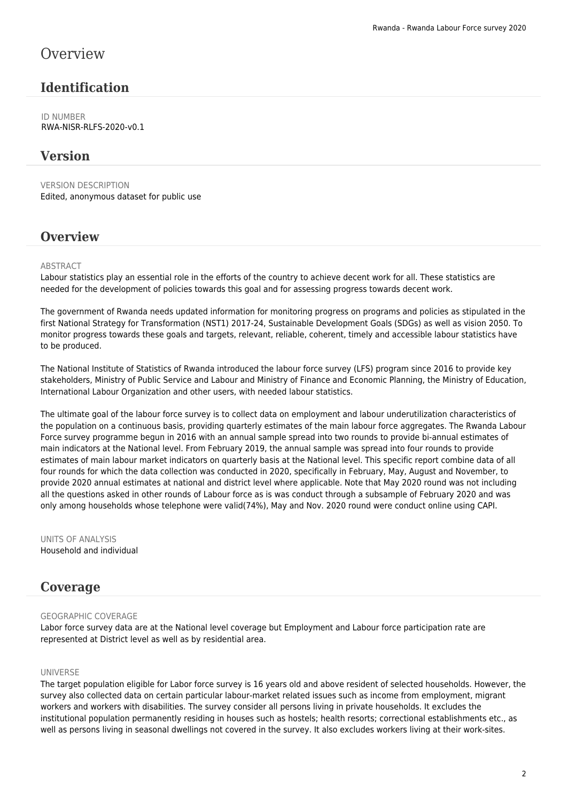### **Overview**

### **Identification**

ID NUMBER RWA-NISR-RLFS-2020-v0.1

#### **Version**

VERSION DESCRIPTION Edited, anonymous dataset for public use

#### **Overview**

#### **ABSTRACT**

Labour statistics play an essential role in the efforts of the country to achieve decent work for all. These statistics are needed for the development of policies towards this goal and for assessing progress towards decent work.

The government of Rwanda needs updated information for monitoring progress on programs and policies as stipulated in the first National Strategy for Transformation (NST1) 2017-24, Sustainable Development Goals (SDGs) as well as vision 2050. To monitor progress towards these goals and targets, relevant, reliable, coherent, timely and accessible labour statistics have to be produced.

The National Institute of Statistics of Rwanda introduced the labour force survey (LFS) program since 2016 to provide key stakeholders, Ministry of Public Service and Labour and Ministry of Finance and Economic Planning, the Ministry of Education, International Labour Organization and other users, with needed labour statistics.

The ultimate goal of the labour force survey is to collect data on employment and labour underutilization characteristics of the population on a continuous basis, providing quarterly estimates of the main labour force aggregates. The Rwanda Labour Force survey programme begun in 2016 with an annual sample spread into two rounds to provide bi-annual estimates of main indicators at the National level. From February 2019, the annual sample was spread into four rounds to provide estimates of main labour market indicators on quarterly basis at the National level. This specific report combine data of all four rounds for which the data collection was conducted in 2020, specifically in February, May, August and November, to provide 2020 annual estimates at national and district level where applicable. Note that May 2020 round was not including all the questions asked in other rounds of Labour force as is was conduct through a subsample of February 2020 and was only among households whose telephone were valid(74%), May and Nov. 2020 round were conduct online using CAPI.

UNITS OF ANALYSIS Household and individual

#### **Coverage**

#### GEOGRAPHIC COVERAGE

Labor force survey data are at the National level coverage but Employment and Labour force participation rate are represented at District level as well as by residential area.

#### UNIVERSE

The target population eligible for Labor force survey is 16 years old and above resident of selected households. However, the survey also collected data on certain particular labour-market related issues such as income from employment, migrant workers and workers with disabilities. The survey consider all persons living in private households. It excludes the institutional population permanently residing in houses such as hostels; health resorts; correctional establishments etc., as well as persons living in seasonal dwellings not covered in the survey. It also excludes workers living at their work-sites.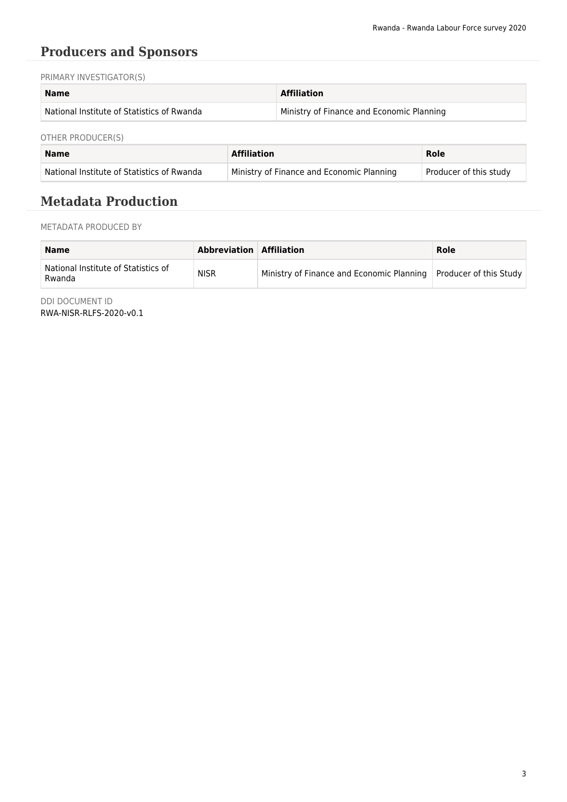### **Producers and Sponsors**

PRIMARY INVESTIGATOR(S)

| <b>Name</b>                                | <b>Affiliation</b>                        |
|--------------------------------------------|-------------------------------------------|
| National Institute of Statistics of Rwanda | Ministry of Finance and Economic Planning |

OTHER PRODUCER(S)

| Name                                       | <b>Affiliation</b>                        | Role                   |
|--------------------------------------------|-------------------------------------------|------------------------|
| National Institute of Statistics of Rwanda | Ministry of Finance and Economic Planning | Producer of this study |

### **Metadata Production**

METADATA PRODUCED BY

| <b>Name</b>                                   | Abbreviation Affiliation |                                                                    | Role |
|-----------------------------------------------|--------------------------|--------------------------------------------------------------------|------|
| National Institute of Statistics of<br>Rwanda | <b>NISR</b>              | Ministry of Finance and Economic Planning   Producer of this Study |      |

DDI DOCUMENT ID RWA-NISR-RLFS-2020-v0.1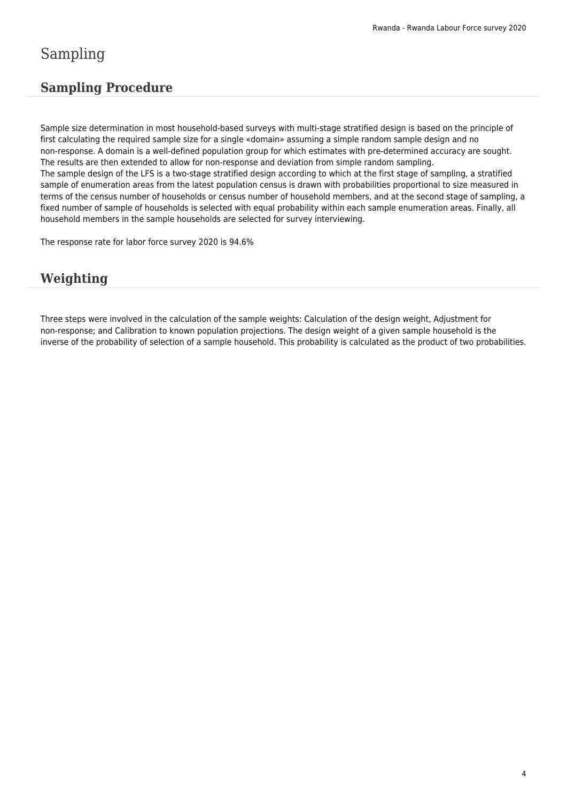### Sampling

### **Sampling Procedure**

Sample size determination in most household-based surveys with multi-stage stratified design is based on the principle of first calculating the required sample size for a single «domain» assuming a simple random sample design and no non-response. A domain is a well-defined population group for which estimates with pre-determined accuracy are sought. The results are then extended to allow for non-response and deviation from simple random sampling. The sample design of the LFS is a two-stage stratified design according to which at the first stage of sampling, a stratified sample of enumeration areas from the latest population census is drawn with probabilities proportional to size measured in terms of the census number of households or census number of household members, and at the second stage of sampling, a fixed number of sample of households is selected with equal probability within each sample enumeration areas. Finally, all household members in the sample households are selected for survey interviewing.

The response rate for labor force survey 2020 is 94.6%

### **Weighting**

Three steps were involved in the calculation of the sample weights: Calculation of the design weight, Adjustment for non-response; and Calibration to known population projections. The design weight of a given sample household is the inverse of the probability of selection of a sample household. This probability is calculated as the product of two probabilities.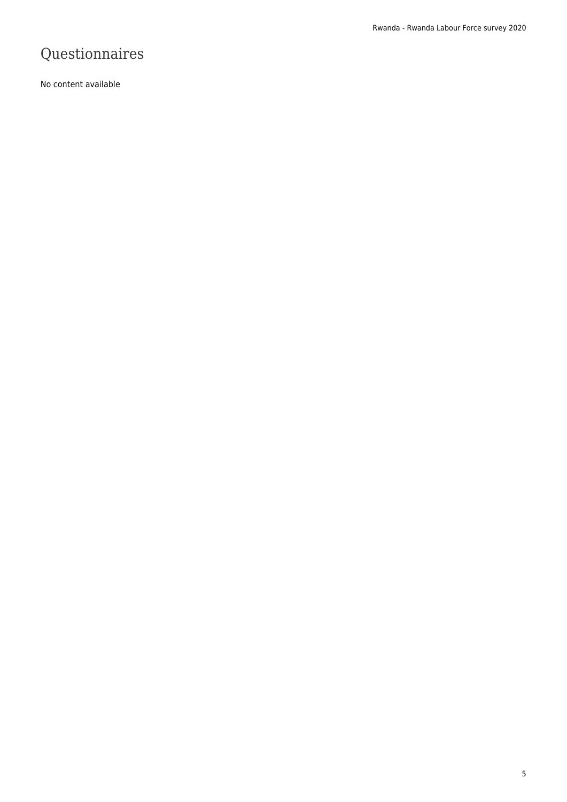### Questionnaires

No content available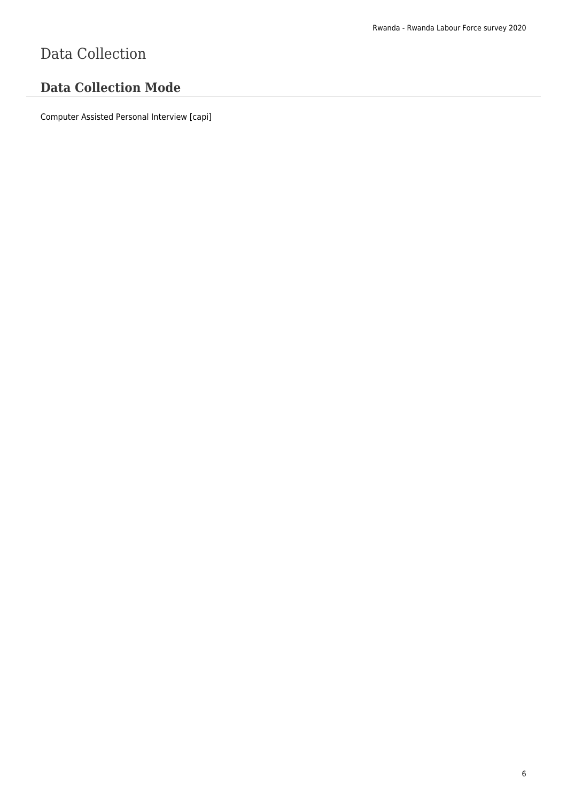# Data Collection

### **Data Collection Mode**

Computer Assisted Personal Interview [capi]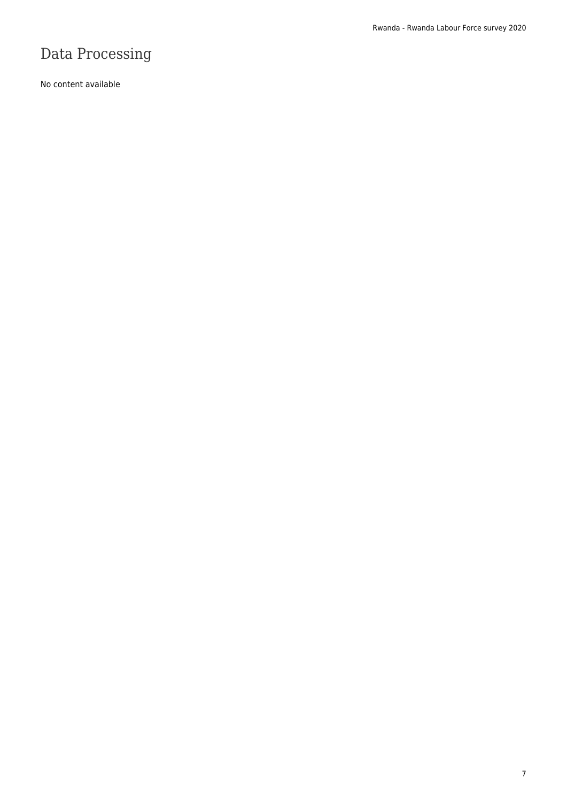# Data Processing

No content available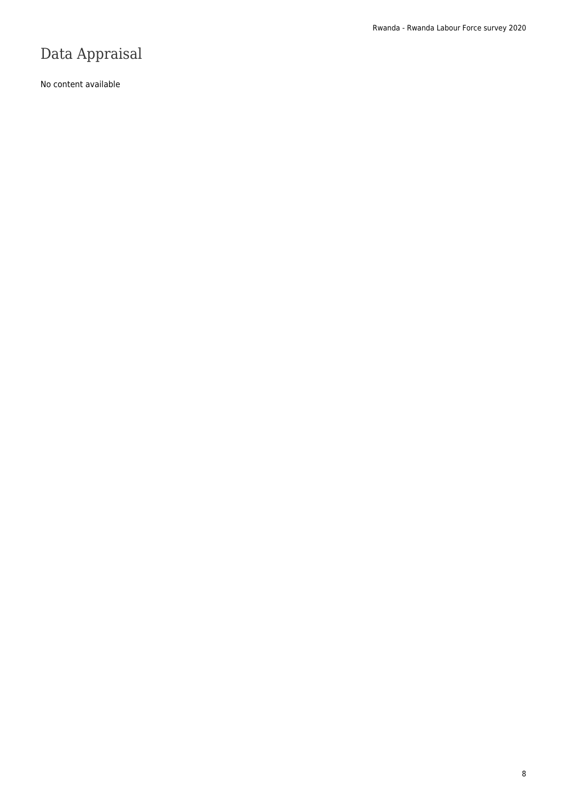### Data Appraisal

No content available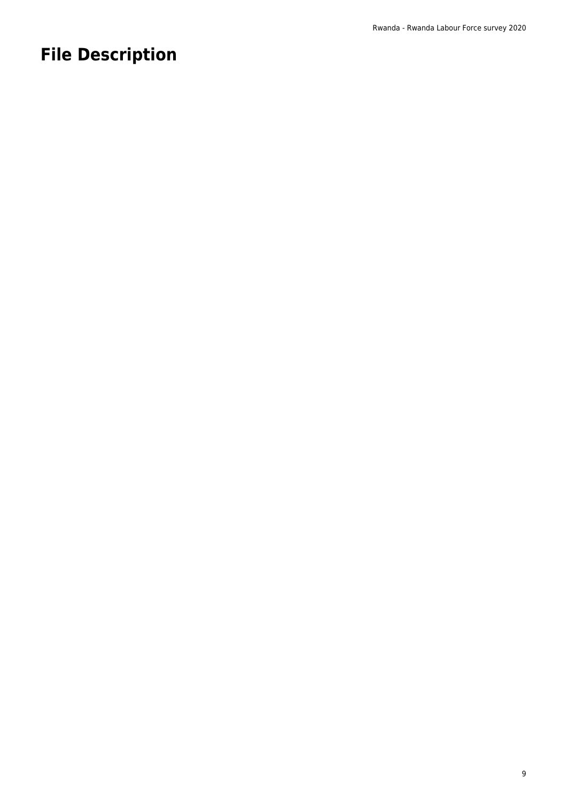# **File Description**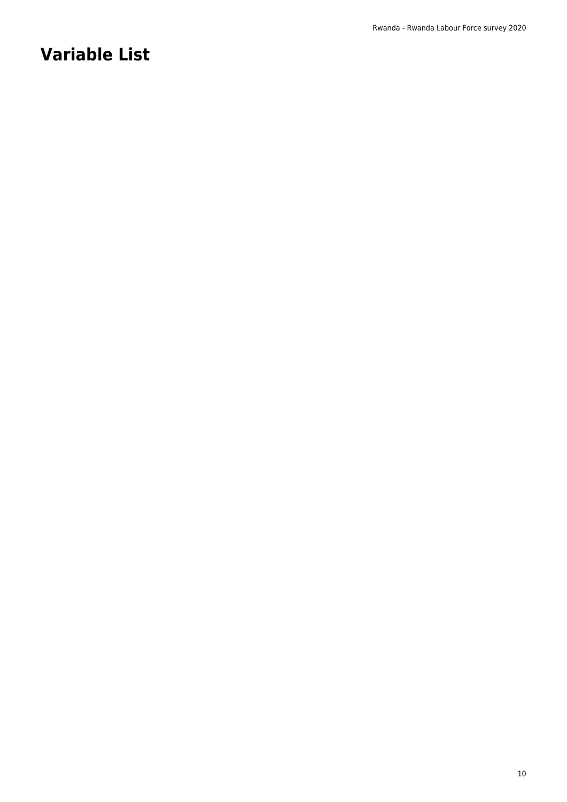# **Variable List**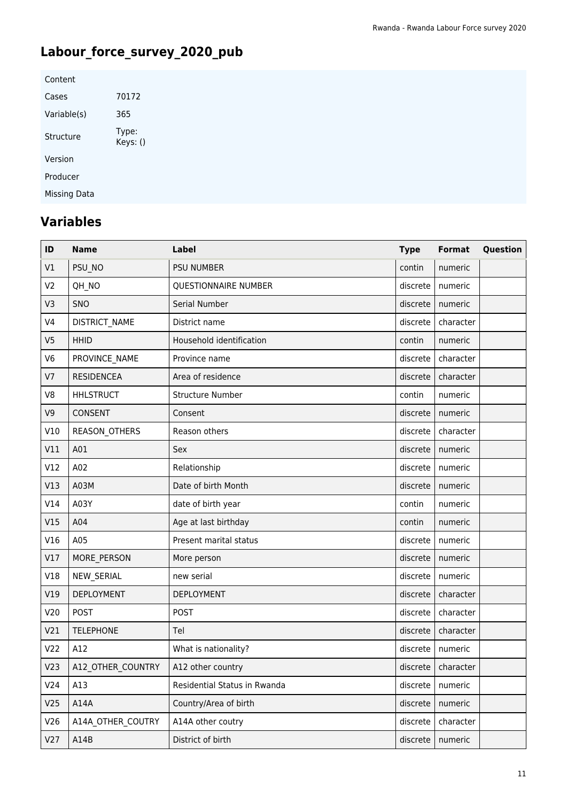### **Labour\_force\_survey\_2020\_pub**

| Content      |                   |
|--------------|-------------------|
| Cases        | 70172             |
| Variable(s)  | 365               |
| Structure    | Type:<br>Keys: () |
| Version      |                   |
| Producer     |                   |
| Missing Data |                   |

### **Variables**

| ID              | <b>Name</b>       | <b>Label</b>                 | <b>Type</b> | Format               | Question |
|-----------------|-------------------|------------------------------|-------------|----------------------|----------|
| V1              | PSU_NO            | <b>PSU NUMBER</b>            | contin      | numeric              |          |
| V <sub>2</sub>  | QH_NO             | QUESTIONNAIRE NUMBER         | discrete    | numeric              |          |
| V3              | SNO               | Serial Number                | discrete    | numeric              |          |
| V <sub>4</sub>  | DISTRICT_NAME     | District name                | discrete    | character            |          |
| V <sub>5</sub>  | <b>HHID</b>       | Household identification     | contin      | numeric              |          |
| V <sub>6</sub>  | PROVINCE_NAME     | Province name                | discrete    | character            |          |
| V <sub>7</sub>  | <b>RESIDENCEA</b> | Area of residence            | discrete    | character            |          |
| V8              | <b>HHLSTRUCT</b>  | <b>Structure Number</b>      | contin      | numeric              |          |
| V <sub>9</sub>  | CONSENT           | Consent                      | discrete    | numeric              |          |
| V10             | REASON_OTHERS     | Reason others                | discrete    | character            |          |
| V11             | A01               | Sex                          | discrete    | numeric              |          |
| V12             | A02               | Relationship                 | discrete    | numeric              |          |
| V13             | A03M              | Date of birth Month          | discrete    | numeric              |          |
| V14             | A03Y              | date of birth year           | contin      | numeric              |          |
| V15             | A04               | Age at last birthday         | contin      | numeric              |          |
| V16             | A05               | Present marital status       | discrete    | numeric              |          |
| V17             | MORE_PERSON       | More person                  | discrete    | numeric              |          |
| V18             | NEW_SERIAL        | new serial                   | discrete    | numeric              |          |
| V19             | <b>DEPLOYMENT</b> | <b>DEPLOYMENT</b>            | discrete    | character            |          |
| V20             | <b>POST</b>       | <b>POST</b>                  | discrete    | character            |          |
| V <sub>21</sub> | <b>TELEPHONE</b>  | Tel                          | discrete    | character            |          |
| V <sub>22</sub> | A12               | What is nationality?         | discrete    | numeric              |          |
| V <sub>23</sub> | A12_OTHER_COUNTRY | A12 other country            |             | discrete   character |          |
| V24             | A13               | Residential Status in Rwanda | discrete    | numeric              |          |
| V25             | A14A              | Country/Area of birth        | discrete    | numeric              |          |
| V26             | A14A OTHER COUTRY | A14A other coutry            | discrete    | character            |          |
| V27             | A14B              | District of birth            | discrete    | numeric              |          |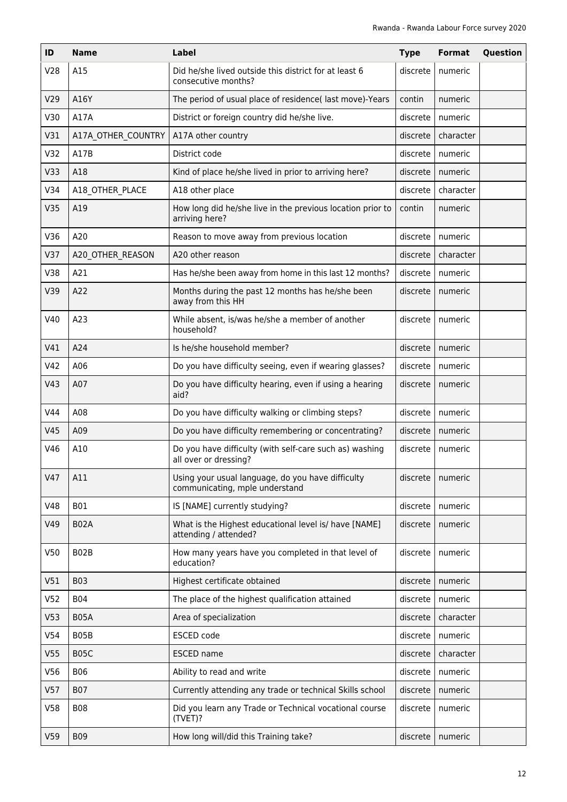| ID              | <b>Name</b>        | Label                                                                               | <b>Type</b> | <b>Format</b> | Question |
|-----------------|--------------------|-------------------------------------------------------------------------------------|-------------|---------------|----------|
| V28             | A15                | Did he/she lived outside this district for at least 6<br>consecutive months?        | discrete    | numeric       |          |
| V29             | A16Y               | The period of usual place of residence( last move)-Years                            | contin      | numeric       |          |
| V30             | A17A               | District or foreign country did he/she live.                                        | discrete    | numeric       |          |
| V31             | A17A OTHER COUNTRY | A17A other country                                                                  | discrete    | character     |          |
| V32             | A17B               | District code                                                                       | discrete    | numeric       |          |
| V33             | A18                | Kind of place he/she lived in prior to arriving here?                               | discrete    | numeric       |          |
| V34             | A18 OTHER PLACE    | A18 other place                                                                     | discrete    | character     |          |
| V35             | A19                | How long did he/she live in the previous location prior to<br>arriving here?        | contin      | numeric       |          |
| V36             | A20                | Reason to move away from previous location                                          | discrete    | numeric       |          |
| V37             | A20 OTHER REASON   | A20 other reason                                                                    | discrete    | character     |          |
| V38             | A21                | Has he/she been away from home in this last 12 months?                              | discrete    | numeric       |          |
| V39             | A22                | Months during the past 12 months has he/she been<br>away from this HH               | discrete    | numeric       |          |
| V40             | A23                | While absent, is/was he/she a member of another<br>household?                       | discrete    | numeric       |          |
| V41             | A24                | Is he/she household member?                                                         | discrete    | numeric       |          |
| V42             | A06                | Do you have difficulty seeing, even if wearing glasses?                             | discrete    | numeric       |          |
| V43             | A07                | Do you have difficulty hearing, even if using a hearing<br>aid?                     | discrete    | numeric       |          |
| V44             | A08                | Do you have difficulty walking or climbing steps?                                   | discrete    | numeric       |          |
| V45             | A09                | Do you have difficulty remembering or concentrating?                                | discrete    | numeric       |          |
| V46             | A10                | Do you have difficulty (with self-care such as) washing<br>all over or dressing?    | discrete    | numeric       |          |
| V47             | A11                | Using your usual language, do you have difficulty<br>communicating, mple understand | discrete    | numeric       |          |
| V48             | <b>B01</b>         | IS [NAME] currently studying?                                                       | discrete    | numeric       |          |
| V49             | <b>B02A</b>        | What is the Highest educational level is/ have [NAME]<br>attending / attended?      | discrete    | numeric       |          |
| V50             | B <sub>02</sub> B  | How many years have you completed in that level of<br>education?                    | discrete    | numeric       |          |
| V51             | <b>B03</b>         | Highest certificate obtained                                                        | discrete    | numeric       |          |
| V <sub>52</sub> | <b>B04</b>         | The place of the highest qualification attained                                     | discrete    | numeric       |          |
| V <sub>53</sub> | <b>B05A</b>        | Area of specialization                                                              | discrete    | character     |          |
| V <sub>54</sub> | B05B               | <b>ESCED</b> code                                                                   | discrete    | numeric       |          |
| V <sub>55</sub> | <b>B05C</b>        | <b>ESCED</b> name                                                                   | discrete    | character     |          |
| V56             | <b>B06</b>         | Ability to read and write                                                           | discrete    | numeric       |          |
| V <sub>57</sub> | <b>B07</b>         | Currently attending any trade or technical Skills school                            | discrete    | numeric       |          |
| V58             | <b>B08</b>         | Did you learn any Trade or Technical vocational course<br>(TVET)?                   | discrete    | numeric       |          |
| V59             | <b>B09</b>         | How long will/did this Training take?                                               | discrete    | numeric       |          |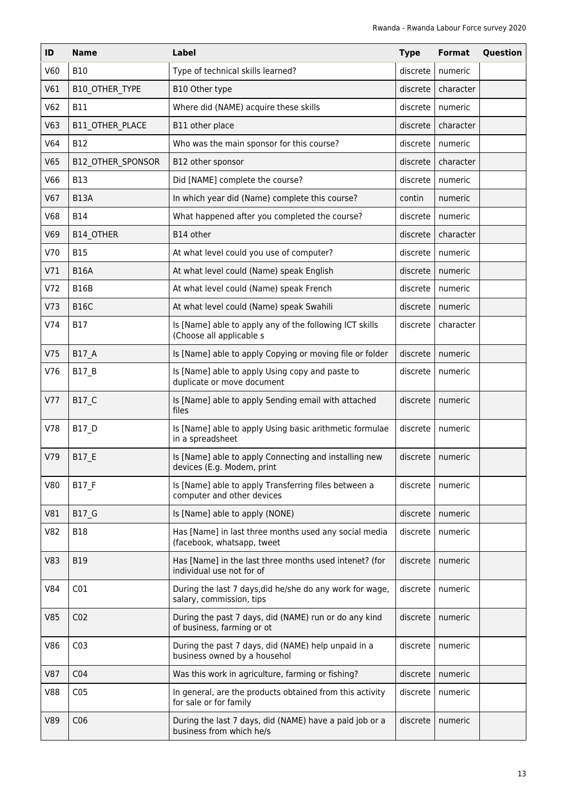| ID              | <b>Name</b>              | Label                                                                                | <b>Type</b> | Format    | Question |
|-----------------|--------------------------|--------------------------------------------------------------------------------------|-------------|-----------|----------|
| V60             | <b>B10</b>               | Type of technical skills learned?                                                    | discrete    | numeric   |          |
| V61             | <b>B10 OTHER TYPE</b>    | B10 Other type                                                                       | discrete    | character |          |
| V62             | <b>B11</b>               | Where did (NAME) acquire these skills                                                | discrete    | numeric   |          |
| V63             | B11 OTHER PLACE          | B11 other place                                                                      | discrete    | character |          |
| V64             | <b>B12</b>               | Who was the main sponsor for this course?                                            | discrete    | numeric   |          |
| V65             | <b>B12 OTHER SPONSOR</b> | B12 other sponsor                                                                    | discrete    | character |          |
| V66             | <b>B13</b>               | Did [NAME] complete the course?                                                      | discrete    | numeric   |          |
| V67             | <b>B13A</b>              | In which year did (Name) complete this course?                                       | contin      | numeric   |          |
| <b>V68</b>      | <b>B14</b>               | What happened after you completed the course?                                        | discrete    | numeric   |          |
| V69             | B14 OTHER                | B14 other                                                                            | discrete    | character |          |
| V70             | <b>B15</b>               | At what level could you use of computer?                                             | discrete    | numeric   |          |
| V71             | <b>B16A</b>              | At what level could (Name) speak English                                             | discrete    | numeric   |          |
| V72             | <b>B16B</b>              | At what level could (Name) speak French                                              | discrete    | numeric   |          |
| V <sub>73</sub> | <b>B16C</b>              | At what level could (Name) speak Swahili                                             | discrete    | numeric   |          |
| V74             | <b>B17</b>               | Is [Name] able to apply any of the following ICT skills<br>(Choose all applicable s  | discrete    | character |          |
| V75             | B17_A                    | Is [Name] able to apply Copying or moving file or folder                             | discrete    | numeric   |          |
| V76             | <b>B17 B</b>             | Is [Name] able to apply Using copy and paste to<br>duplicate or move document        | discrete    | numeric   |          |
| V77             | B17 C                    | Is [Name] able to apply Sending email with attached<br>files                         | discrete    | numeric   |          |
| V78             | <b>B17 D</b>             | Is [Name] able to apply Using basic arithmetic formulae<br>in a spreadsheet          | discrete    | numeric   |          |
| V79             | B17 E                    | Is [Name] able to apply Connecting and installing new<br>devices (E.g. Modem, print  | discrete    | numeric   |          |
| <b>V80</b>      | <b>B17 F</b>             | Is [Name] able to apply Transferring files between a<br>computer and other devices   | discrete    | numeric   |          |
| V81             | <b>B17 G</b>             | Is [Name] able to apply (NONE)                                                       | discrete    | numeric   |          |
| V82             | <b>B18</b>               | Has [Name] in last three months used any social media<br>(facebook, whatsapp, tweet  | discrete    | numeric   |          |
| V83             | <b>B19</b>               | Has [Name] in the last three months used intenet? (for<br>individual use not for of  | discrete    | numeric   |          |
| V84             | CO <sub>1</sub>          | During the last 7 days, did he/she do any work for wage,<br>salary, commission, tips | discrete    | numeric   |          |
| <b>V85</b>      | CO <sub>2</sub>          | During the past 7 days, did (NAME) run or do any kind<br>of business, farming or ot  | discrete    | numeric   |          |
| V86             | CO <sub>3</sub>          | During the past 7 days, did (NAME) help unpaid in a<br>business owned by a househol  | discrete    | numeric   |          |
| <b>V87</b>      | CO <sub>4</sub>          | Was this work in agriculture, farming or fishing?                                    | discrete    | numeric   |          |
| <b>V88</b>      | CO <sub>5</sub>          | In general, are the products obtained from this activity<br>for sale or for family   | discrete    | numeric   |          |
| V89             | C <sub>06</sub>          | During the last 7 days, did (NAME) have a paid job or a<br>business from which he/s  | discrete    | numeric   |          |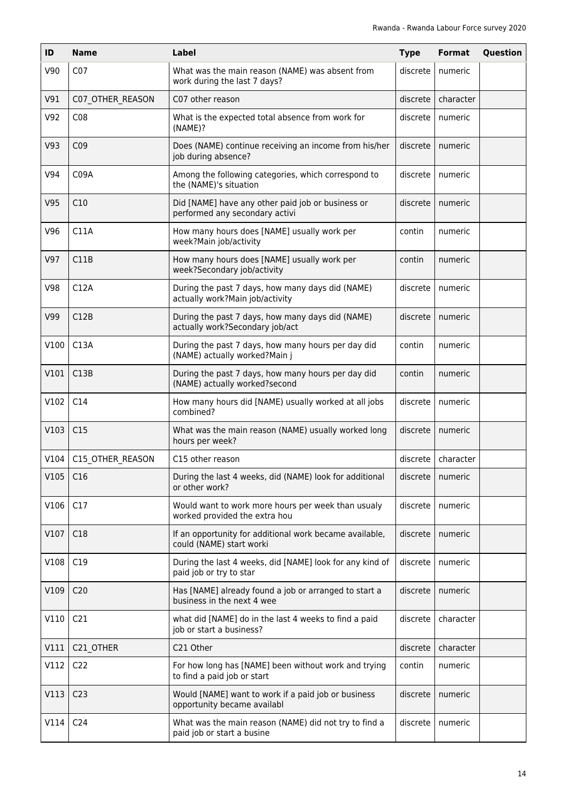| ID   | <b>Name</b>      | Label                                                                               | <b>Type</b> | <b>Format</b> | Question |
|------|------------------|-------------------------------------------------------------------------------------|-------------|---------------|----------|
| V90  | CO <sub>7</sub>  | What was the main reason (NAME) was absent from<br>work during the last 7 days?     | discrete    | numeric       |          |
| V91  | C07 OTHER REASON | C07 other reason                                                                    | discrete    | character     |          |
| V92  | CO8              | What is the expected total absence from work for<br>(NAME)?                         | discrete    | numeric       |          |
| V93  | CO <sub>9</sub>  | Does (NAME) continue receiving an income from his/her<br>job during absence?        | discrete    | numeric       |          |
| V94  | C09A             | Among the following categories, which correspond to<br>the (NAME)'s situation       | discrete    | numeric       |          |
| V95  | C10              | Did [NAME] have any other paid job or business or<br>performed any secondary activi | discrete    | numeric       |          |
| V96  | C11A             | How many hours does [NAME] usually work per<br>week?Main job/activity               | contin      | numeric       |          |
| V97  | C11B             | How many hours does [NAME] usually work per<br>week?Secondary job/activity          | contin      | numeric       |          |
| V98  | C12A             | During the past 7 days, how many days did (NAME)<br>actually work?Main job/activity | discrete    | numeric       |          |
| V99  | C12B             | During the past 7 days, how many days did (NAME)<br>actually work?Secondary job/act | discrete    | numeric       |          |
| V100 | C13A             | During the past 7 days, how many hours per day did<br>(NAME) actually worked?Main j | contin      | numeric       |          |
| V101 | C13B             | During the past 7 days, how many hours per day did<br>(NAME) actually worked?second | contin      | numeric       |          |
| V102 | C14              | How many hours did [NAME) usually worked at all jobs<br>combined?                   | discrete    | numeric       |          |
| V103 | C15              | What was the main reason (NAME) usually worked long<br>hours per week?              | discrete    | numeric       |          |
| V104 | C15 OTHER REASON | C15 other reason                                                                    | discrete    | character     |          |
| V105 | C16              | During the last 4 weeks, did (NAME) look for additional<br>or other work?           | discrete    | numeric       |          |
| V106 | C17              | Would want to work more hours per week than usualy<br>worked provided the extra hou | discrete    | numeric       |          |
| V107 | C18              | If an opportunity for additional work became available,<br>could (NAME) start worki | discrete    | numeric       |          |
| V108 | C19              | During the last 4 weeks, did [NAME] look for any kind of<br>paid job or try to star | discrete    | numeric       |          |
| V109 | C <sub>20</sub>  | Has [NAME] already found a job or arranged to start a<br>business in the next 4 wee | discrete    | numeric       |          |
| V110 | C21              | what did [NAME] do in the last 4 weeks to find a paid<br>job or start a business?   | discrete    | character     |          |
| V111 | C21_OTHER        | C21 Other                                                                           | discrete    | character     |          |
| V112 | C <sub>22</sub>  | For how long has [NAME] been without work and trying<br>to find a paid job or start | contin      | numeric       |          |
| V113 | C <sub>23</sub>  | Would [NAME] want to work if a paid job or business<br>opportunity became availabl  | discrete    | numeric       |          |
| V114 | C <sub>24</sub>  | What was the main reason (NAME) did not try to find a<br>paid job or start a busine | discrete    | numeric       |          |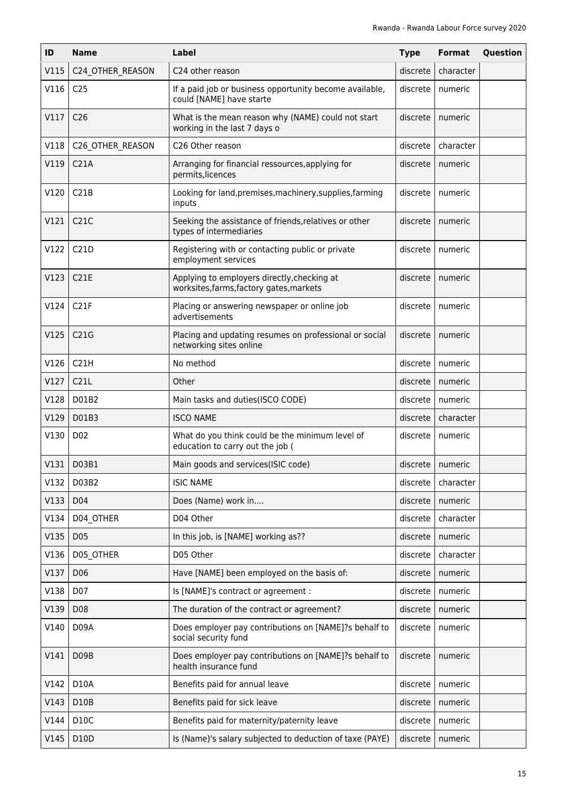| ID   | <b>Name</b>       | <b>Label</b>                                                                            | <b>Type</b> | <b>Format</b>      | Question |
|------|-------------------|-----------------------------------------------------------------------------------------|-------------|--------------------|----------|
| V115 | C24_OTHER_REASON  | C24 other reason                                                                        | discrete    | character          |          |
| V116 | C <sub>25</sub>   | If a paid job or business opportunity become available,<br>could [NAME] have starte     | discrete    | numeric            |          |
| V117 | C <sub>26</sub>   | What is the mean reason why (NAME) could not start<br>working in the last 7 days o      | discrete    | numeric            |          |
| V118 | C26_OTHER_REASON  | C26 Other reason                                                                        | discrete    | character          |          |
| V119 | C <sub>21A</sub>  | Arranging for financial ressources, applying for<br>permits, licences                   | discrete    | numeric            |          |
| V120 | C21B              | Looking for land, premises, machinery, supplies, farming<br>inputs                      | discrete    | numeric            |          |
| V121 | C21C              | Seeking the assistance of friends, relatives or other<br>types of intermediaries        | discrete    | numeric            |          |
| V122 | C21D              | Registering with or contacting public or private<br>employment services                 | discrete    | numeric            |          |
| V123 | <b>C21E</b>       | Applying to employers directly, checking at<br>worksites, farms, factory gates, markets | discrete    | numeric            |          |
| V124 | C <sub>2</sub> 1F | Placing or answering newspaper or online job<br>advertisements                          | discrete    | numeric            |          |
| V125 | C21G              | Placing and updating resumes on professional or social<br>networking sites online       | discrete    | numeric            |          |
| V126 | C21H              | No method                                                                               | discrete    | numeric            |          |
| V127 | C21L              | Other                                                                                   | discrete    | numeric            |          |
| V128 | D01B2             | Main tasks and duties(ISCO CODE)                                                        | discrete    | numeric            |          |
| V129 | D01B3             | <b>ISCO NAME</b>                                                                        | discrete    | character          |          |
| V130 | D <sub>02</sub>   | What do you think could be the minimum level of<br>education to carry out the job (     | discrete    | numeric            |          |
|      | V131   D03B1      | Main goods and services (ISIC code)                                                     |             | discrete   numeric |          |
| V132 | D03B2             | <b>ISIC NAME</b>                                                                        | discrete    | character          |          |
| V133 | D04               | Does (Name) work in                                                                     | discrete    | numeric            |          |
| V134 | D04 OTHER         | D04 Other                                                                               | discrete    | character          |          |
| V135 | D05               | In this job, is [NAME] working as??                                                     | discrete    | numeric            |          |
| V136 | D05_OTHER         | D05 Other                                                                               | discrete    | character          |          |
| V137 | D06               | Have [NAME] been employed on the basis of:                                              | discrete    | numeric            |          |
| V138 | D07               | Is [NAME]'s contract or agreement :                                                     | discrete    | numeric            |          |
| V139 | D08               | The duration of the contract or agreement?                                              | discrete    | numeric            |          |
| V140 | D09A              | Does employer pay contributions on [NAME]?s behalf to<br>social security fund           | discrete    | numeric            |          |
| V141 | D09B              | Does employer pay contributions on [NAME]?s behalf to<br>health insurance fund          | discrete    | numeric            |          |
| V142 | <b>D10A</b>       | Benefits paid for annual leave                                                          | discrete    | numeric            |          |
| V143 | D10B              | Benefits paid for sick leave                                                            | discrete    | numeric            |          |
| V144 | D10C              | Benefits paid for maternity/paternity leave                                             | discrete    | numeric            |          |
| V145 | D10D              | Is (Name)'s salary subjected to deduction of taxe (PAYE)                                | discrete    | numeric            |          |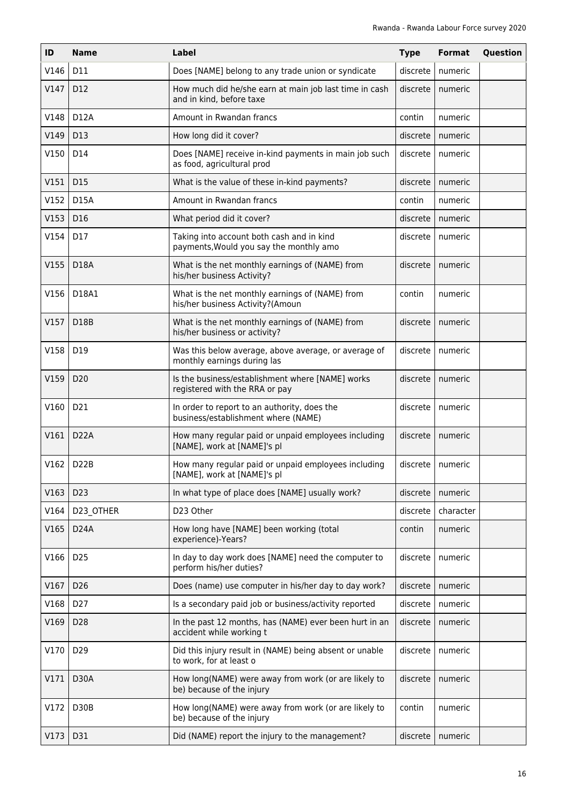| ID   | <b>Name</b>       | Label                                                                                | <b>Type</b> | Format             | Question |
|------|-------------------|--------------------------------------------------------------------------------------|-------------|--------------------|----------|
| V146 | D11               | Does [NAME] belong to any trade union or syndicate                                   | discrete    | numeric            |          |
| V147 | D12               | How much did he/she earn at main job last time in cash<br>and in kind, before taxe   | discrete    | numeric            |          |
| V148 | D12A              | Amount in Rwandan francs                                                             | contin      | numeric            |          |
| V149 | D13               | How long did it cover?                                                               | discrete    | numeric            |          |
| V150 | D14               | Does [NAME] receive in-kind payments in main job such<br>as food, agricultural prod  | discrete    | numeric            |          |
| V151 | D15               | What is the value of these in-kind payments?                                         | discrete    | numeric            |          |
| V152 | <b>D15A</b>       | Amount in Rwandan francs                                                             | contin      | numeric            |          |
| V153 | D16               | What period did it cover?                                                            | discrete    | numeric            |          |
| V154 | D17               | Taking into account both cash and in kind<br>payments, Would you say the monthly amo | discrete    | numeric            |          |
| V155 | D18A              | What is the net monthly earnings of (NAME) from<br>his/her business Activity?        | discrete    | numeric            |          |
| V156 | D18A1             | What is the net monthly earnings of (NAME) from<br>his/her business Activity?(Amoun  | contin      | numeric            |          |
| V157 | D18B              | What is the net monthly earnings of (NAME) from<br>his/her business or activity?     | discrete    | numeric            |          |
| V158 | D19               | Was this below average, above average, or average of<br>monthly earnings during las  | discrete    | numeric            |          |
| V159 | D <sub>20</sub>   | Is the business/establishment where [NAME] works<br>registered with the RRA or pay   | discrete    | numeric            |          |
| V160 | D21               | In order to report to an authority, does the<br>business/establishment where (NAME)  | discrete    | numeric            |          |
| V161 | D <sub>22</sub> A | How many regular paid or unpaid employees including<br>[NAME], work at [NAME]'s pl   | discrete    | numeric            |          |
| V162 | D <sub>2</sub> 2B | How many regular paid or unpaid employees including<br>[NAME], work at [NAME]'s pl   |             | discrete   numeric |          |
| V163 | D <sub>23</sub>   | In what type of place does [NAME] usually work?                                      | discrete    | numeric            |          |
| V164 | D23 OTHER         | D23 Other                                                                            | discrete    | character          |          |
| V165 | <b>D24A</b>       | How long have [NAME] been working (total<br>experience)-Years?                       | contin      | numeric            |          |
| V166 | D <sub>25</sub>   | In day to day work does [NAME] need the computer to<br>perform his/her duties?       | discrete    | numeric            |          |
| V167 | D <sub>26</sub>   | Does (name) use computer in his/her day to day work?                                 | discrete    | numeric            |          |
| V168 | D <sub>27</sub>   | Is a secondary paid job or business/activity reported                                | discrete    | numeric            |          |
| V169 | D28               | In the past 12 months, has (NAME) ever been hurt in an<br>accident while working t   | discrete    | numeric            |          |
| V170 | D <sub>29</sub>   | Did this injury result in (NAME) being absent or unable<br>to work, for at least o   | discrete    | numeric            |          |
| V171 | D30A              | How long(NAME) were away from work (or are likely to<br>be) because of the injury    | discrete    | numeric            |          |
| V172 | D30B              | How long(NAME) were away from work (or are likely to<br>be) because of the injury    | contin      | numeric            |          |
| V173 | D31               | Did (NAME) report the injury to the management?                                      | discrete    | numeric            |          |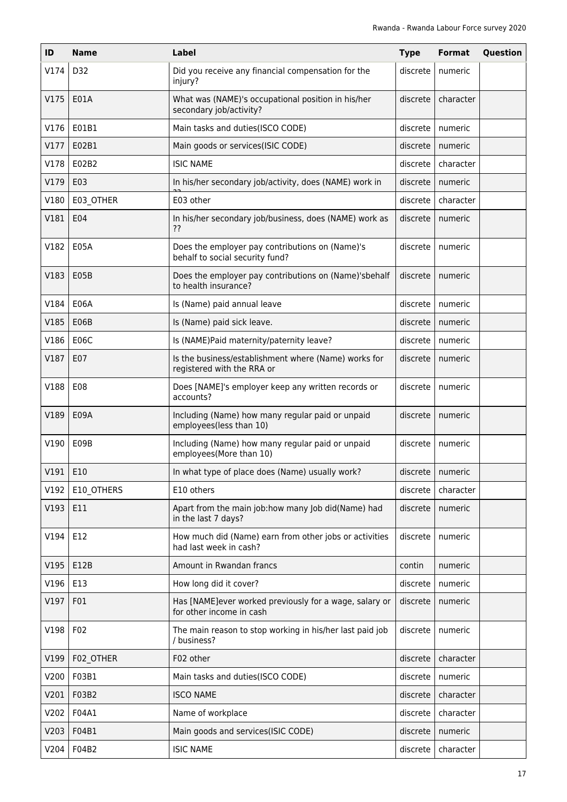| ID   | <b>Name</b> | Label                                                                              | <b>Type</b> | <b>Format</b> | Question |
|------|-------------|------------------------------------------------------------------------------------|-------------|---------------|----------|
| V174 | D32         | Did you receive any financial compensation for the<br>injury?                      | discrete    | numeric       |          |
| V175 | E01A        | What was (NAME)'s occupational position in his/her<br>secondary job/activity?      | discrete    | character     |          |
| V176 | E01B1       | Main tasks and duties(ISCO CODE)                                                   | discrete    | numeric       |          |
| V177 | E02B1       | Main goods or services(ISIC CODE)                                                  | discrete    | numeric       |          |
| V178 | E02B2       | <b>ISIC NAME</b>                                                                   | discrete    | character     |          |
| V179 | E03         | In his/her secondary job/activity, does (NAME) work in                             | discrete    | numeric       |          |
| V180 | E03 OTHER   | E03 other                                                                          | discrete    | character     |          |
| V181 | E04         | In his/her secondary job/business, does (NAME) work as<br>??                       | discrete    | numeric       |          |
| V182 | E05A        | Does the employer pay contributions on (Name)'s<br>behalf to social security fund? | discrete    | numeric       |          |
| V183 | E05B        | Does the employer pay contributions on (Name)'sbehalf<br>to health insurance?      | discrete    | numeric       |          |
| V184 | E06A        | Is (Name) paid annual leave                                                        | discrete    | numeric       |          |
| V185 | E06B        | Is (Name) paid sick leave.                                                         | discrete    | numeric       |          |
| V186 | <b>E06C</b> | Is (NAME)Paid maternity/paternity leave?                                           | discrete    | numeric       |          |
| V187 | E07         | Is the business/establishment where (Name) works for<br>registered with the RRA or | discrete    | numeric       |          |
| V188 | E08         | Does [NAME]'s employer keep any written records or<br>accounts?                    | discrete    | numeric       |          |
| V189 | E09A        | Including (Name) how many regular paid or unpaid<br>employees(less than 10)        | discrete    | numeric       |          |
| V190 | E09B        | Including (Name) how many regular paid or unpaid<br>employees(More than 10)        | discrete    | numeric       |          |
| V191 | E10         | In what type of place does (Name) usually work?                                    | discrete    | numeric       |          |
| V192 | E10 OTHERS  | E10 others                                                                         | discrete    | character     |          |
| V193 | E11         | Apart from the main job:how many Job did(Name) had<br>in the last 7 days?          | discrete    | numeric       |          |
| V194 | E12         | How much did (Name) earn from other jobs or activities<br>had last week in cash?   | discrete    | numeric       |          |
| V195 | E12B        | Amount in Rwandan francs                                                           | contin      | numeric       |          |
| V196 | E13         | How long did it cover?                                                             | discrete    | numeric       |          |
| V197 | F01         | Has [NAME]ever worked previously for a wage, salary or<br>for other income in cash | discrete    | numeric       |          |
| V198 | F02         | The main reason to stop working in his/her last paid job<br>/ business?            | discrete    | numeric       |          |
| V199 | F02_OTHER   | F02 other                                                                          | discrete    | character     |          |
| V200 | F03B1       | Main tasks and duties(ISCO CODE)                                                   | discrete    | numeric       |          |
| V201 | F03B2       | <b>ISCO NAME</b>                                                                   | discrete    | character     |          |
| V202 | F04A1       | Name of workplace                                                                  | discrete    | character     |          |
| V203 | F04B1       | Main goods and services(ISIC CODE)                                                 | discrete    | numeric       |          |
| V204 | F04B2       | <b>ISIC NAME</b>                                                                   | discrete    | character     |          |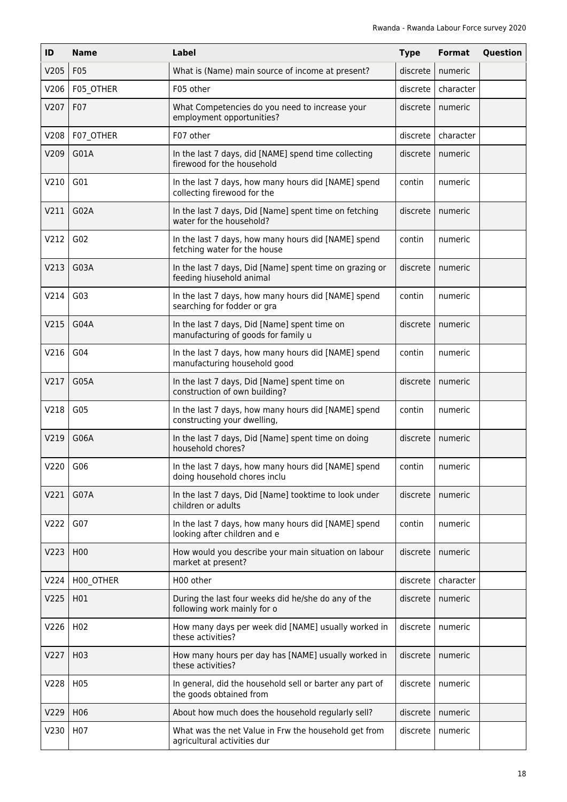| ID   | <b>Name</b>      | Label                                                                               | <b>Type</b> | <b>Format</b> | Question |
|------|------------------|-------------------------------------------------------------------------------------|-------------|---------------|----------|
| V205 | F05              | What is (Name) main source of income at present?                                    | discrete    | numeric       |          |
| V206 | F05_OTHER        | F05 other                                                                           | discrete    | character     |          |
| V207 | F07              | What Competencies do you need to increase your<br>employment opportunities?         | discrete    | numeric       |          |
| V208 | F07_OTHER        | F07 other                                                                           | discrete    | character     |          |
| V209 | G01A             | In the last 7 days, did [NAME] spend time collecting<br>firewood for the household  | discrete    | numeric       |          |
| V210 | G01              | In the last 7 days, how many hours did [NAME] spend<br>collecting firewood for the  | contin      | numeric       |          |
| V211 | G02A             | In the last 7 days, Did [Name] spent time on fetching<br>water for the household?   | discrete    | numeric       |          |
| V212 | G <sub>02</sub>  | In the last 7 days, how many hours did [NAME] spend<br>fetching water for the house | contin      | numeric       |          |
| V213 | G03A             | In the last 7 days, Did [Name] spent time on grazing or<br>feeding hiusehold animal | discrete    | numeric       |          |
| V214 | G03              | In the last 7 days, how many hours did [NAME] spend<br>searching for fodder or gra  | contin      | numeric       |          |
| V215 | G04A             | In the last 7 days, Did [Name] spent time on<br>manufacturing of goods for family u | discrete    | numeric       |          |
| V216 | G04              | In the last 7 days, how many hours did [NAME] spend<br>manufacturing household good | contin      | numeric       |          |
| V217 | G05A             | In the last 7 days, Did [Name] spent time on<br>construction of own building?       | discrete    | numeric       |          |
| V218 | G05              | In the last 7 days, how many hours did [NAME] spend<br>constructing your dwelling,  | contin      | numeric       |          |
| V219 | G06A             | In the last 7 days, Did [Name] spent time on doing<br>household chores?             | discrete    | numeric       |          |
| V220 | G06              | In the last 7 days, how many hours did [NAME] spend<br>doing household chores inclu | contin      | numeric       |          |
| V221 | G07A             | In the last 7 days, Did [Name] tooktime to look under<br>children or adults         | discrete    | numeric       |          |
| V222 | G07              | In the last 7 days, how many hours did [NAME] spend<br>looking after children and e | contin      | numeric       |          |
| V223 | H <sub>0</sub> 0 | How would you describe your main situation on labour<br>market at present?          | discrete    | numeric       |          |
| V224 | H00_OTHER        | H00 other                                                                           | discrete    | character     |          |
| V225 | H01              | During the last four weeks did he/she do any of the<br>following work mainly for o  | discrete    | numeric       |          |
| V226 | H <sub>02</sub>  | How many days per week did [NAME] usually worked in<br>these activities?            | discrete    | numeric       |          |
| V227 | H <sub>0</sub> 3 | How many hours per day has [NAME] usually worked in<br>these activities?            | discrete    | numeric       |          |
| V228 | H <sub>0</sub> 5 | In general, did the household sell or barter any part of<br>the goods obtained from | discrete    | numeric       |          |
| V229 | H <sub>06</sub>  | About how much does the household regularly sell?                                   | discrete    | numeric       |          |
| V230 | H07              | What was the net Value in Frw the household get from<br>agricultural activities dur | discrete    | numeric       |          |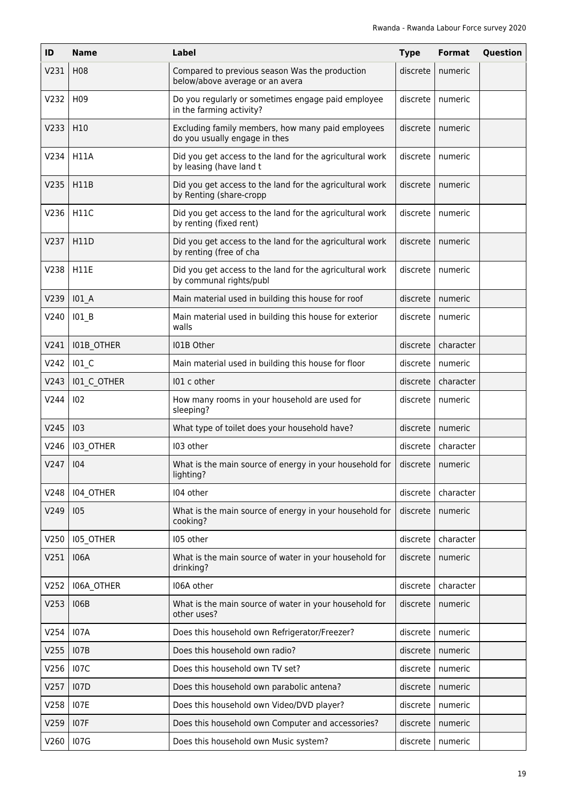| ID           | <b>Name</b>        | Label                                                                               | <b>Type</b> | <b>Format</b>      | Question |
|--------------|--------------------|-------------------------------------------------------------------------------------|-------------|--------------------|----------|
| V231         | H <sub>0</sub> 8   | Compared to previous season Was the production<br>below/above average or an avera   | discrete    | numeric            |          |
| V232         | H <sub>09</sub>    | Do you regularly or sometimes engage paid employee<br>in the farming activity?      | discrete    | numeric            |          |
| V233         | H10                | Excluding family members, how many paid employees<br>do you usually engage in thes  | discrete    | numeric            |          |
| V234         | <b>H11A</b>        | Did you get access to the land for the agricultural work<br>by leasing (have land t | discrete    | numeric            |          |
| V235         | <b>H11B</b>        | Did you get access to the land for the agricultural work<br>by Renting (share-cropp | discrete    | numeric            |          |
| V236         | <b>H11C</b>        | Did you get access to the land for the agricultural work<br>by renting (fixed rent) | discrete    | numeric            |          |
| V237         | H11D               | Did you get access to the land for the agricultural work<br>by renting (free of cha | discrete    | numeric            |          |
| V238         | <b>H11E</b>        | Did you get access to the land for the agricultural work<br>by communal rights/publ | discrete    | numeric            |          |
| V239         | $101_A$            | Main material used in building this house for roof                                  | discrete    | numeric            |          |
| V240         | 101 B              | Main material used in building this house for exterior<br>walls                     | discrete    | numeric            |          |
| V241         | I01B_OTHER         | I01B Other                                                                          | discrete    | character          |          |
| V242         | $101_C$            | Main material used in building this house for floor                                 | discrete    | numeric            |          |
| V243         | <b>IO1 C OTHER</b> | 101 c other                                                                         | discrete    | character          |          |
| V244         | 102                | How many rooms in your household are used for<br>sleeping?                          | discrete    | numeric            |          |
| V245         | 103                | What type of toilet does your household have?                                       | discrete    | numeric            |          |
| V246         | 103_OTHER          | I03 other                                                                           | discrete    | character          |          |
| $V247$   104 |                    | What is the main source of energy in your household for<br>lighting?                |             | discrete   numeric |          |
| V248         | 104 OTHER          | 104 other                                                                           | discrete    | character          |          |
| V249         | 105                | What is the main source of energy in your household for<br>cooking?                 | discrete    | numeric            |          |
| V250         | 105_OTHER          | 105 other                                                                           | discrete    | character          |          |
| V251         | <b>I06A</b>        | What is the main source of water in your household for<br>drinking?                 | discrete    | numeric            |          |
| V252         | I06A_OTHER         | 106A other                                                                          | discrete    | character          |          |
| V253         | <b>I06B</b>        | What is the main source of water in your household for<br>other uses?               | discrete    | numeric            |          |
| V254         | <b>I07A</b>        | Does this household own Refrigerator/Freezer?                                       | discrete    | numeric            |          |
| V255         | <b>I07B</b>        | Does this household own radio?                                                      | discrete    | numeric            |          |
| V256         | <b>107C</b>        | Does this household own TV set?                                                     | discrete    | numeric            |          |
| V257         | <b>I07D</b>        | Does this household own parabolic antena?                                           | discrete    | numeric            |          |
| V258         | <b>I07E</b>        | Does this household own Video/DVD player?                                           | discrete    | numeric            |          |
| V259         | <b>IO7F</b>        | Does this household own Computer and accessories?                                   | discrete    | numeric            |          |
| V260         | <b>107G</b>        | Does this household own Music system?                                               | discrete    | numeric            |          |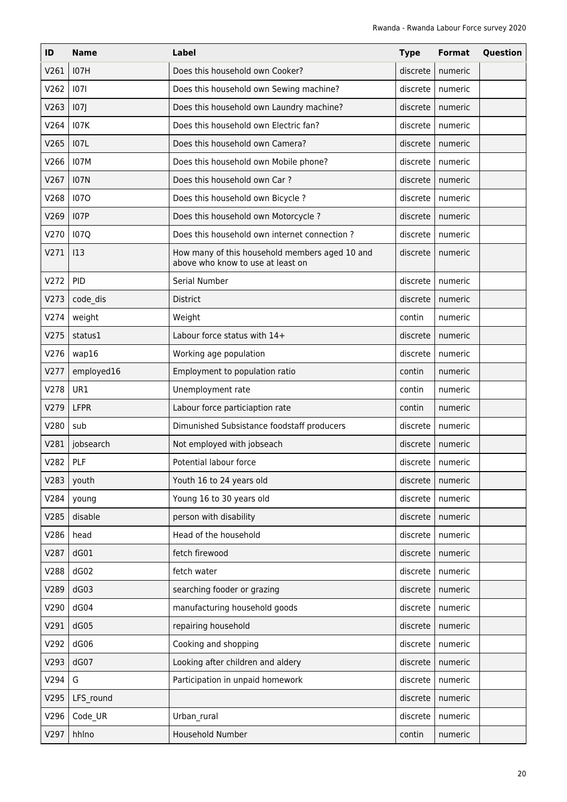| ID         | <b>Name</b> | <b>Label</b>                                                                        | <b>Type</b> | <b>Format</b>      | Question |
|------------|-------------|-------------------------------------------------------------------------------------|-------------|--------------------|----------|
| V261       | <b>I07H</b> | Does this household own Cooker?                                                     | discrete    | numeric            |          |
| V262       | 1071        | Does this household own Sewing machine?                                             | discrete    | numeric            |          |
| V263       | 107         | Does this household own Laundry machine?                                            | discrete    | numeric            |          |
| V264       | 107K        | Does this household own Electric fan?                                               | discrete    | numeric            |          |
| V265       | 107L        | Does this household own Camera?                                                     | discrete    | numeric            |          |
| V266       | <b>I07M</b> | Does this household own Mobile phone?                                               | discrete    | numeric            |          |
| V267       | <b>I07N</b> | Does this household own Car?                                                        | discrete    | numeric            |          |
| V268       | 1070        | Does this household own Bicycle ?                                                   | discrete    | numeric            |          |
| V269       | <b>I07P</b> | Does this household own Motorcycle ?                                                | discrete    | numeric            |          |
| V270       | <b>107Q</b> | Does this household own internet connection?                                        | discrete    | numeric            |          |
| V271       | 113         | How many of this household members aged 10 and<br>above who know to use at least on | discrete    | numeric            |          |
| V272       | <b>PID</b>  | Serial Number                                                                       | discrete    | numeric            |          |
| V273       | code_dis    | <b>District</b>                                                                     | discrete    | numeric            |          |
| V274       | weight      | Weight                                                                              | contin      | numeric            |          |
| V275       | status1     | Labour force status with 14+                                                        | discrete    | numeric            |          |
| V276       | wap16       | Working age population                                                              | discrete    | numeric            |          |
| V277       | employed16  | Employment to population ratio                                                      | contin      | numeric            |          |
| V278       | UR1         | Unemployment rate                                                                   | contin      | numeric            |          |
| V279       | <b>LFPR</b> | Labour force particiaption rate                                                     | contin      | numeric            |          |
| V280       | sub         | Dimunished Subsistance foodstaff producers                                          | discrete    | numeric            |          |
| V281       | jobsearch   | Not employed with jobseach                                                          | discrete    | numeric            |          |
| V282   PLF |             | Potential labour force                                                              |             | discrete   numeric |          |
| V283       | youth       | Youth 16 to 24 years old                                                            | discrete    | numeric            |          |
| V284       | young       | Young 16 to 30 years old                                                            | discrete    | numeric            |          |
| V285       | disable     | person with disability                                                              | discrete    | numeric            |          |
| V286       | head        | Head of the household                                                               | discrete    | numeric            |          |
| V287       | dG01        | fetch firewood                                                                      | discrete    | numeric            |          |
| V288       | dG02        | fetch water                                                                         | discrete    | numeric            |          |
| V289       | dG03        | searching fooder or grazing                                                         | discrete    | numeric            |          |
| V290       | dG04        | manufacturing household goods                                                       | discrete    | numeric            |          |
| V291       | dG05        | repairing household                                                                 | discrete    | numeric            |          |
| V292       | dG06        | Cooking and shopping                                                                | discrete    | numeric            |          |
| V293       | dG07        | Looking after children and aldery                                                   | discrete    | numeric            |          |
| V294       | G           | Participation in unpaid homework                                                    | discrete    | numeric            |          |
| V295       | LFS_round   |                                                                                     | discrete    | numeric            |          |
| V296       | Code_UR     | Urban_rural                                                                         | discrete    | numeric            |          |
| V297       | hhlno       | Household Number                                                                    | contin      | numeric            |          |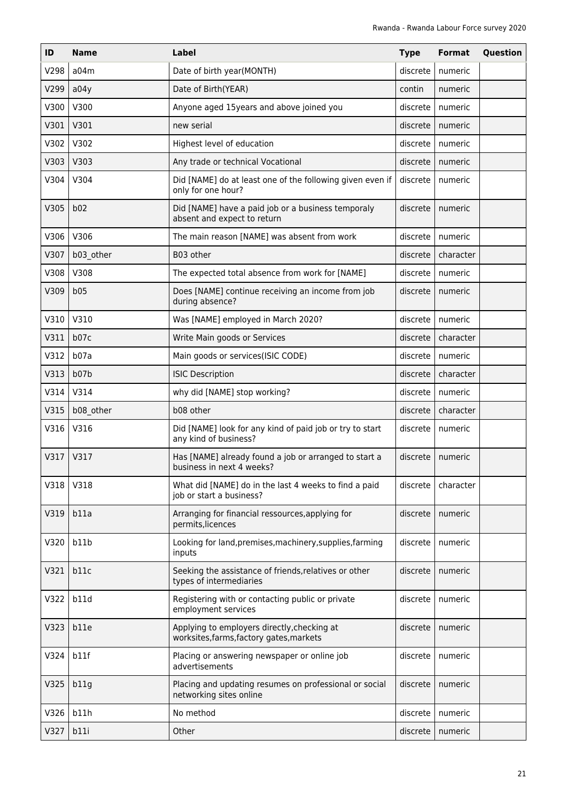| ID   | <b>Name</b> | Label                                                                                   | <b>Type</b> | Format    | Question |
|------|-------------|-----------------------------------------------------------------------------------------|-------------|-----------|----------|
| V298 | a04m        | Date of birth year(MONTH)                                                               | discrete    | numeric   |          |
| V299 | a04y        | Date of Birth(YEAR)                                                                     | contin      | numeric   |          |
| V300 | V300        | Anyone aged 15years and above joined you                                                | discrete    | numeric   |          |
| V301 | V301        | new serial                                                                              | discrete    | numeric   |          |
| V302 | V302        | Highest level of education                                                              | discrete    | numeric   |          |
| V303 | V303        | Any trade or technical Vocational                                                       | discrete    | numeric   |          |
| V304 | V304        | Did [NAME] do at least one of the following given even if<br>only for one hour?         | discrete    | numeric   |          |
| V305 | b02         | Did [NAME] have a paid job or a business temporaly<br>absent and expect to return       | discrete    | numeric   |          |
| V306 | V306        | The main reason [NAME] was absent from work                                             | discrete    | numeric   |          |
| V307 | b03_other   | B03 other                                                                               | discrete    | character |          |
| V308 | V308        | The expected total absence from work for [NAME]                                         | discrete    | numeric   |          |
| V309 | b05         | Does [NAME] continue receiving an income from job<br>during absence?                    | discrete    | numeric   |          |
| V310 | V310        | Was [NAME] employed in March 2020?                                                      | discrete    | numeric   |          |
| V311 | b07c        | Write Main goods or Services                                                            | discrete    | character |          |
| V312 | b07a        | Main goods or services(ISIC CODE)                                                       | discrete    | numeric   |          |
| V313 | b07b        | <b>ISIC Description</b>                                                                 | discrete    | character |          |
| V314 | V314        | why did [NAME] stop working?                                                            | discrete    | numeric   |          |
| V315 | b08_other   | b08 other                                                                               | discrete    | character |          |
| V316 | V316        | Did [NAME] look for any kind of paid job or try to start<br>any kind of business?       | discrete    | numeric   |          |
| V317 | V317        | Has [NAME] already found a job or arranged to start a<br>business in next 4 weeks?      | discrete    | numeric   |          |
| V318 | V318        | What did [NAME] do in the last 4 weeks to find a paid<br>job or start a business?       | discrete    | character |          |
| V319 | b11a        | Arranging for financial ressources, applying for<br>permits, licences                   | discrete    | numeric   |          |
| V320 | b11b        | Looking for land, premises, machinery, supplies, farming<br>inputs                      | discrete    | numeric   |          |
| V321 | b11c        | Seeking the assistance of friends, relatives or other<br>types of intermediaries        | discrete    | numeric   |          |
| V322 | b11d        | Registering with or contacting public or private<br>employment services                 | discrete    | numeric   |          |
| V323 | b11e        | Applying to employers directly, checking at<br>worksites, farms, factory gates, markets | discrete    | numeric   |          |
| V324 | b11f        | Placing or answering newspaper or online job<br>advertisements                          | discrete    | numeric   |          |
| V325 | b11g        | Placing and updating resumes on professional or social<br>networking sites online       | discrete    | numeric   |          |
| V326 | b11h        | No method                                                                               | discrete    | numeric   |          |
| V327 | b11i        | Other                                                                                   | discrete    | numeric   |          |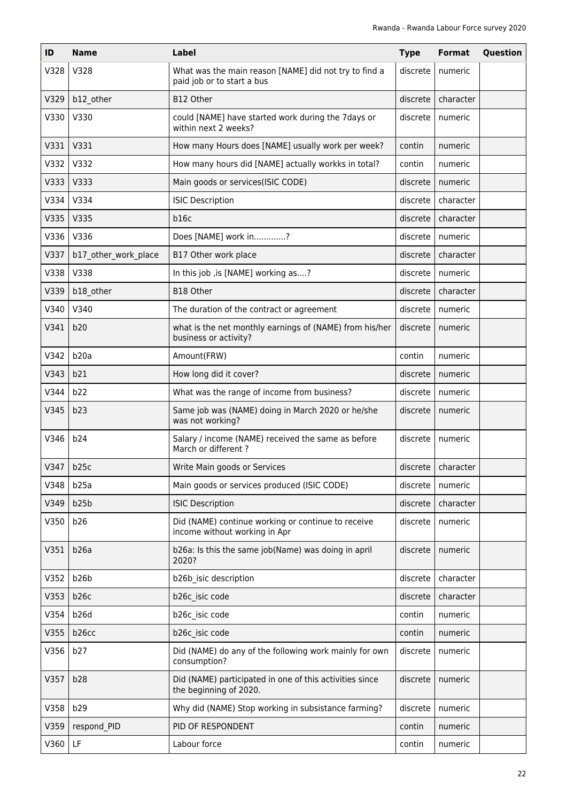| ID   | <b>Name</b>          | Label                                                                               | <b>Type</b> | <b>Format</b>          | Question |
|------|----------------------|-------------------------------------------------------------------------------------|-------------|------------------------|----------|
| V328 | V328                 | What was the main reason [NAME] did not try to find a<br>paid job or to start a bus | discrete    | numeric                |          |
| V329 | b12_other            | B12 Other                                                                           | discrete    | character              |          |
| V330 | V330                 | could [NAME] have started work during the 7days or<br>within next 2 weeks?          | discrete    | numeric                |          |
| V331 | V331                 | How many Hours does [NAME] usually work per week?                                   | contin      | numeric                |          |
| V332 | V332                 | How many hours did [NAME] actually workks in total?                                 | contin      | numeric                |          |
| V333 | V333                 | Main goods or services(ISIC CODE)                                                   | discrete    | numeric                |          |
| V334 | V334                 | <b>ISIC Description</b>                                                             | discrete    | character              |          |
| V335 | V335                 | b16c                                                                                | discrete    | character              |          |
| V336 | V336                 | Does [NAME] work in?                                                                | discrete    | numeric                |          |
| V337 | b17_other_work_place | B17 Other work place                                                                | discrete    | character              |          |
| V338 | V338                 | In this job, is [NAME] working as?                                                  | discrete    | numeric                |          |
| V339 | b18_other            | B18 Other                                                                           | discrete    | character              |          |
| V340 | V340                 | The duration of the contract or agreement                                           | discrete    | numeric                |          |
| V341 | b20                  | what is the net monthly earnings of (NAME) from his/her<br>business or activity?    | discrete    | numeric                |          |
| V342 | b20a                 | Amount(FRW)                                                                         | contin      | numeric                |          |
| V343 | b21                  | How long did it cover?                                                              | discrete    | numeric                |          |
| V344 | b22                  | What was the range of income from business?                                         | discrete    | numeric                |          |
| V345 | b23                  | Same job was (NAME) doing in March 2020 or he/she<br>was not working?               | discrete    | numeric                |          |
| V346 | b24                  | Salary / income (NAME) received the same as before<br>March or different?           | discrete    | numeric                |          |
| V347 | b25c                 | Write Main goods or Services                                                        |             | $discrete$   character |          |
| V348 | b25a                 | Main goods or services produced (ISIC CODE)                                         | discrete    | numeric                |          |
| V349 | b25b                 | <b>ISIC Description</b>                                                             | discrete    | character              |          |
| V350 | b26                  | Did (NAME) continue working or continue to receive<br>income without working in Apr | discrete    | numeric                |          |
| V351 | b26a                 | b26a: Is this the same job(Name) was doing in april<br>2020?                        | discrete    | numeric                |          |
| V352 | b <sub>26</sub> b    | b26b_isic description                                                               | discrete    | character              |          |
| V353 | b26c                 | b26c isic code                                                                      | discrete    | character              |          |
| V354 | b <sub>26</sub> d    | b26c isic code                                                                      | contin      | numeric                |          |
| V355 | b26cc                | b26c isic code                                                                      | contin      | numeric                |          |
| V356 | b27                  | Did (NAME) do any of the following work mainly for own<br>consumption?              | discrete    | numeric                |          |
| V357 | b28                  | Did (NAME) participated in one of this activities since<br>the beginning of 2020.   | discrete    | numeric                |          |
| V358 | b29                  | Why did (NAME) Stop working in subsistance farming?                                 | discrete    | numeric                |          |
| V359 | respond PID          | PID OF RESPONDENT                                                                   | contin      | numeric                |          |
| V360 | LF                   | Labour force                                                                        | contin      | numeric                |          |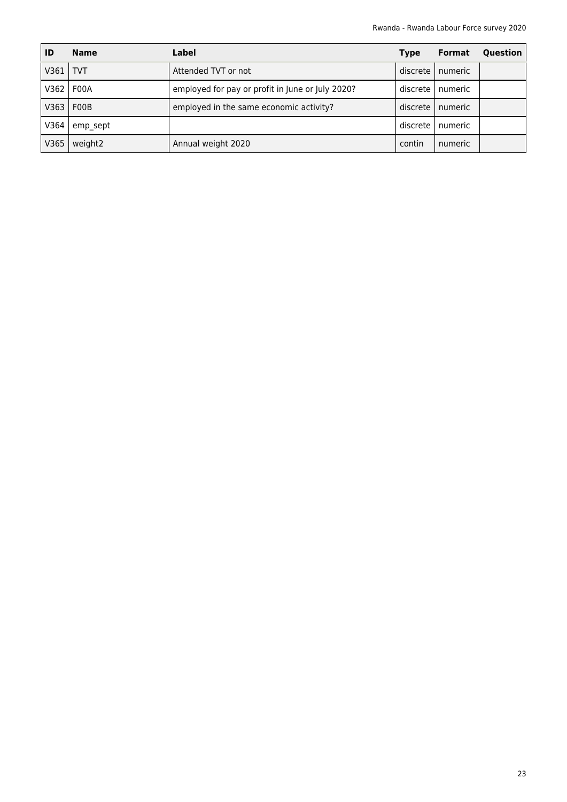| ID   | <b>Name</b> | Label                                            | <b>Type</b> | <b>Format</b> | Question |
|------|-------------|--------------------------------------------------|-------------|---------------|----------|
| V361 | <b>TVT</b>  | Attended TVT or not                              | discrete l  | numeric       |          |
| V362 | F00A        | employed for pay or profit in June or July 2020? | discrete l  | numeric       |          |
| V363 | F00B        | employed in the same economic activity?          | discrete    | numeric       |          |
| V364 | emp sept    |                                                  | discrete    | numeric       |          |
| V365 | weight2     | Annual weight 2020                               | contin      | numeric       |          |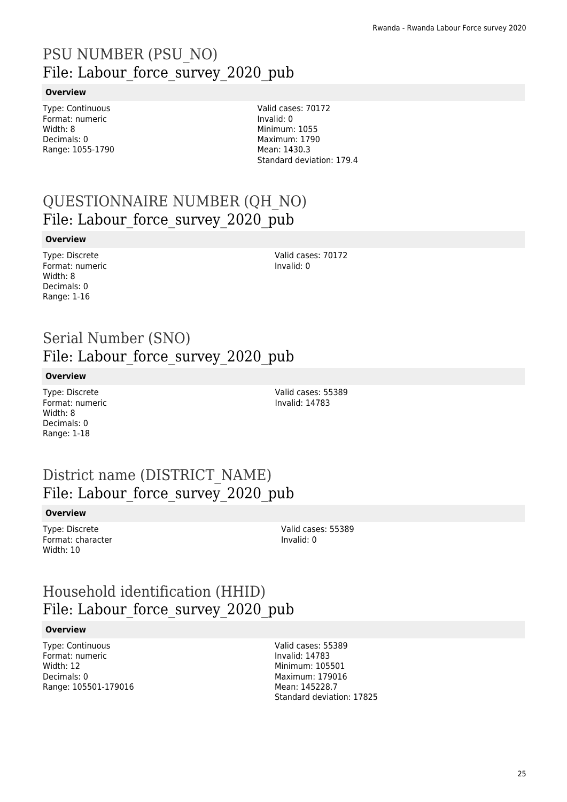### PSU NUMBER (PSU\_NO) File: Labour force survey 2020 pub

#### **Overview**

Type: Continuous Format: numeric Width: 8 Decimals: 0 Range: 1055-1790

Valid cases: 70172 Invalid: 0 Minimum: 1055 Maximum: 1790 Mean: 1430.3 Standard deviation: 179.4

### QUESTIONNAIRE NUMBER (QH\_NO) File: Labour\_force\_survey\_2020\_pub

#### **Overview**

Type: Discrete Format: numeric Width: 8 Decimals: 0 Range: 1-16

Valid cases: 70172 Invalid: 0

### Serial Number (SNO) File: Labour force survey 2020 pub

#### **Overview**

Type: Discrete Format: numeric Width: 8 Decimals: 0 Range: 1-18

Valid cases: 55389 Invalid: 14783

### District name (DISTRICT\_NAME) File: Labour force survey 2020 pub

#### **Overview**

Type: Discrete Format: character Width: 10

Valid cases: 55389 Invalid: 0

### Household identification (HHID) File: Labour force survey 2020 pub

#### **Overview**

Type: Continuous Format: numeric Width: 12 Decimals: 0 Range: 105501-179016 Valid cases: 55389 Invalid: 14783 Minimum: 105501 Maximum: 179016 Mean: 145228.7 Standard deviation: 17825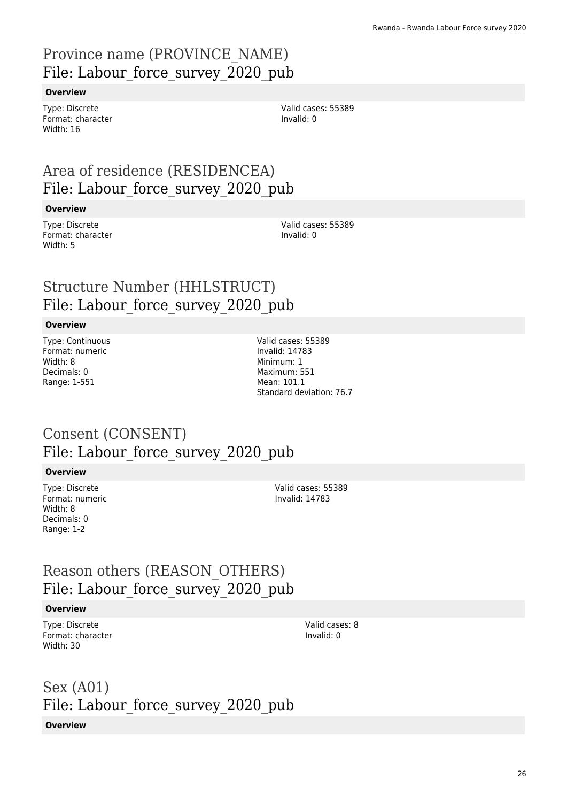### Province name (PROVINCE\_NAME) File: Labour\_force\_survey\_2020\_pub

#### **Overview**

Type: Discrete Format: character Width: 16

Valid cases: 55389 Invalid: 0

### Area of residence (RESIDENCEA) File: Labour force survey 2020 pub

#### **Overview**

Type: Discrete Format: character Width: 5

Valid cases: 55389 Invalid: 0

### Structure Number (HHLSTRUCT) File: Labour force survey 2020 pub

#### **Overview**

Type: Continuous Format: numeric Width: 8 Decimals: 0 Range: 1-551

Valid cases: 55389 Invalid: 14783 Minimum: 1 Maximum: 551 Mean: 101.1 Standard deviation: 76.7

### Consent (CONSENT) File: Labour force survey 2020 pub

#### **Overview**

Type: Discrete Format: numeric Width: 8 Decimals: 0 Range: 1-2

Valid cases: 55389 Invalid: 14783

### Reason others (REASON\_OTHERS) File: Labour force survey 2020 pub

#### **Overview**

Type: Discrete Format: character Width: 30

Valid cases: 8 Invalid: 0

### Sex (A01) File: Labour force survey 2020 pub

#### **Overview**

26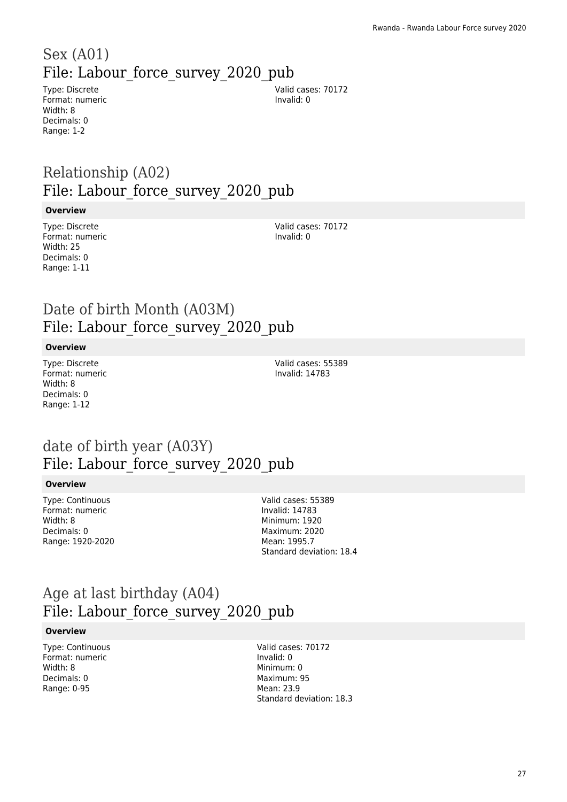## Sex (A01) File: Labour force survey 2020 pub

Type: Discrete Format: numeric Width: 8 Decimals: 0 Range: 1-2

Valid cases: 70172 Invalid: 0

### Relationship (A02) File: Labour force survey 2020 pub

#### **Overview**

Type: Discrete Format: numeric Width: 25 Decimals: 0 Range: 1-11

Valid cases: 70172 Invalid: 0

### Date of birth Month (A03M) File: Labour\_force\_survey\_2020\_pub

#### **Overview**

Type: Discrete Format: numeric Width: 8 Decimals: 0 Range: 1-12

Valid cases: 55389 Invalid: 14783

### date of birth year (A03Y) File: Labour force survey 2020 pub

#### **Overview**

Type: Continuous Format: numeric Width: 8 Decimals: 0 Range: 1920-2020 Valid cases: 55389 Invalid: 14783 Minimum: 1920 Maximum: 2020 Mean: 1995.7 Standard deviation: 18.4

### Age at last birthday (A04) File: Labour force survey 2020 pub

#### **Overview**

Type: Continuous Format: numeric Width: 8 Decimals: 0 Range: 0-95

Valid cases: 70172 Invalid: 0 Minimum: 0 Maximum: 95 Mean: 23.9 Standard deviation: 18.3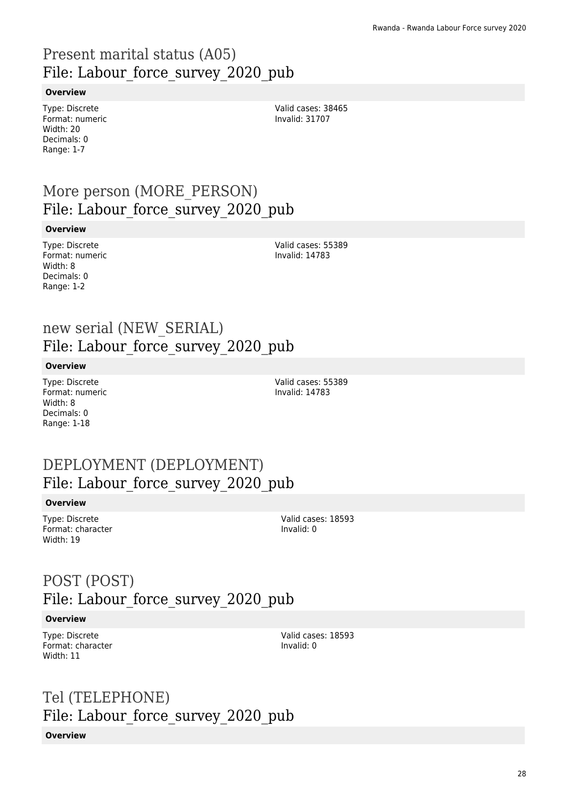### Present marital status (A05) File: Labour force survey 2020 pub

#### **Overview**

Type: Discrete Format: numeric Width: 20 Decimals: 0 Range: 1-7

Valid cases: 38465 Invalid: 31707

### More person (MORE\_PERSON) File: Labour force survey 2020 pub

#### **Overview**

Type: Discrete Format: numeric Width: 8 Decimals: 0 Range: 1-2

Valid cases: 55389 Invalid: 14783

### new serial (NEW\_SERIAL) File: Labour force survey 2020 pub

#### **Overview**

Type: Discrete Format: numeric Width: 8 Decimals: 0 Range: 1-18

Valid cases: 55389 Invalid: 14783

### DEPLOYMENT (DEPLOYMENT) File: Labour force survey 2020 pub

#### **Overview**

Type: Discrete Format: character Width: 19

Valid cases: 18593 Invalid: 0

### POST (POST) File: Labour force survey 2020 pub

#### **Overview**

Type: Discrete Format: character Width: 11

Valid cases: 18593 Invalid: 0

### Tel (TELEPHONE) File: Labour force survey 2020 pub **Overview**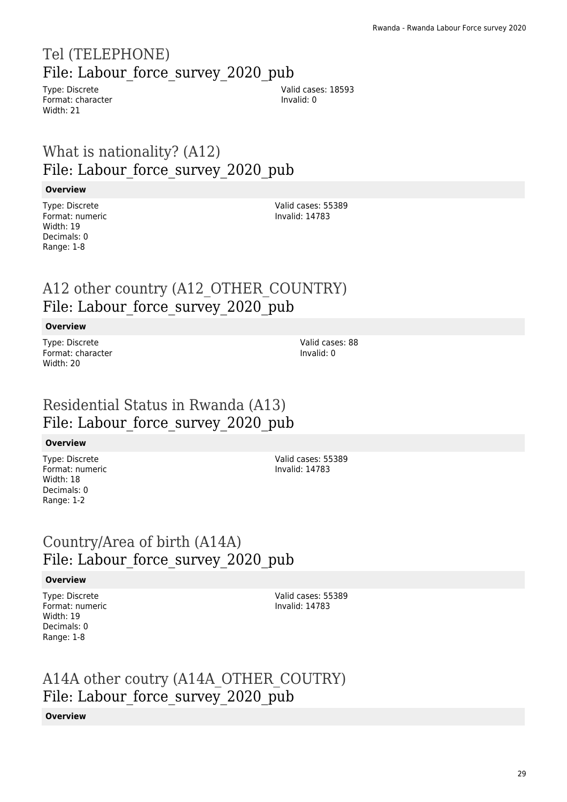### Tel (TELEPHONE) File: Labour force survey 2020 pub

Type: Discrete Format: character Width: 21

Valid cases: 18593 Invalid: 0

### What is nationality? (A12) File: Labour force survey 2020 pub

#### **Overview**

Type: Discrete Format: numeric Width: 19 Decimals: 0 Range: 1-8

Valid cases: 55389 Invalid: 14783

### A12 other country (A12\_OTHER\_COUNTRY) File: Labour\_force\_survey\_2020\_pub

#### **Overview**

Type: Discrete Format: character Width: 20

Valid cases: 88 Invalid: 0

### Residential Status in Rwanda (A13) File: Labour force survey 2020 pub

#### **Overview**

Type: Discrete Format: numeric Width: 18 Decimals: 0 Range: 1-2

Valid cases: 55389 Invalid: 14783

### Country/Area of birth (A14A) File: Labour\_force\_survey\_2020\_pub

#### **Overview**

Type: Discrete Format: numeric Width: 19 Decimals: 0 Range: 1-8

Valid cases: 55389 Invalid: 14783

### A14A other coutry (A14A\_OTHER\_COUTRY) File: Labour force survey 2020 pub

#### **Overview**

29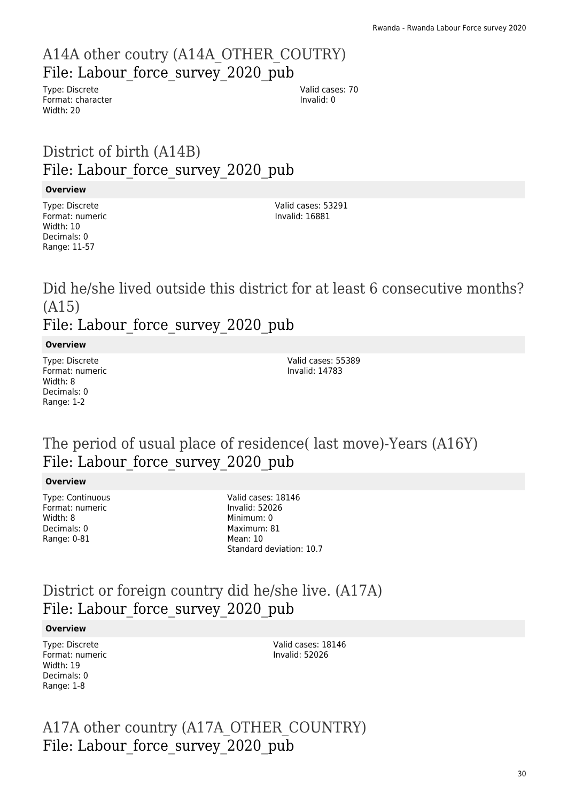### A14A other coutry (A14A\_OTHER\_COUTRY) File: Labour force\_survey\_2020\_pub

Type: Discrete Format: character Width: 20

Valid cases: 70 Invalid: 0

### District of birth (A14B) File: Labour force survey 2020 pub

#### **Overview**

Type: Discrete Format: numeric Width: 10 Decimals: 0 Range: 11-57

Valid cases: 53291 Invalid: 16881

# Did he/she lived outside this district for at least 6 consecutive months? (A15)

File: Labour force survey 2020 pub

#### **Overview**

Type: Discrete Format: numeric Width: 8 Decimals: 0 Range: 1-2

Valid cases: 55389 Invalid: 14783

### The period of usual place of residence( last move)-Years (A16Y) File: Labour force survey 2020 pub

#### **Overview**

Type: Continuous Format: numeric Width: 8 Decimals: 0 Range: 0-81

Valid cases: 18146 Invalid: 52026 Minimum: 0 Maximum: 81 Mean: 10 Standard deviation: 10.7

### District or foreign country did he/she live. (A17A) File: Labour force survey 2020 pub

#### **Overview**

Type: Discrete Format: numeric Width: 19 Decimals: 0 Range: 1-8

Valid cases: 18146 Invalid: 52026

A17A other country (A17A\_OTHER\_COUNTRY) File: Labour force survey 2020 pub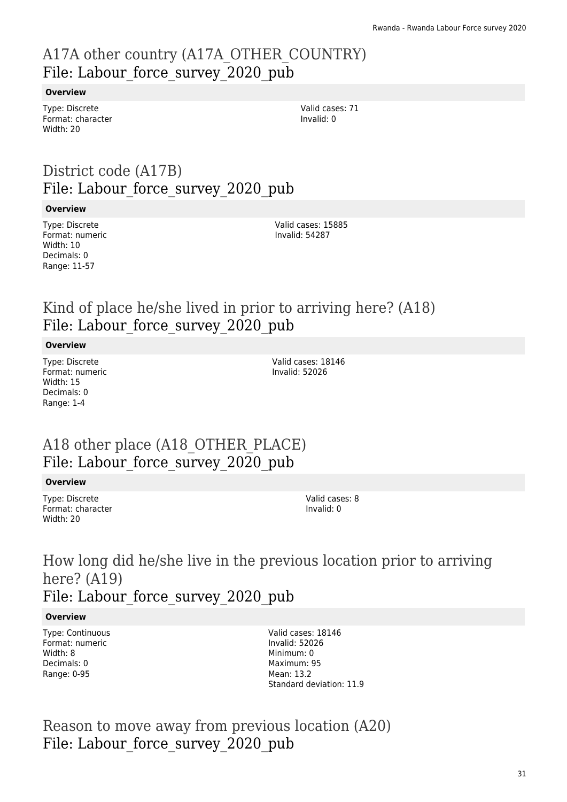### A17A other country (A17A\_OTHER\_COUNTRY) File: Labour force survey 2020 pub

#### **Overview**

Type: Discrete Format: character Width: 20

Valid cases: 71 Invalid: 0

### District code (A17B) File: Labour force survey 2020 pub

#### **Overview**

Type: Discrete Format: numeric Width: 10 Decimals: 0 Range: 11-57

Valid cases: 15885 Invalid: 54287

### Kind of place he/she lived in prior to arriving here? (A18) File: Labour force survey 2020 pub

#### **Overview**

Type: Discrete Format: numeric Width: 15 Decimals: 0 Range: 1-4

Valid cases: 18146 Invalid: 52026

### A18 other place (A18\_OTHER\_PLACE) File: Labour force survey 2020 pub

#### **Overview**

Type: Discrete Format: character Width: 20

Valid cases: 8 Invalid: 0

### How long did he/she live in the previous location prior to arriving here? (A19) File: Labour force survey 2020 pub

#### **Overview**

Type: Continuous Format: numeric Width: 8 Decimals: 0 Range: 0-95

Valid cases: 18146 Invalid: 52026 Minimum: 0 Maximum: 95 Mean: 13.2 Standard deviation: 11.9

Reason to move away from previous location (A20) File: Labour force survey 2020 pub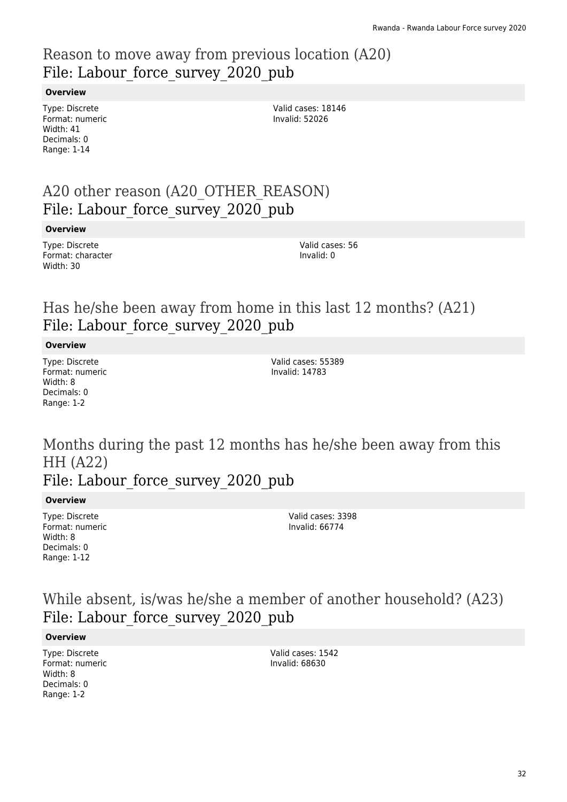### Reason to move away from previous location (A20) File: Labour force survey 2020 pub

#### **Overview**

Type: Discrete Format: numeric Width: 41 Decimals: 0 Range: 1-14

Valid cases: 18146 Invalid: 52026

### A20 other reason (A20\_OTHER\_REASON) File: Labour force survey 2020 pub

#### **Overview**

Type: Discrete Format: character Width: 30

Valid cases: 56 Invalid: 0

### Has he/she been away from home in this last 12 months? (A21) File: Labour force survey 2020 pub

#### **Overview**

Type: Discrete Format: numeric Width: 8 Decimals: 0 Range: 1-2

Valid cases: 55389 Invalid: 14783

### Months during the past 12 months has he/she been away from this HH (A22) File: Labour force survey 2020 pub

#### **Overview**

Type: Discrete Format: numeric Width: 8 Decimals: 0 Range: 1-12

Valid cases: 3398 Invalid: 66774

### While absent, is/was he/she a member of another household? (A23) File: Labour\_force\_survey\_2020\_pub

#### **Overview**

Type: Discrete Format: numeric Width: 8 Decimals: 0 Range: 1-2

Valid cases: 1542 Invalid: 68630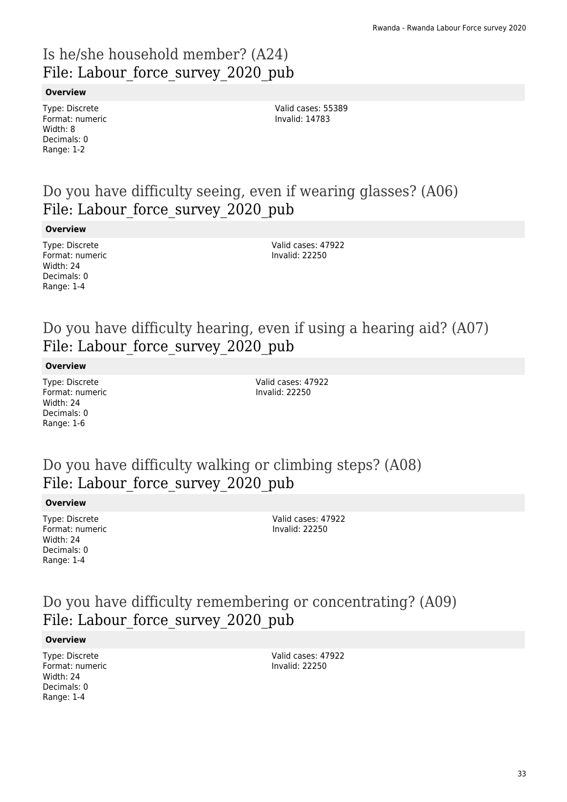### Is he/she household member? (A24) File: Labour force survey 2020 pub

#### **Overview**

Type: Discrete Format: numeric Width: 8 Decimals: 0 Range: 1-2

Valid cases: 55389 Invalid: 14783

### Do you have difficulty seeing, even if wearing glasses? (A06) File: Labour force survey 2020 pub

#### **Overview**

Type: Discrete Format: numeric Width: 24 Decimals: 0 Range: 1-4

Valid cases: 47922 Invalid: 22250

### Do you have difficulty hearing, even if using a hearing aid? (A07) File: Labour force survey 2020 pub

#### **Overview**

Type: Discrete Format: numeric Width: 24 Decimals: 0 Range: 1-6

Valid cases: 47922 Invalid: 22250

### Do you have difficulty walking or climbing steps? (A08) File: Labour force survey 2020 pub

#### **Overview**

Type: Discrete Format: numeric Width: 24 Decimals: 0 Range: 1-4

Valid cases: 47922 Invalid: 22250

### Do you have difficulty remembering or concentrating? (A09) File: Labour force survey 2020 pub

#### **Overview**

Type: Discrete Format: numeric Width: 24 Decimals: 0 Range: 1-4

Valid cases: 47922 Invalid: 22250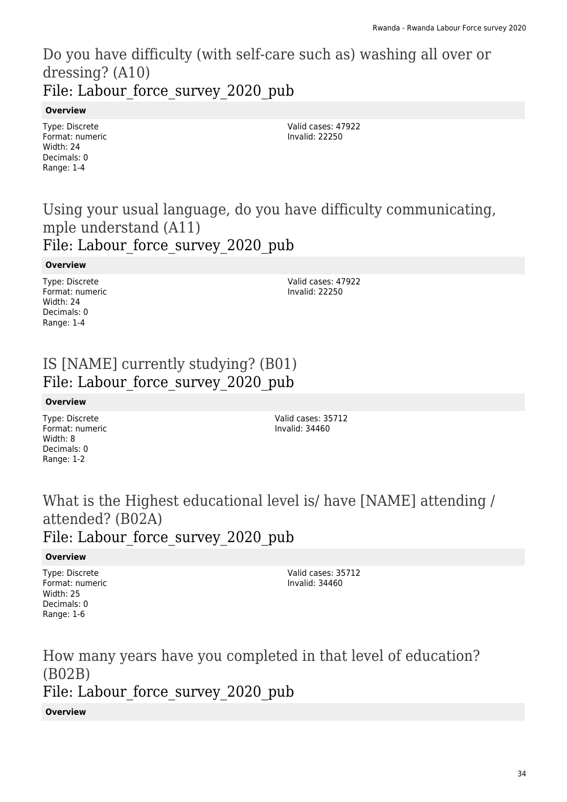### Do you have difficulty (with self-care such as) washing all over or dressing? (A10) File: Labour force survey 2020 pub

#### **Overview**

Type: Discrete Format: numeric Width: 24 Decimals: 0 Range: 1-4

Valid cases: 47922 Invalid: 22250

### Using your usual language, do you have difficulty communicating, mple understand (A11) File: Labour force survey 2020 pub

#### **Overview**

Type: Discrete Format: numeric Width: 24 Decimals: 0 Range: 1-4

Valid cases: 47922 Invalid: 22250

### IS [NAME] currently studying? (B01) File: Labour force survey 2020 pub

#### **Overview**

Type: Discrete Format: numeric Width: 8 Decimals: 0 Range: 1-2

Valid cases: 35712 Invalid: 34460

### What is the Highest educational level is/ have [NAME] attending / attended? (B02A) File: Labour force survey 2020 pub

#### **Overview**

Type: Discrete Format: numeric Width: 25 Decimals: 0 Range: 1-6

Valid cases: 35712 Invalid: 34460

How many years have you completed in that level of education? (B02B) File: Labour force survey 2020 pub

#### **Overview**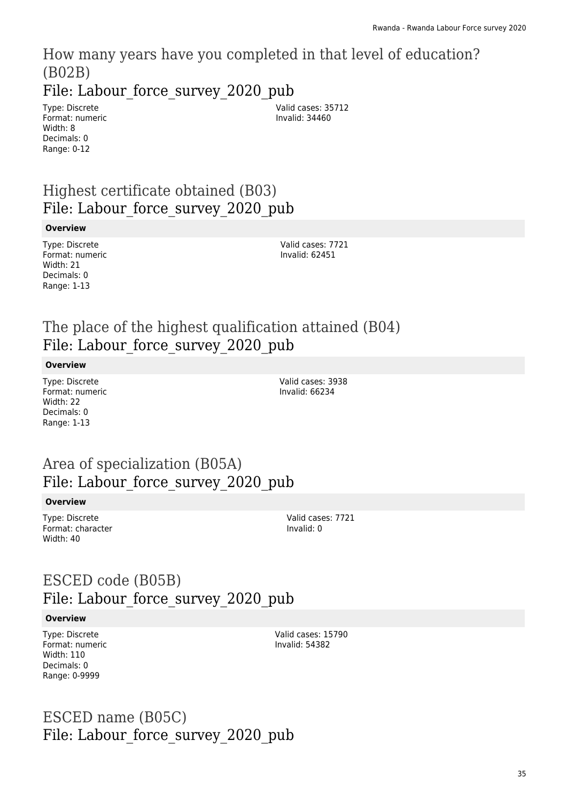How many years have you completed in that level of education? (B02B) File: Labour force survey 2020 pub

Type: Discrete Format: numeric Width: 8 Decimals: 0 Range: 0-12

Valid cases: 35712 Invalid: 34460

### Highest certificate obtained (B03) File: Labour force survey 2020 pub

#### **Overview**

Type: Discrete Format: numeric Width: 21 Decimals: 0 Range: 1-13

Valid cases: 7721 Invalid: 62451

### The place of the highest qualification attained (B04) File: Labour force survey 2020 pub

#### **Overview**

Type: Discrete Format: numeric Width: 22 Decimals: 0 Range: 1-13

Valid cases: 3938 Invalid: 66234

### Area of specialization (B05A) File: Labour force survey 2020 pub

#### **Overview**

Type: Discrete Format: character Width: 40

Valid cases: 7721 Invalid: 0

### ESCED code (B05B) File: Labour force survey 2020 pub

#### **Overview**

Type: Discrete Format: numeric Width: 110 Decimals: 0 Range: 0-9999

Valid cases: 15790 Invalid: 54382

### ESCED name (B05C) File: Labour force survey 2020 pub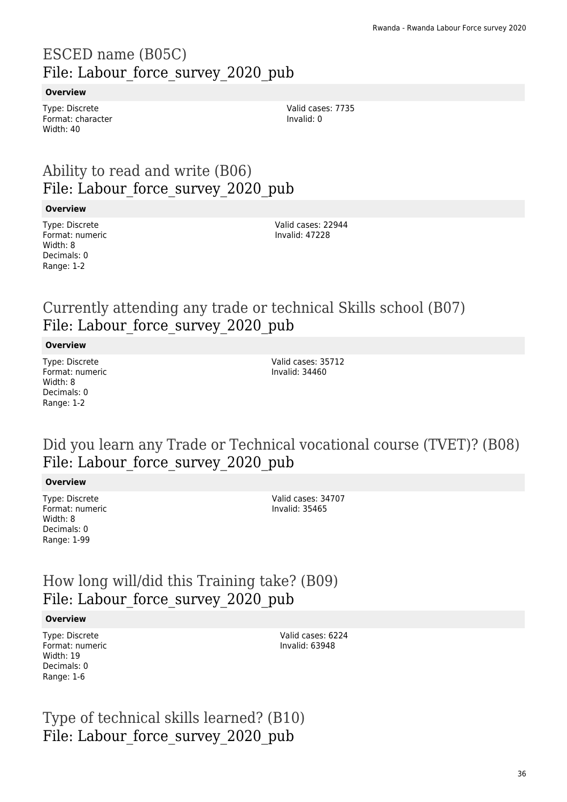### ESCED name (B05C) File: Labour force survey 2020 pub

#### **Overview**

Type: Discrete Format: character Width: 40

Valid cases: 7735 Invalid: 0

### Ability to read and write (B06) File: Labour force survey 2020 pub

#### **Overview**

Type: Discrete Format: numeric Width: 8 Decimals: 0 Range: 1-2

Valid cases: 22944 Invalid: 47228

### Currently attending any trade or technical Skills school (B07) File: Labour force survey 2020 pub

#### **Overview**

Type: Discrete Format: numeric Width: 8 Decimals: 0 Range: 1-2

Valid cases: 35712 Invalid: 34460

### Did you learn any Trade or Technical vocational course (TVET)? (B08) File: Labour force survey 2020 pub

#### **Overview**

Type: Discrete Format: numeric Width: 8 Decimals: 0 Range: 1-99

Valid cases: 34707 Invalid: 35465

### How long will/did this Training take? (B09) File: Labour force survey 2020 pub

#### **Overview**

Type: Discrete Format: numeric Width: 19 Decimals: 0 Range: 1-6

Valid cases: 6224 Invalid: 63948

Type of technical skills learned? (B10) File: Labour force survey 2020 pub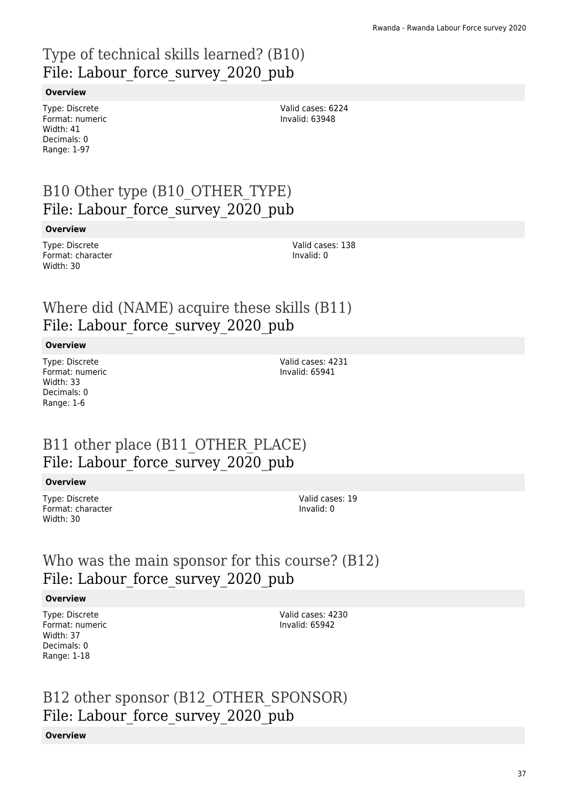# Type of technical skills learned? (B10) File: Labour force survey 2020 pub

#### **Overview**

Type: Discrete Format: numeric Width: 41 Decimals: 0 Range: 1-97

Valid cases: 6224 Invalid: 63948

## B10 Other type (B10\_OTHER\_TYPE) File: Labour force survey 2020 pub

#### **Overview**

Type: Discrete Format: character Width: 30

Valid cases: 138 Invalid: 0

## Where did (NAME) acquire these skills (B11) File: Labour force survey 2020 pub

#### **Overview**

Type: Discrete Format: numeric Width: 33 Decimals: 0 Range: 1-6

Valid cases: 4231 Invalid: 65941

## B11 other place (B11\_OTHER\_PLACE) File: Labour force survey 2020 pub

#### **Overview**

Type: Discrete Format: character Width: 30

Valid cases: 19 Invalid: 0

## Who was the main sponsor for this course? (B12) File: Labour force survey 2020 pub

#### **Overview**

Type: Discrete Format: numeric Width: 37 Decimals: 0 Range: 1-18

Valid cases: 4230 Invalid: 65942

# B12 other sponsor (B12\_OTHER\_SPONSOR) File: Labour force survey 2020 pub

### **Overview**

37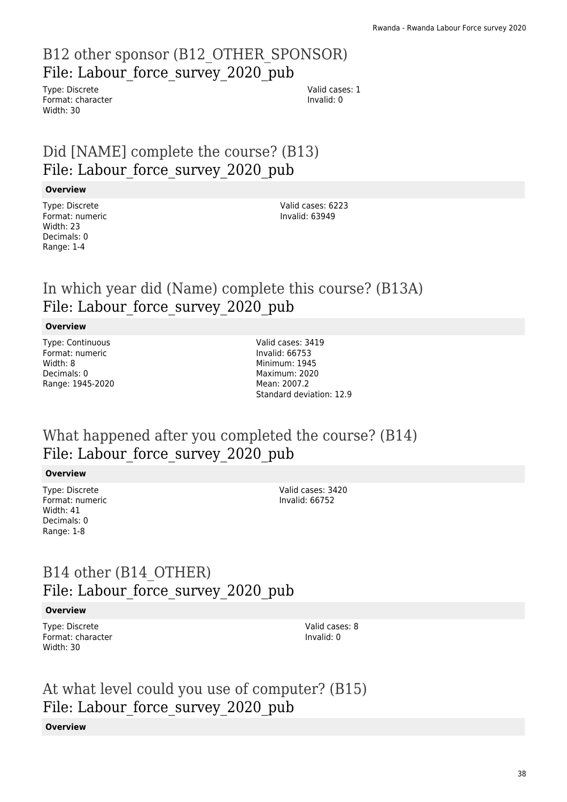# B12 other sponsor (B12\_OTHER\_SPONSOR) File: Labour force\_survey\_2020\_pub

Type: Discrete Format: character Width: 30

Valid cases: 1 Invalid: 0

# Did [NAME] complete the course? (B13) File: Labour force survey 2020 pub

#### **Overview**

Type: Discrete Format: numeric Width: 23 Decimals: 0 Range: 1-4

Valid cases: 6223 Invalid: 63949

## In which year did (Name) complete this course? (B13A) File: Labour force survey 2020 pub

### **Overview**

Type: Continuous Format: numeric Width: 8 Decimals: 0 Range: 1945-2020 Valid cases: 3419 Invalid: 66753 Minimum: 1945 Maximum: 2020 Mean: 2007.2 Standard deviation: 12.9

## What happened after you completed the course? (B14) File: Labour force survey 2020 pub

### **Overview**

Type: Discrete Format: numeric Width: 41 Decimals: 0 Range: 1-8

Valid cases: 3420 Invalid: 66752

## B14 other (B14\_OTHER) File: Labour force survey 2020 pub

### **Overview**

Type: Discrete Format: character Width: 30

Valid cases: 8 Invalid: 0

## At what level could you use of computer? (B15) File: Labour force survey 2020 pub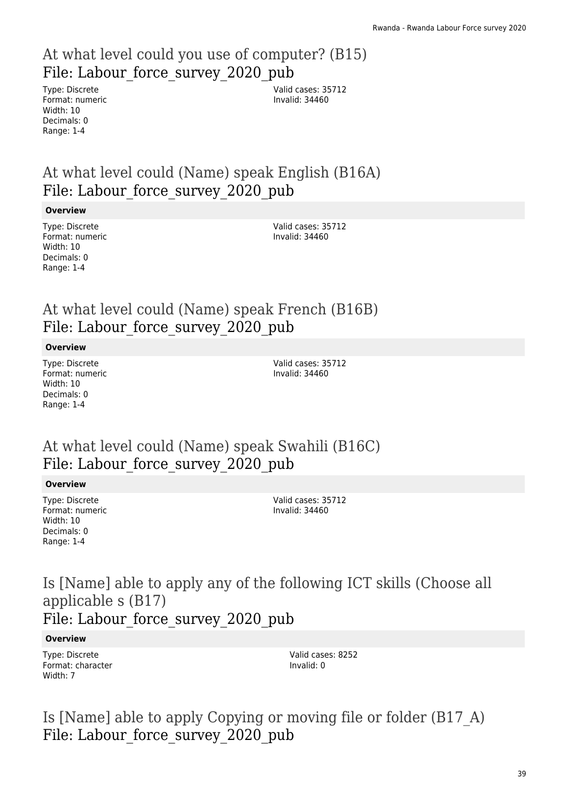# At what level could you use of computer? (B15) File: Labour force survey 2020 pub

Type: Discrete Format: numeric Width: 10 Decimals: 0 Range: 1-4

Valid cases: 35712 Invalid: 34460

# At what level could (Name) speak English (B16A) File: Labour force survey 2020 pub

### **Overview**

Type: Discrete Format: numeric Width: 10 Decimals: 0 Range: 1-4

Valid cases: 35712 Invalid: 34460

# At what level could (Name) speak French (B16B) File: Labour force survey 2020 pub

### **Overview**

Type: Discrete Format: numeric Width: 10 Decimals: 0 Range: 1-4

Valid cases: 35712 Invalid: 34460

## At what level could (Name) speak Swahili (B16C) File: Labour force survey 2020 pub

### **Overview**

Type: Discrete Format: numeric Width: 10 Decimals: 0 Range: 1-4

Valid cases: 35712 Invalid: 34460

## Is [Name] able to apply any of the following ICT skills (Choose all applicable s (B17) File: Labour force survey 2020 pub

### **Overview**

Type: Discrete Format: character Width: 7

Valid cases: 8252 Invalid: 0

Is [Name] able to apply Copying or moving file or folder (B17\_A) File: Labour force survey 2020 pub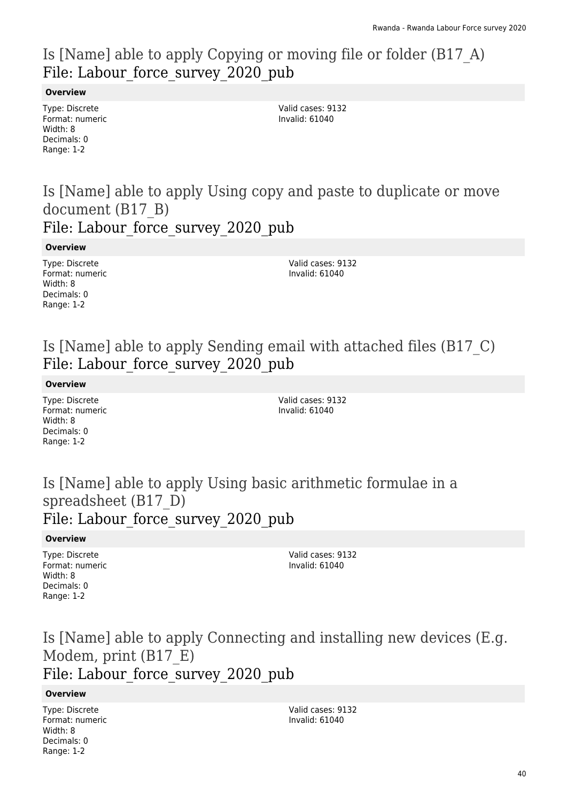# Is [Name] able to apply Copying or moving file or folder (B17\_A) File: Labour force survey 2020 pub

#### **Overview**

Type: Discrete Format: numeric Width: 8 Decimals: 0 Range: 1-2

Valid cases: 9132 Invalid: 61040

Is [Name] able to apply Using copy and paste to duplicate or move document (B17\_B)

File: Labour force survey 2020 pub

**Overview**

Type: Discrete Format: numeric Width: 8 Decimals: 0 Range: 1-2

Valid cases: 9132 Invalid: 61040

# Is [Name] able to apply Sending email with attached files (B17\_C) File: Labour force survey 2020 pub

**Overview**

Type: Discrete Format: numeric Width: 8 Decimals: 0 Range: 1-2

Valid cases: 9132 Invalid: 61040

## Is [Name] able to apply Using basic arithmetic formulae in a spreadsheet (B17\_D) File: Labour force survey 2020 pub

### **Overview**

Type: Discrete Format: numeric Width: 8 Decimals: 0 Range: 1-2

Valid cases: 9132 Invalid: 61040

## Is [Name] able to apply Connecting and installing new devices (E.g. Modem, print (B17\_E) File: Labour force survey 2020 pub

### **Overview**

Type: Discrete Format: numeric Width: 8 Decimals: 0 Range: 1-2

Valid cases: 9132 Invalid: 61040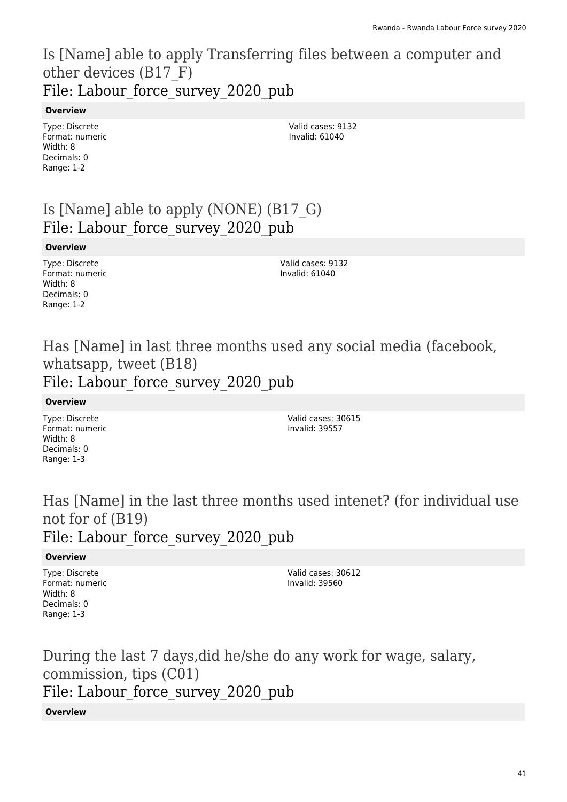## Is [Name] able to apply Transferring files between a computer and other devices (B17\_F) File: Labour force survey 2020 pub

### **Overview**

Type: Discrete Format: numeric Width: 8 Decimals: 0 Range: 1-2

Valid cases: 9132 Invalid: 61040

# Is [Name] able to apply (NONE) (B17\_G) File: Labour force survey 2020 pub

### **Overview**

Type: Discrete Format: numeric Width: 8 Decimals: 0 Range: 1-2

Valid cases: 9132 Invalid: 61040

## Has [Name] in last three months used any social media (facebook, whatsapp, tweet (B18) File: Labour force survey 2020 pub

### **Overview**

Type: Discrete Format: numeric Width: 8 Decimals: 0 Range: 1-3

Valid cases: 30615 Invalid: 39557

Has [Name] in the last three months used intenet? (for individual use not for of (B19) File: Labour force survey 2020 pub

### **Overview**

Type: Discrete Format: numeric Width: 8 Decimals: 0 Range: 1-3

Valid cases: 30612 Invalid: 39560

During the last 7 days,did he/she do any work for wage, salary, commission, tips (C01) File: Labour force survey 2020 pub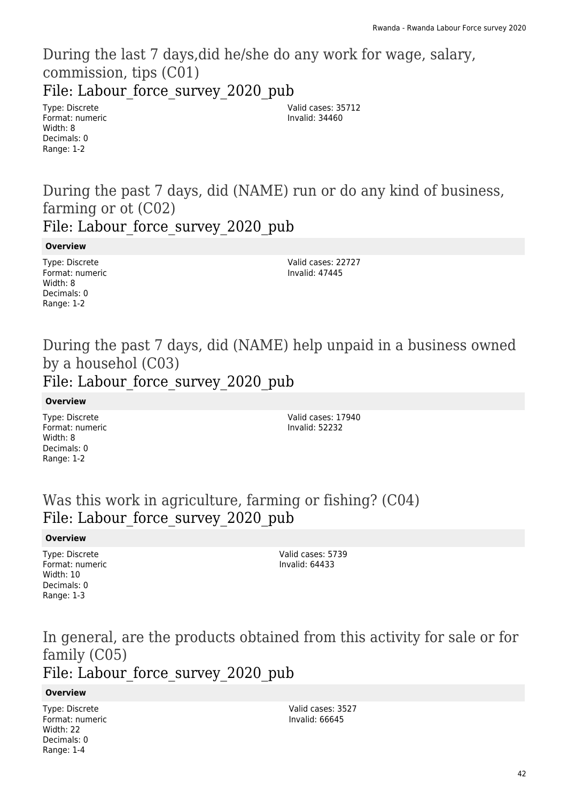During the last 7 days,did he/she do any work for wage, salary, commission, tips (C01) File: Labour force survey 2020 pub

Type: Discrete Format: numeric Width: 8 Decimals: 0 Range: 1-2

Valid cases: 35712 Invalid: 34460

During the past 7 days, did (NAME) run or do any kind of business, farming or ot (C02) File: Labour force survey 2020 pub

**Overview**

Type: Discrete Format: numeric Width: 8 Decimals: 0 Range: 1-2

Valid cases: 22727 Invalid: 47445

## During the past 7 days, did (NAME) help unpaid in a business owned by a househol (C03) File: Labour force survey 2020 pub

### **Overview**

Type: Discrete Format: numeric Width: 8 Decimals: 0 Range: 1-2

Valid cases: 17940 Invalid: 52232

Was this work in agriculture, farming or fishing? (C04) File: Labour force survey 2020 pub

### **Overview**

Type: Discrete Format: numeric Width: 10 Decimals: 0 Range: 1-3

Valid cases: 5739 Invalid: 64433

In general, are the products obtained from this activity for sale or for family (C05) File: Labour force survey 2020 pub

### **Overview**

Type: Discrete Format: numeric Width: 22 Decimals: 0 Range: 1-4

Valid cases: 3527 Invalid: 66645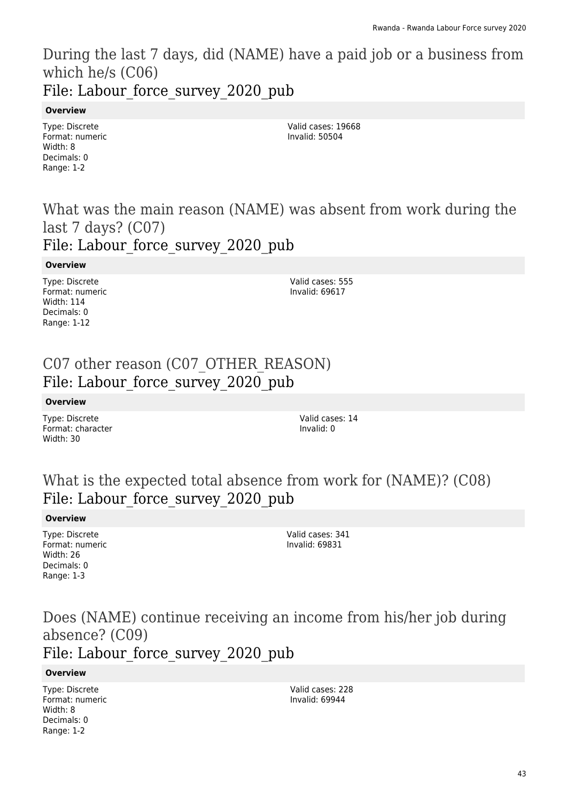During the last 7 days, did (NAME) have a paid job or a business from which he/s (C06) File: Labour force survey 2020 pub

#### **Overview**

Type: Discrete Format: numeric Width: 8 Decimals: 0 Range: 1-2

Valid cases: 19668 Invalid: 50504

## What was the main reason (NAME) was absent from work during the last 7 days? (C07) File: Labour force survey 2020 pub

#### **Overview**

Type: Discrete Format: numeric Width: 114 Decimals: 0 Range: 1-12

Valid cases: 555 Invalid: 69617

## C07 other reason (C07\_OTHER\_REASON) File: Labour force survey 2020 pub

#### **Overview**

Type: Discrete Format: character Width: 30

Valid cases: 14 Invalid: 0

## What is the expected total absence from work for (NAME)? (C08) File: Labour force survey 2020 pub

#### **Overview**

Type: Discrete Format: numeric Width: 26 Decimals: 0 Range: 1-3

Valid cases: 341 Invalid: 69831

# Does (NAME) continue receiving an income from his/her job during absence? (C09)

## File: Labour force survey 2020 pub

### **Overview**

Type: Discrete Format: numeric Width: 8 Decimals: 0 Range: 1-2

Valid cases: 228 Invalid: 69944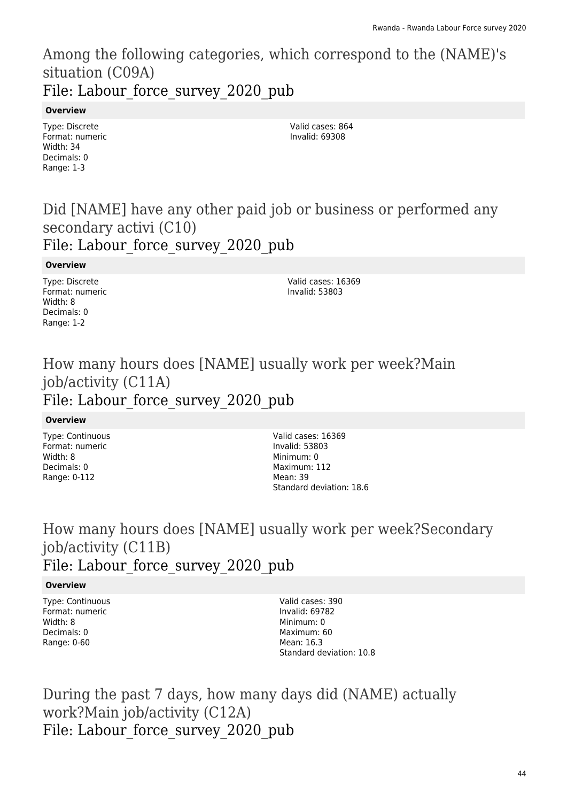## Among the following categories, which correspond to the (NAME)'s situation (C09A) File: Labour force survey 2020 pub

### **Overview**

Type: Discrete Format: numeric Width: 34 Decimals: 0 Range: 1-3

Valid cases: 864 Invalid: 69308

## Did [NAME] have any other paid job or business or performed any secondary activi (C10) File: Labour force survey 2020 pub

### **Overview**

Type: Discrete Format: numeric Width: 8 Decimals: 0 Range: 1-2

Valid cases: 16369 Invalid: 53803

## How many hours does [NAME] usually work per week?Main job/activity (C11A) File: Labour force survey 2020 pub

### **Overview**

Type: Continuous Format: numeric Width: 8 Decimals: 0 Range: 0-112

Valid cases: 16369 Invalid: 53803 Minimum: 0 Maximum: 112 Mean: 39 Standard deviation: 18.6

## How many hours does [NAME] usually work per week?Secondary job/activity (C11B) File: Labour force survey 2020 pub

### **Overview**

Type: Continuous Format: numeric Width: 8 Decimals: 0 Range: 0-60

Valid cases: 390 Invalid: 69782 Minimum: 0 Maximum: 60 Mean: 16.3 Standard deviation: 10.8

During the past 7 days, how many days did (NAME) actually work?Main job/activity (C12A) File: Labour force survey 2020 pub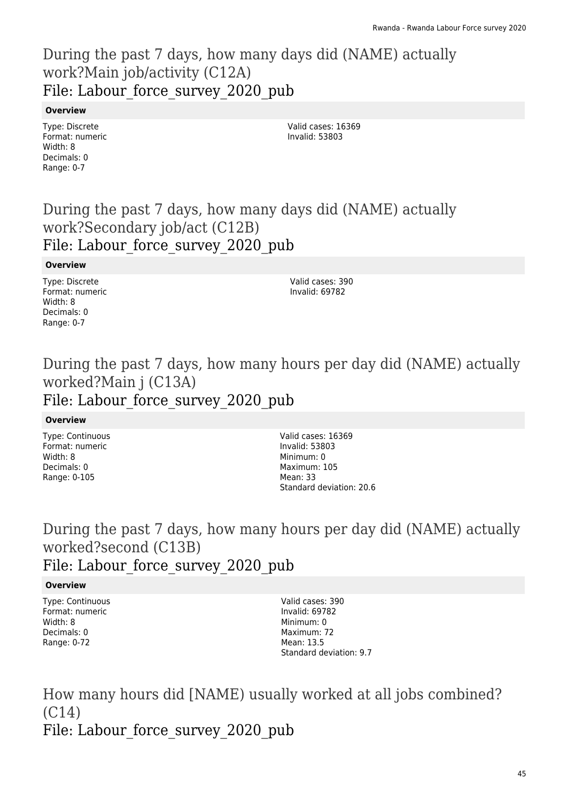## During the past 7 days, how many days did (NAME) actually work?Main job/activity (C12A) File: Labour force survey 2020 pub

### **Overview**

Type: Discrete Format: numeric Width: 8 Decimals: 0 Range: 0-7

Valid cases: 16369 Invalid: 53803

## During the past 7 days, how many days did (NAME) actually work?Secondary job/act (C12B) File: Labour force survey 2020 pub

### **Overview**

Type: Discrete Format: numeric Width: 8 Decimals: 0 Range: 0-7

Valid cases: 390 Invalid: 69782

# During the past 7 days, how many hours per day did (NAME) actually worked?Main j (C13A)

# File: Labour force survey 2020 pub

### **Overview**

Type: Continuous Format: numeric Width: 8 Decimals: 0 Range: 0-105

Valid cases: 16369 Invalid: 53803 Minimum: 0 Maximum: 105 Mean: 33 Standard deviation: 20.6

## During the past 7 days, how many hours per day did (NAME) actually worked?second (C13B) File: Labour force survey 2020 pub

### **Overview**

Type: Continuous Format: numeric Width: 8 Decimals: 0 Range: 0-72

Valid cases: 390 Invalid: 69782 Minimum: 0 Maximum: 72 Mean: 13.5 Standard deviation: 9.7

How many hours did [NAME) usually worked at all jobs combined? (C14) File: Labour force survey 2020 pub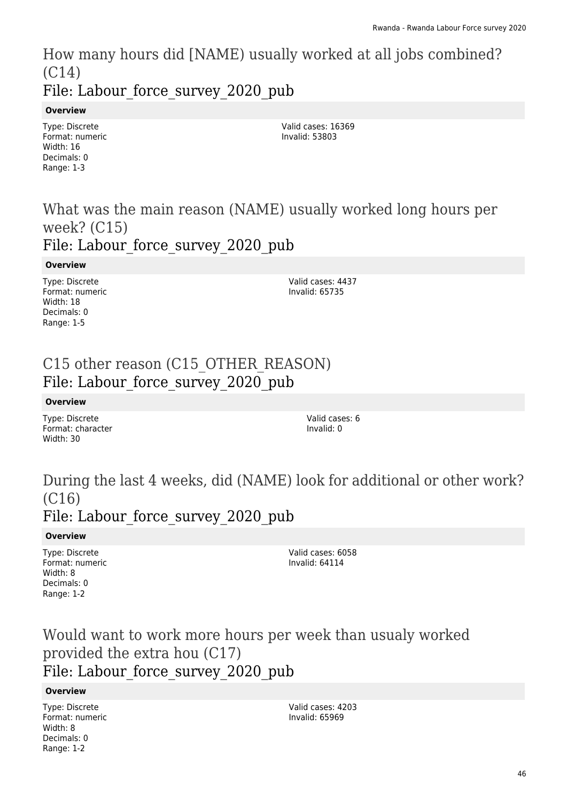How many hours did [NAME) usually worked at all jobs combined? (C14) File: Labour force survey 2020 pub

### **Overview**

Type: Discrete Format: numeric Width: 16 Decimals: 0 Range: 1-3

Valid cases: 16369 Invalid: 53803

## What was the main reason (NAME) usually worked long hours per week? (C15) File: Labour force survey 2020 pub

#### **Overview**

Type: Discrete Format: numeric Width: 18 Decimals: 0 Range: 1-5

Valid cases: 4437 Invalid: 65735

## C15 other reason (C15 OTHER REASON) File: Labour force survey 2020 pub

#### **Overview**

Type: Discrete Format: character Width: 30

Valid cases: 6 Invalid: 0

# During the last 4 weeks, did (NAME) look for additional or other work? (C16)

## File: Labour force survey 2020 pub

### **Overview**

Type: Discrete Format: numeric Width: 8 Decimals: 0 Range: 1-2

Valid cases: 6058 Invalid: 64114

Would want to work more hours per week than usualy worked provided the extra hou (C17) File: Labour force survey 2020 pub

#### **Overview**

Type: Discrete Format: numeric Width: 8 Decimals: 0 Range: 1-2

Valid cases: 4203 Invalid: 65969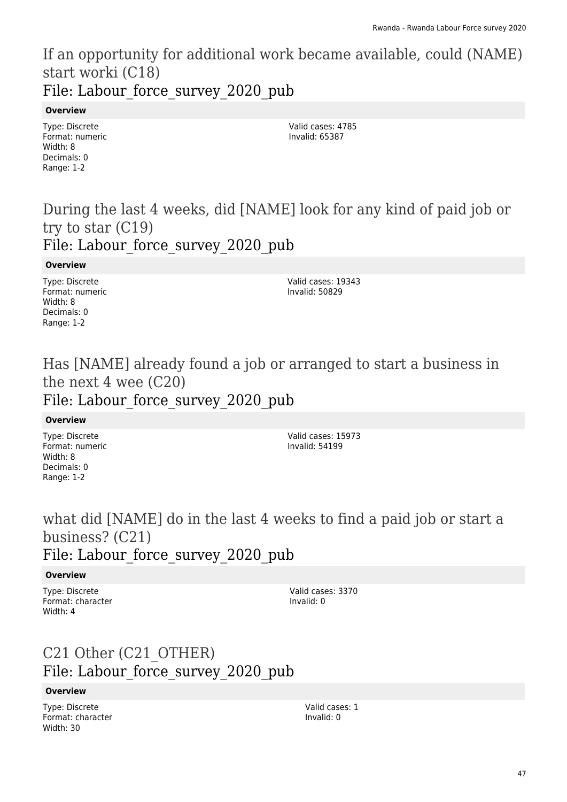If an opportunity for additional work became available, could (NAME) start worki (C18) File: Labour force survey 2020 pub

#### **Overview**

Type: Discrete Format: numeric Width: 8 Decimals: 0 Range: 1-2

Valid cases: 4785 Invalid: 65387

## During the last 4 weeks, did [NAME] look for any kind of paid job or try to star (C19) File: Labour force survey 2020 pub

#### **Overview**

Type: Discrete Format: numeric Width: 8 Decimals: 0 Range: 1-2

Valid cases: 19343 Invalid: 50829

# Has [NAME] already found a job or arranged to start a business in the next 4 wee (C20)

# File: Labour\_force\_survey\_2020\_pub

#### **Overview**

Type: Discrete Format: numeric Width: 8 Decimals: 0 Range: 1-2

Valid cases: 15973 Invalid: 54199

# what did [NAME] do in the last 4 weeks to find a paid job or start a business? (C21)

### File: Labour force survey 2020 pub

### **Overview**

Type: Discrete Format: character Width: 4

Valid cases: 3370 Invalid: 0

# C21 Other (C21\_OTHER) File: Labour force survey 2020 pub

#### **Overview**

Type: Discrete Format: character Width: 30

Valid cases: 1 Invalid: 0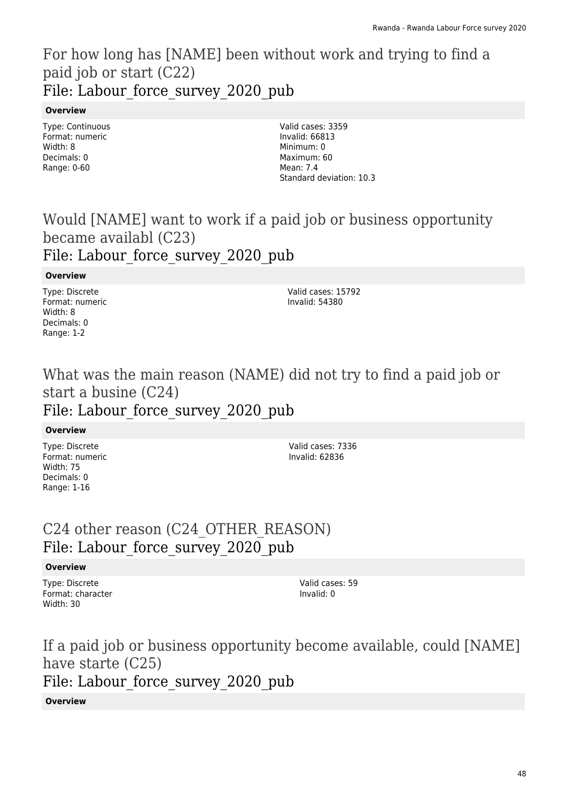## For how long has [NAME] been without work and trying to find a paid job or start (C22) File: Labour force survey 2020 pub

### **Overview**

Type: Continuous Format: numeric Width: 8 Decimals: 0 Range: 0-60

Valid cases: 3359 Invalid: 66813 Minimum: 0 Maximum: 60 Mean: 7.4 Standard deviation: 10.3

# Would [NAME] want to work if a paid job or business opportunity became availabl (C23)

### File: Labour force survey 2020 pub

### **Overview**

Type: Discrete Format: numeric Width: 8 Decimals: 0 Range: 1-2

Valid cases: 15792 Invalid: 54380

## What was the main reason (NAME) did not try to find a paid job or start a busine (C24) File: Labour force survey 2020 pub

### **Overview**

Type: Discrete Format: numeric Width: 75 Decimals: 0 Range: 1-16

Valid cases: 7336 Invalid: 62836

## C24 other reason (C24\_OTHER\_REASON) File: Labour force survey 2020 pub

### **Overview**

Type: Discrete Format: character Width: 30

Valid cases: 59 Invalid: 0

If a paid job or business opportunity become available, could [NAME] have starte (C25) File: Labour force survey 2020 pub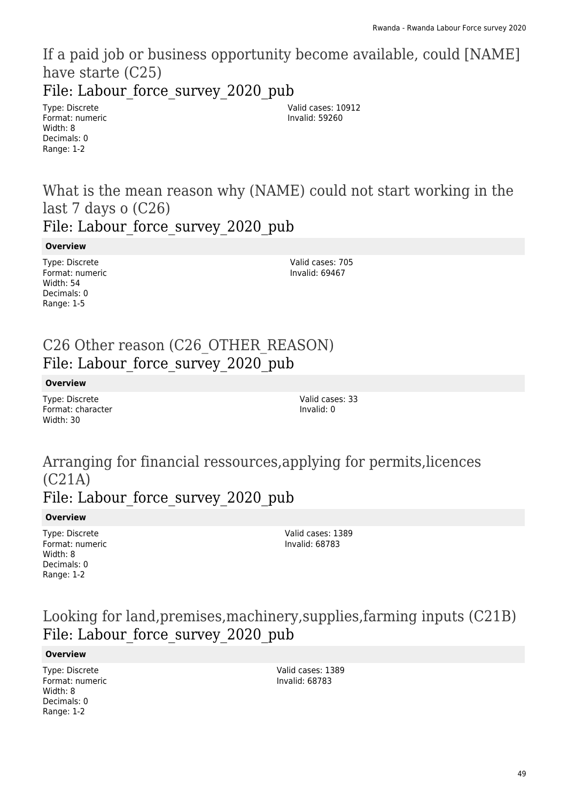If a paid job or business opportunity become available, could [NAME] have starte (C25)

File: Labour force\_survey\_2020\_pub

Type: Discrete Format: numeric Width: 8 Decimals: 0 Range: 1-2

Valid cases: 10912 Invalid: 59260

What is the mean reason why (NAME) could not start working in the last 7 days o (C26) File: Labour force survey 2020 pub

**Overview**

Type: Discrete Format: numeric Width: 54 Decimals: 0 Range: 1-5

Valid cases: 705 Invalid: 69467

## C26 Other reason (C26\_OTHER\_REASON) File: Labour force survey 2020 pub

**Overview**

Type: Discrete Format: character Width: 30

Valid cases: 33 Invalid: 0

## Arranging for financial ressources,applying for permits,licences (C21A) File: Labour force survey 2020 pub

#### **Overview**

Type: Discrete Format: numeric Width: 8 Decimals: 0 Range: 1-2

Valid cases: 1389 Invalid: 68783

## Looking for land,premises,machinery,supplies,farming inputs (C21B) File: Labour force survey 2020 pub

#### **Overview**

Type: Discrete Format: numeric Width: 8 Decimals: 0 Range: 1-2

Valid cases: 1389 Invalid: 68783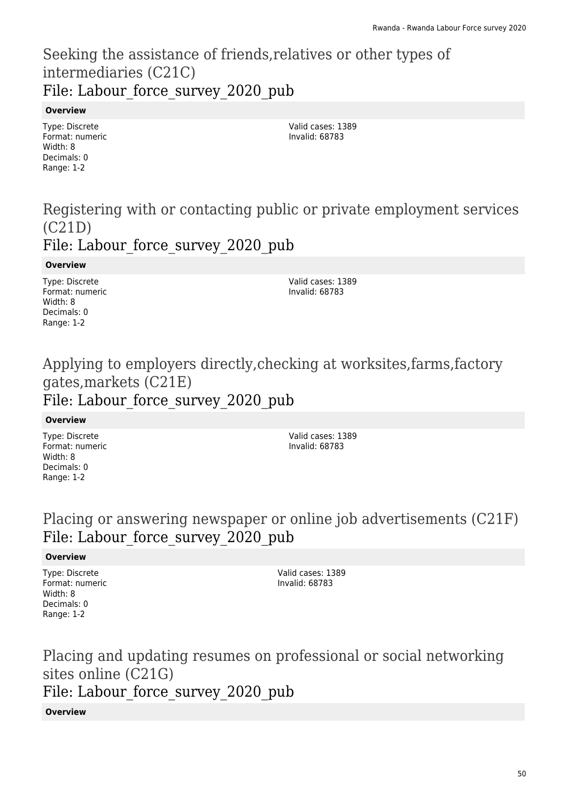## Seeking the assistance of friends,relatives or other types of intermediaries (C21C) File: Labour force survey 2020 pub

### **Overview**

Type: Discrete Format: numeric Width: 8 Decimals: 0 Range: 1-2

Valid cases: 1389 Invalid: 68783

## Registering with or contacting public or private employment services (C21D) File: Labour force survey 2020 pub

### **Overview**

Type: Discrete Format: numeric Width: 8 Decimals: 0 Range: 1-2

Valid cases: 1389 Invalid: 68783

# Applying to employers directly,checking at worksites,farms,factory gates,markets (C21E)

# File: Labour\_force\_survey\_2020\_pub

### **Overview**

Type: Discrete Format: numeric Width: 8 Decimals: 0 Range: 1-2

Valid cases: 1389 Invalid: 68783

## Placing or answering newspaper or online job advertisements (C21F) File: Labour force survey 2020 pub

### **Overview**

Type: Discrete Format: numeric Width: 8 Decimals: 0 Range: 1-2

Valid cases: 1389 Invalid: 68783

Placing and updating resumes on professional or social networking sites online (C21G) File: Labour force survey 2020 pub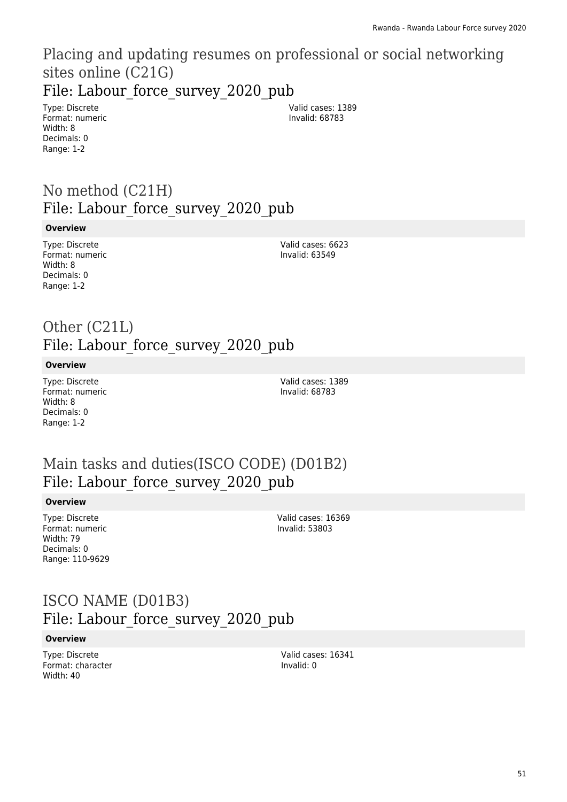# Placing and updating resumes on professional or social networking sites online (C21G)

File: Labour force\_survey\_2020\_pub

Type: Discrete Format: numeric Width: 8 Decimals: 0 Range: 1-2

Valid cases: 1389 Invalid: 68783

# No method (C21H) File: Labour force survey 2020 pub

#### **Overview**

Type: Discrete Format: numeric Width: 8 Decimals: 0 Range: 1-2

Valid cases: 6623 Invalid: 63549

## Other (C21L) File: Labour force survey 2020 pub

#### **Overview**

Type: Discrete Format: numeric Width: 8 Decimals: 0 Range: 1-2

Valid cases: 1389 Invalid: 68783

## Main tasks and duties(ISCO CODE) (D01B2) File: Labour force survey 2020 pub

### **Overview**

Type: Discrete Format: numeric Width: 79 Decimals: 0 Range: 110-9629

Valid cases: 16369 Invalid: 53803

## ISCO NAME (D01B3) File: Labour force survey 2020 pub

### **Overview**

Type: Discrete Format: character Width: 40

Valid cases: 16341 Invalid: 0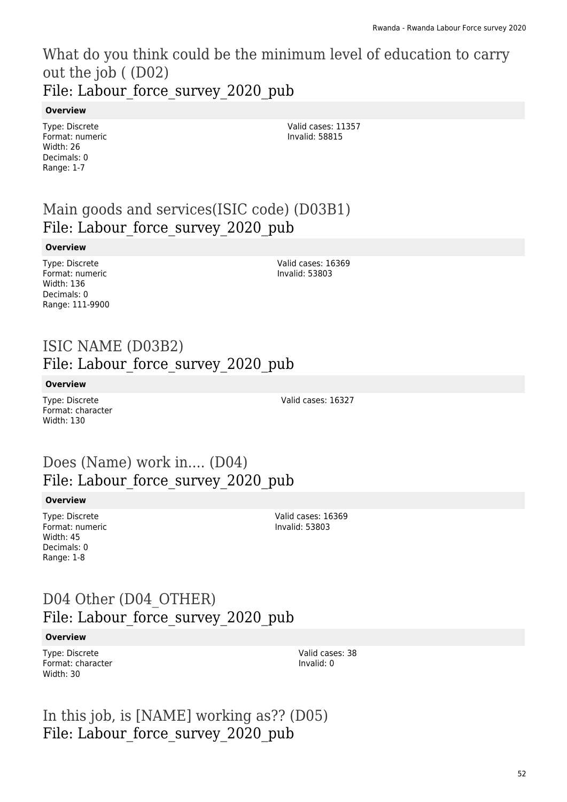What do you think could be the minimum level of education to carry out the job ( (D02) File: Labour force survey 2020 pub

#### **Overview**

Type: Discrete Format: numeric Width: 26 Decimals: 0 Range: 1-7

Valid cases: 11357 Invalid: 58815

# Main goods and services(ISIC code) (D03B1) File: Labour\_force\_survey\_2020\_pub

#### **Overview**

Type: Discrete Format: numeric Width: 136 Decimals: 0 Range: 111-9900

Valid cases: 16369 Invalid: 53803

## ISIC NAME (D03B2) File: Labour force survey 2020 pub

#### **Overview**

Type: Discrete Format: character Width: 130

Valid cases: 16327

## Does (Name) work in.... (D04) File: Labour force survey 2020 pub

#### **Overview**

Type: Discrete Format: numeric Width: 45 Decimals: 0 Range: 1-8

Valid cases: 16369 Invalid: 53803

## D04 Other (D04 OTHER) File: Labour\_force\_survey\_2020\_pub

#### **Overview**

Type: Discrete Format: character Width: 30

Valid cases: 38 Invalid: 0

In this job, is [NAME] working as?? (D05) File: Labour force survey 2020 pub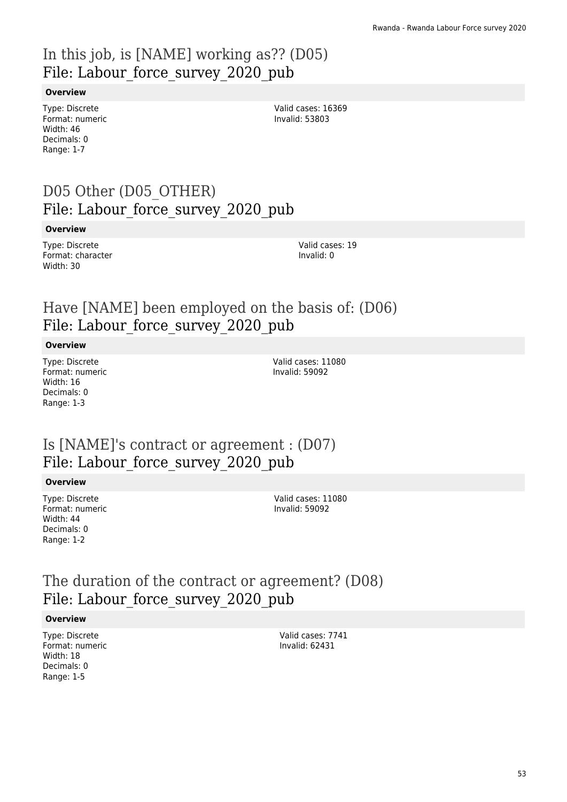# In this job, is [NAME] working as?? (D05) File: Labour force survey 2020 pub

#### **Overview**

Type: Discrete Format: numeric Width: 46 Decimals: 0 Range: 1-7

Valid cases: 16369 Invalid: 53803

## D05 Other (D05\_OTHER) File: Labour force survey 2020 pub

#### **Overview**

Type: Discrete Format: character Width: 30

Valid cases: 19 Invalid: 0

## Have [NAME] been employed on the basis of: (D06) File: Labour force survey 2020 pub

#### **Overview**

Type: Discrete Format: numeric Width: 16 Decimals: 0 Range: 1-3

Valid cases: 11080 Invalid: 59092

## Is [NAME]'s contract or agreement : (D07) File: Labour force survey 2020 pub

#### **Overview**

Type: Discrete Format: numeric Width: 44 Decimals: 0 Range: 1-2

Valid cases: 11080 Invalid: 59092

# The duration of the contract or agreement? (D08) File: Labour force survey 2020 pub

#### **Overview**

Type: Discrete Format: numeric Width: 18 Decimals: 0 Range: 1-5

Valid cases: 7741 Invalid: 62431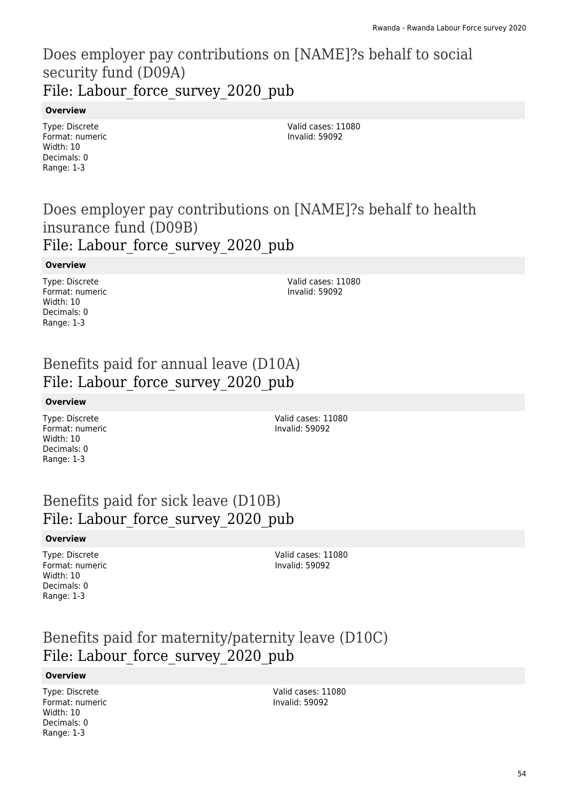## Does employer pay contributions on [NAME]?s behalf to social security fund (D09A) File: Labour force survey 2020 pub

### **Overview**

Type: Discrete Format: numeric Width: 10 Decimals: 0 Range: 1-3

Valid cases: 11080 Invalid: 59092

## Does employer pay contributions on [NAME]?s behalf to health insurance fund (D09B) File: Labour force survey 2020 pub

#### **Overview**

Type: Discrete Format: numeric Width: 10 Decimals: 0 Range: 1-3

Valid cases: 11080 Invalid: 59092

## Benefits paid for annual leave (D10A) File: Labour force\_survey\_2020\_pub

### **Overview**

Type: Discrete Format: numeric Width: 10 Decimals: 0 Range: 1-3

Valid cases: 11080 Invalid: 59092

## Benefits paid for sick leave (D10B) File: Labour\_force\_survey\_2020\_pub

### **Overview**

Type: Discrete Format: numeric Width: 10 Decimals: 0 Range: 1-3

Valid cases: 11080 Invalid: 59092

# Benefits paid for maternity/paternity leave (D10C) File: Labour force survey 2020 pub

### **Overview**

Type: Discrete Format: numeric Width: 10 Decimals: 0 Range: 1-3

Valid cases: 11080 Invalid: 59092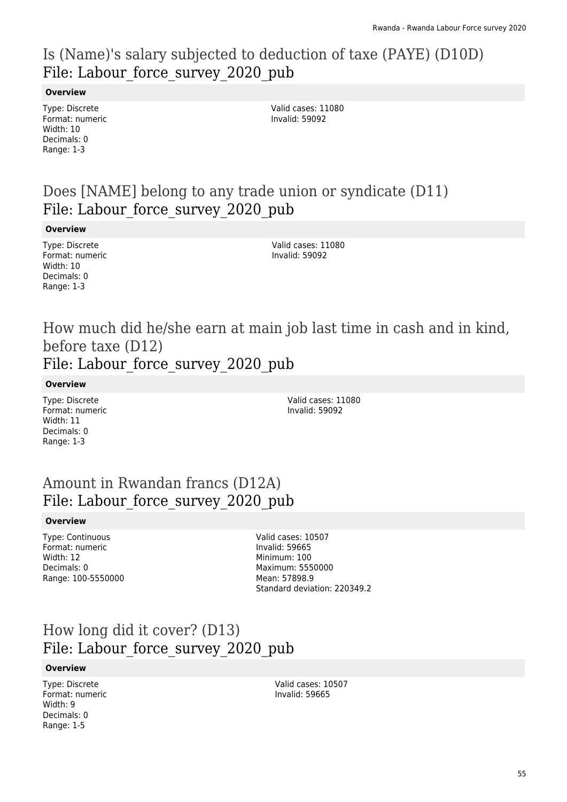# Is (Name)'s salary subjected to deduction of taxe (PAYE) (D10D) File: Labour force survey 2020 pub

### **Overview**

Type: Discrete Format: numeric Width: 10 Decimals: 0 Range: 1-3

Valid cases: 11080 Invalid: 59092

## Does [NAME] belong to any trade union or syndicate (D11) File: Labour force survey 2020 pub

#### **Overview**

Type: Discrete Format: numeric Width: 10 Decimals: 0 Range: 1-3

Valid cases: 11080 Invalid: 59092

## How much did he/she earn at main job last time in cash and in kind, before taxe (D12) File: Labour force survey 2020 pub

#### **Overview**

Type: Discrete Format: numeric Width: 11 Decimals: 0 Range: 1-3

Valid cases: 11080 Invalid: 59092

## Amount in Rwandan francs (D12A) File: Labour force survey 2020 pub

### **Overview**

Type: Continuous Format: numeric Width: 12 Decimals: 0 Range: 100-5550000 Valid cases: 10507 Invalid: 59665 Minimum: 100 Maximum: 5550000 Mean: 57898.9 Standard deviation: 220349.2

## How long did it cover? (D13) File: Labour\_force\_survey\_2020\_pub

### **Overview**

Type: Discrete Format: numeric Width: 9 Decimals: 0 Range: 1-5

Valid cases: 10507 Invalid: 59665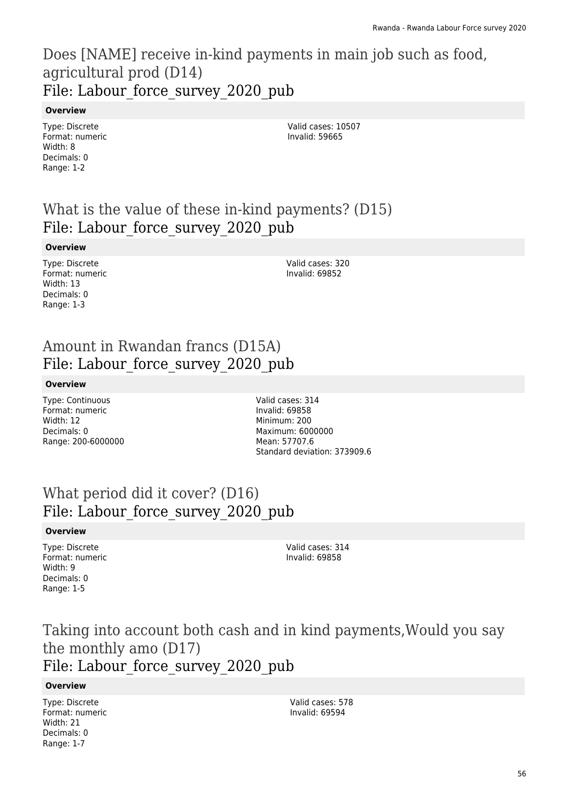## Does [NAME] receive in-kind payments in main job such as food, agricultural prod (D14) File: Labour force survey 2020 pub

### **Overview**

Type: Discrete Format: numeric Width: 8 Decimals: 0 Range: 1-2

Valid cases: 10507 Invalid: 59665

# What is the value of these in-kind payments? (D15) File: Labour force survey 2020 pub

### **Overview**

Type: Discrete Format: numeric Width: 13 Decimals: 0 Range: 1-3

Valid cases: 320 Invalid: 69852

# Amount in Rwandan francs (D15A) File: Labour force survey 2020 pub

### **Overview**

Type: Continuous Format: numeric Width: 12 Decimals: 0 Range: 200-6000000 Valid cases: 314 Invalid: 69858 Minimum: 200 Maximum: 6000000 Mean: 57707.6 Standard deviation: 373909.6

## What period did it cover? (D16) File: Labour force survey 2020 pub

### **Overview**

Type: Discrete Format: numeric Width: 9 Decimals: 0 Range: 1-5

Valid cases: 314 Invalid: 69858

# Taking into account both cash and in kind payments,Would you say the monthly amo (D17)

File: Labour force survey 2020 pub

### **Overview**

Type: Discrete Format: numeric Width: 21 Decimals: 0 Range: 1-7

Valid cases: 578 Invalid: 69594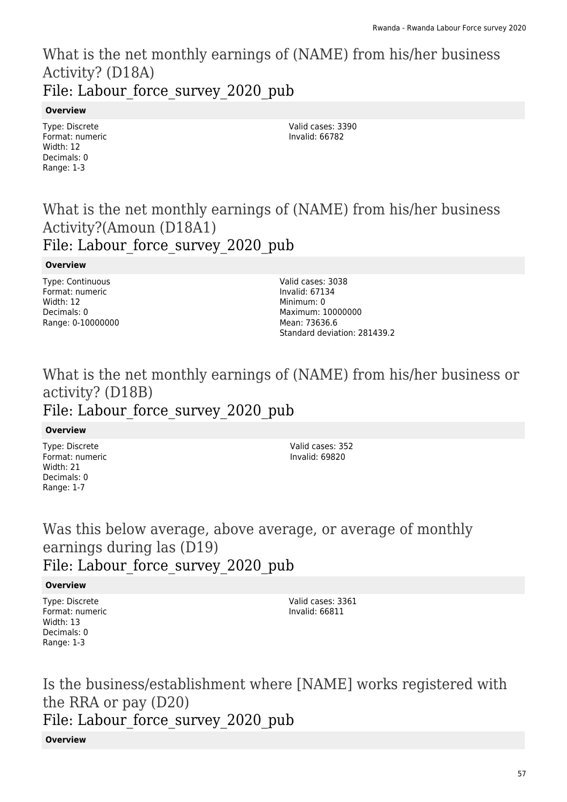## What is the net monthly earnings of (NAME) from his/her business Activity? (D18A) File: Labour force survey 2020 pub

### **Overview**

Type: Discrete Format: numeric Width: 12 Decimals: 0 Range: 1-3

Valid cases: 3390 Invalid: 66782

## What is the net monthly earnings of (NAME) from his/her business Activity?(Amoun (D18A1) File: Labour force survey 2020 pub

### **Overview**

Type: Continuous Format: numeric Width: 12 Decimals: 0 Range: 0-10000000

Valid cases: 3038 Invalid: 67134 Minimum: 0 Maximum: 10000000 Mean: 73636.6 Standard deviation: 281439.2

## What is the net monthly earnings of (NAME) from his/her business or activity? (D18B) File: Labour force survey 2020 pub

### **Overview**

Type: Discrete Format: numeric Width: 21 Decimals: 0 Range: 1-7

Valid cases: 352 Invalid: 69820

## Was this below average, above average, or average of monthly earnings during las (D19) File: Labour force survey 2020 pub

### **Overview**

Type: Discrete Format: numeric Width: 13 Decimals: 0 Range: 1-3

Valid cases: 3361 Invalid: 66811

Is the business/establishment where [NAME] works registered with the RRA or pay (D20) File: Labour force survey 2020 pub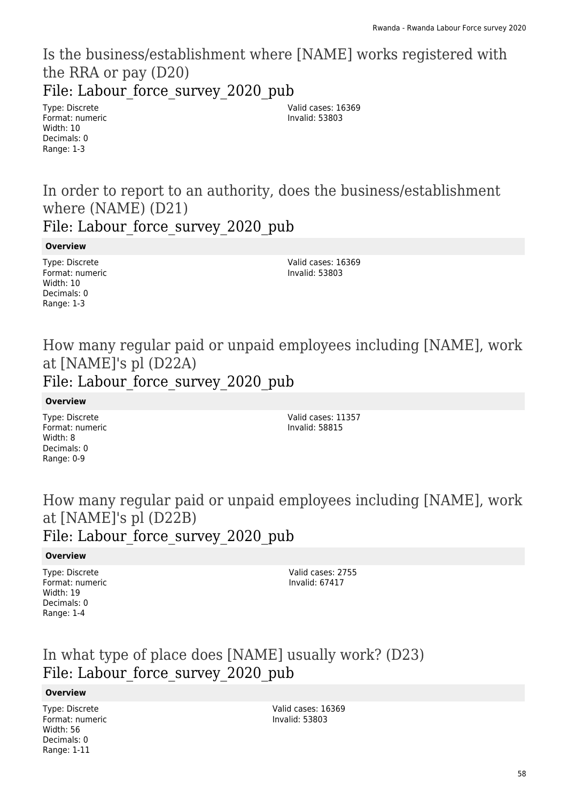## Is the business/establishment where [NAME] works registered with the RRA or pay (D20) File: Labour force\_survey\_2020\_pub

Type: Discrete Format: numeric Width: 10 Decimals: 0 Range: 1-3

Valid cases: 16369 Invalid: 53803

In order to report to an authority, does the business/establishment where (NAME) (D21)

File: Labour force survey 2020 pub

**Overview**

Type: Discrete Format: numeric Width: 10 Decimals: 0 Range: 1-3

Valid cases: 16369 Invalid: 53803

How many regular paid or unpaid employees including [NAME], work at [NAME]'s pl (D22A) File: Labour force survey 2020 pub

**Overview**

Type: Discrete Format: numeric Width: 8 Decimals: 0 Range: 0-9

Valid cases: 11357 Invalid: 58815

How many regular paid or unpaid employees including [NAME], work at [NAME]'s pl (D22B) File: Labour force survey 2020 pub

### **Overview**

Type: Discrete Format: numeric Width: 19 Decimals: 0 Range: 1-4

Valid cases: 2755 Invalid: 67417

In what type of place does [NAME] usually work? (D23) File: Labour force survey 2020 pub

### **Overview**

Type: Discrete Format: numeric Width: 56 Decimals: 0 Range: 1-11

Valid cases: 16369 Invalid: 53803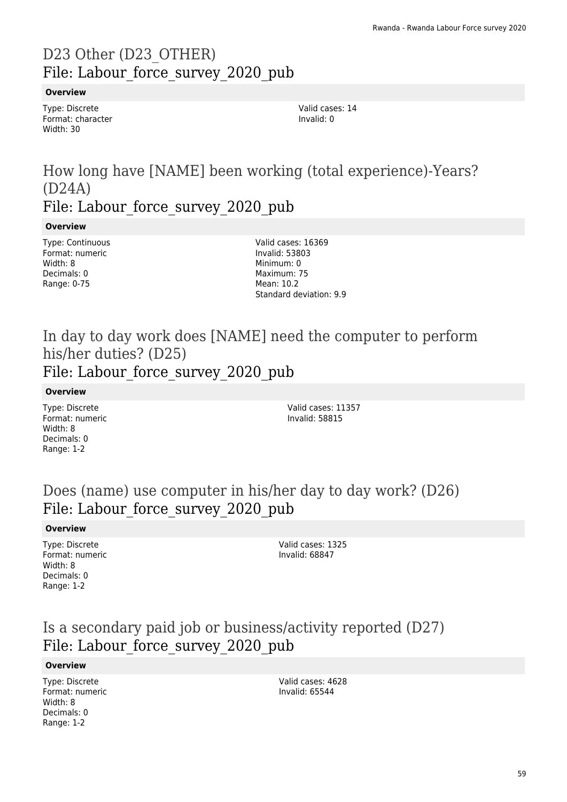# D23 Other (D23\_OTHER) File: Labour force survey 2020 pub

### **Overview**

Type: Discrete Format: character Width: 30

Valid cases: 14 Invalid: 0

## How long have [NAME] been working (total experience)-Years? (D24A) File: Labour force survey 2020 pub

### **Overview**

Type: Continuous Format: numeric Width: 8 Decimals: 0 Range: 0-75

Valid cases: 16369 Invalid: 53803 Minimum: 0 Maximum: 75 Mean: 10.2 Standard deviation: 9.9

## In day to day work does [NAME] need the computer to perform his/her duties? (D25) File: Labour force survey 2020 pub

### **Overview**

Type: Discrete Format: numeric Width: 8 Decimals: 0 Range: 1-2

Valid cases: 11357 Invalid: 58815

## Does (name) use computer in his/her day to day work? (D26) File: Labour force survey 2020 pub

#### **Overview**

Type: Discrete Format: numeric Width: 8 Decimals: 0 Range: 1-2

Valid cases: 1325 Invalid: 68847

## Is a secondary paid job or business/activity reported (D27) File: Labour force survey 2020 pub

#### **Overview**

Type: Discrete Format: numeric Width: 8 Decimals: 0 Range: 1-2

Valid cases: 4628 Invalid: 65544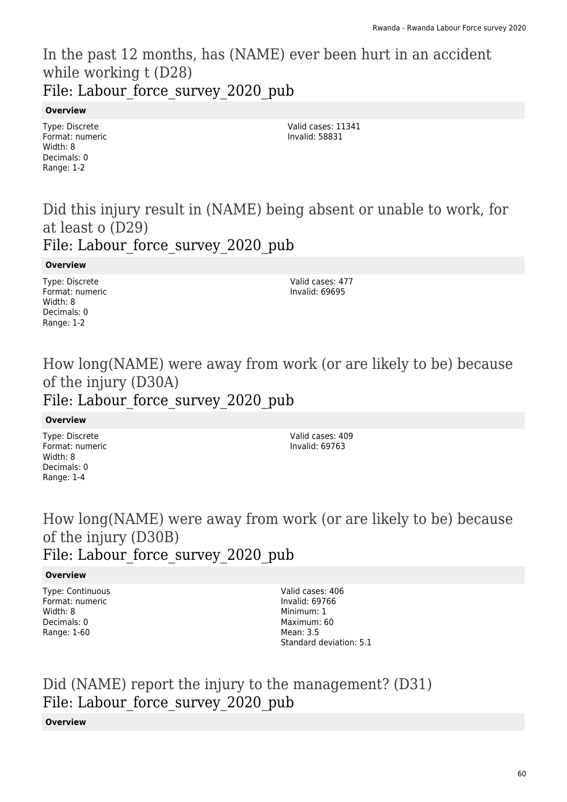## In the past 12 months, has (NAME) ever been hurt in an accident while working t (D28) File: Labour force survey 2020 pub

### **Overview**

Type: Discrete Format: numeric Width: 8 Decimals: 0 Range: 1-2

Valid cases: 11341 Invalid: 58831

## Did this injury result in (NAME) being absent or unable to work, for at least o (D29) File: Labour force survey 2020 pub

#### **Overview**

Type: Discrete Format: numeric Width: 8 Decimals: 0 Range: 1-2

Valid cases: 477 Invalid: 69695

# How long(NAME) were away from work (or are likely to be) because of the injury (D30A)

# File: Labour\_force\_survey\_2020\_pub

### **Overview**

Type: Discrete Format: numeric Width: 8 Decimals: 0 Range: 1-4

Valid cases: 409 Invalid: 69763

## How long(NAME) were away from work (or are likely to be) because of the injury (D30B) File: Labour force survey 2020 pub

### **Overview**

Type: Continuous Format: numeric Width: 8 Decimals: 0 Range: 1-60

Valid cases: 406 Invalid: 69766 Minimum: 1 Maximum: 60 Mean: 3.5 Standard deviation: 5.1

## Did (NAME) report the injury to the management? (D31) File: Labour force survey 2020 pub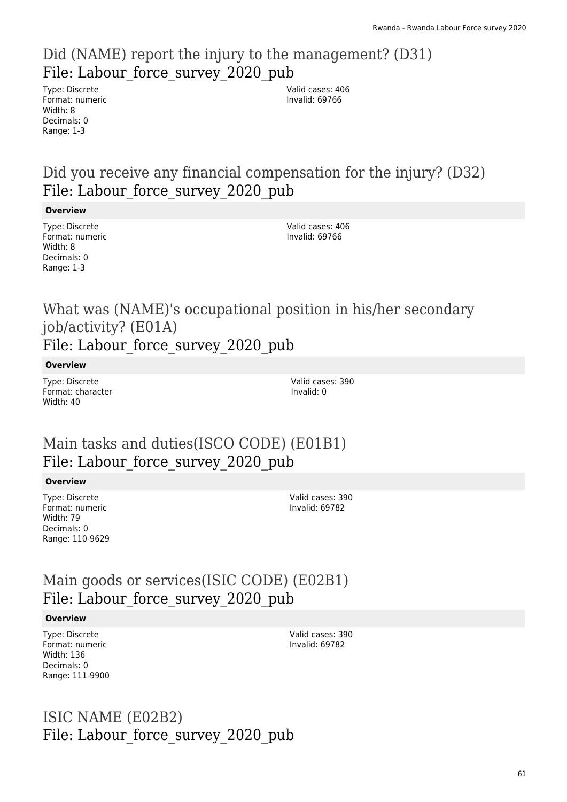## Did (NAME) report the injury to the management? (D31) File: Labour force survey 2020\_pub

Type: Discrete Format: numeric Width: 8 Decimals: 0 Range: 1-3

Valid cases: 406 Invalid: 69766

## Did you receive any financial compensation for the injury? (D32) File: Labour force survey 2020 pub

#### **Overview**

Type: Discrete Format: numeric Width: 8 Decimals: 0 Range: 1-3

Valid cases: 406 Invalid: 69766

## What was (NAME)'s occupational position in his/her secondary job/activity? (E01A) File: Labour force survey 2020 pub

**Overview**

Type: Discrete Format: character Width: 40

Valid cases: 390 Invalid: 0

# Main tasks and duties(ISCO CODE) (E01B1) File: Labour force survey 2020 pub

### **Overview**

Type: Discrete Format: numeric Width: 79 Decimals: 0 Range: 110-9629 Valid cases: 390 Invalid: 69782

# Main goods or services(ISIC CODE) (E02B1) File: Labour force survey 2020 pub

### **Overview**

Type: Discrete Format: numeric Width: 136 Decimals: 0 Range: 111-9900 Valid cases: 390 Invalid: 69782

## ISIC NAME (E02B2) File: Labour force survey 2020 pub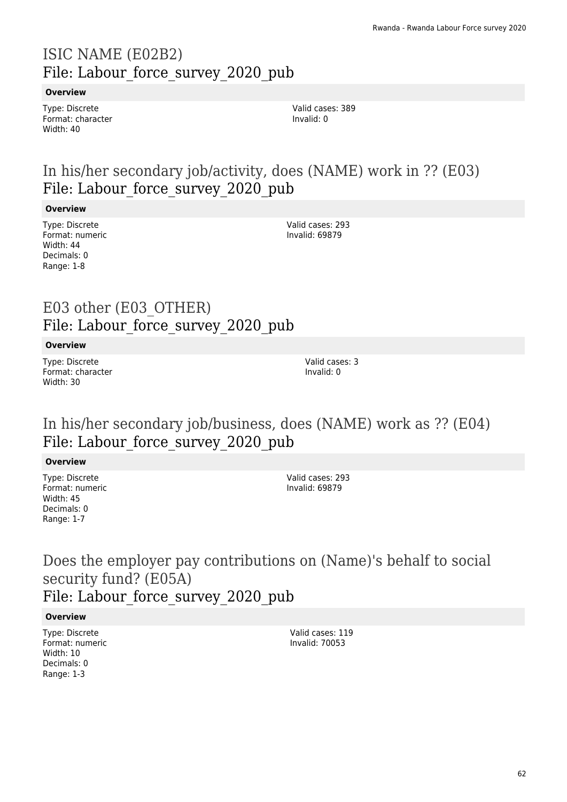# ISIC NAME (E02B2) File: Labour force survey 2020 pub

### **Overview**

Type: Discrete Format: character Width: 40

Valid cases: 389 Invalid: 0

# In his/her secondary job/activity, does (NAME) work in ?? (E03) File: Labour force survey 2020 pub

### **Overview**

Type: Discrete Format: numeric Width: 44 Decimals: 0 Range: 1-8

Valid cases: 293 Invalid: 69879

## E03 other (E03\_OTHER) File: Labour force survey 2020 pub

#### **Overview**

Type: Discrete Format: character Width: 30

Valid cases: 3 Invalid: 0

## In his/her secondary job/business, does (NAME) work as ?? (E04) File: Labour force survey 2020 pub

**Overview**

Type: Discrete Format: numeric Width: 45 Decimals: 0 Range: 1-7

Valid cases: 293 Invalid: 69879

## Does the employer pay contributions on (Name)'s behalf to social security fund? (E05A) File: Labour force survey 2020 pub

**Overview**

Type: Discrete Format: numeric Width: 10 Decimals: 0 Range: 1-3

Valid cases: 119 Invalid: 70053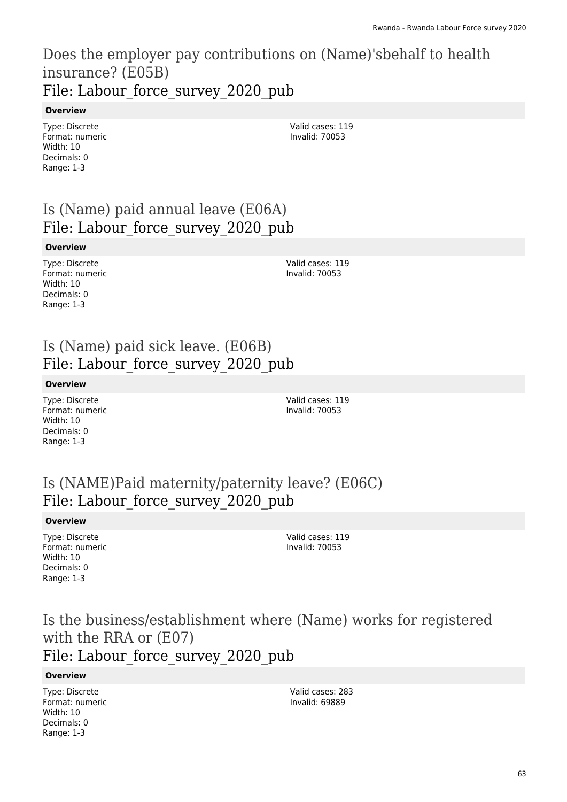## Does the employer pay contributions on (Name)'sbehalf to health insurance? (E05B) File: Labour force survey 2020 pub

### **Overview**

Type: Discrete Format: numeric Width: 10 Decimals: 0 Range: 1-3

Valid cases: 119 Invalid: 70053

# Is (Name) paid annual leave (E06A) File: Labour force survey 2020 pub

### **Overview**

Type: Discrete Format: numeric Width: 10 Decimals: 0 Range: 1-3

Valid cases: 119 Invalid: 70053

## Is (Name) paid sick leave. (E06B) File: Labour force survey 2020 pub

### **Overview**

Type: Discrete Format: numeric Width: 10 Decimals: 0 Range: 1-3

Valid cases: 119 Invalid: 70053

## Is (NAME)Paid maternity/paternity leave? (E06C) File: Labour force survey 2020 pub

### **Overview**

Type: Discrete Format: numeric Width: 10 Decimals: 0 Range: 1-3

Valid cases: 119 Invalid: 70053

# Is the business/establishment where (Name) works for registered with the RRA or (E07)

## File: Labour force survey 2020 pub

### **Overview**

Type: Discrete Format: numeric Width: 10 Decimals: 0 Range: 1-3

Valid cases: 283 Invalid: 69889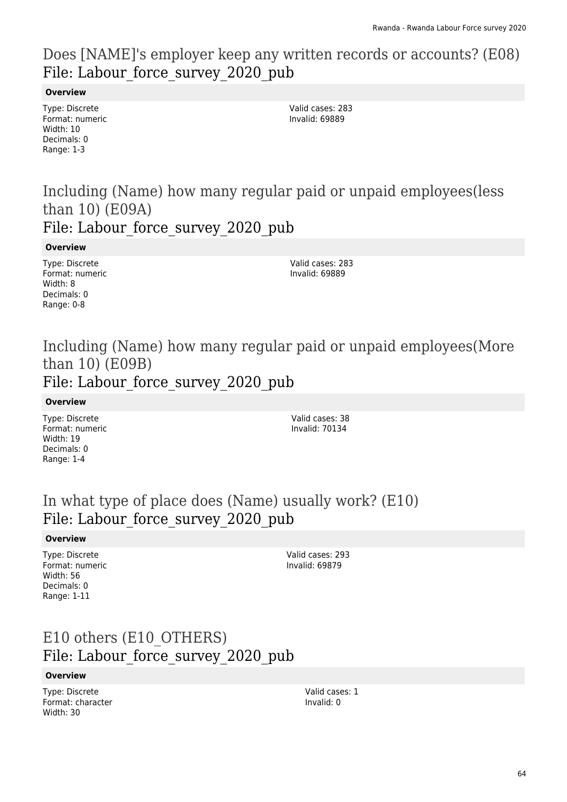## Does [NAME]'s employer keep any written records or accounts? (E08) File: Labour force survey 2020 pub

### **Overview**

Type: Discrete Format: numeric Width: 10 Decimals: 0 Range: 1-3

Valid cases: 283 Invalid: 69889

# Including (Name) how many regular paid or unpaid employees(less than 10) (E09A)

File: Labour force survey 2020 pub

**Overview**

Type: Discrete Format: numeric Width: 8 Decimals: 0 Range: 0-8

Valid cases: 283 Invalid: 69889

## Including (Name) how many regular paid or unpaid employees(More than 10) (E09B) File: Labour force survey 2020 pub

### **Overview**

Type: Discrete Format: numeric Width: 19 Decimals: 0 Range: 1-4

Valid cases: 38 Invalid: 70134

## In what type of place does (Name) usually work? (E10) File: Labour force survey 2020 pub

### **Overview**

Type: Discrete Format: numeric Width: 56 Decimals: 0 Range: 1-11

Valid cases: 293 Invalid: 69879

## E10 others (E10\_OTHERS) File: Labour force survey 2020 pub

### **Overview**

Type: Discrete Format: character Width: 30

Valid cases: 1 Invalid: 0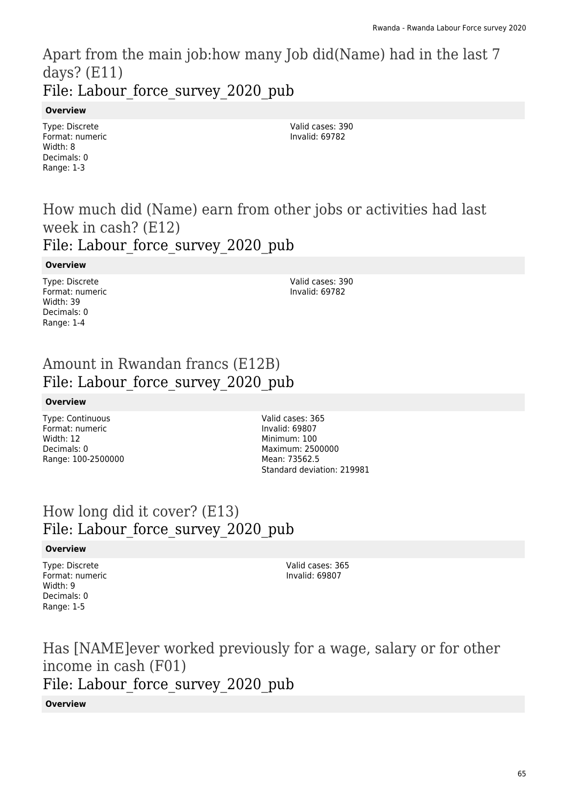Apart from the main job:how many Job did(Name) had in the last 7 days? (E11) File: Labour force survey 2020 pub

### **Overview**

Type: Discrete Format: numeric Width: 8 Decimals: 0 Range: 1-3

Valid cases: 390 Invalid: 69782

## How much did (Name) earn from other jobs or activities had last week in cash? (E12) File: Labour force survey 2020 pub

#### **Overview**

Type: Discrete Format: numeric Width: 39 Decimals: 0 Range: 1-4

Valid cases: 390 Invalid: 69782

## Amount in Rwandan francs (E12B) File: Labour force survey 2020 pub

#### **Overview**

Type: Continuous Format: numeric Width: 12 Decimals: 0 Range: 100-2500000 Valid cases: 365 Invalid: 69807 Minimum: 100 Maximum: 2500000 Mean: 73562.5 Standard deviation: 219981

## How long did it cover? (E13) File: Labour\_force\_survey\_2020\_pub

### **Overview**

Type: Discrete Format: numeric Width: 9 Decimals: 0 Range: 1-5

Valid cases: 365 Invalid: 69807

Has [NAME]ever worked previously for a wage, salary or for other income in cash (F01) File: Labour force survey 2020 pub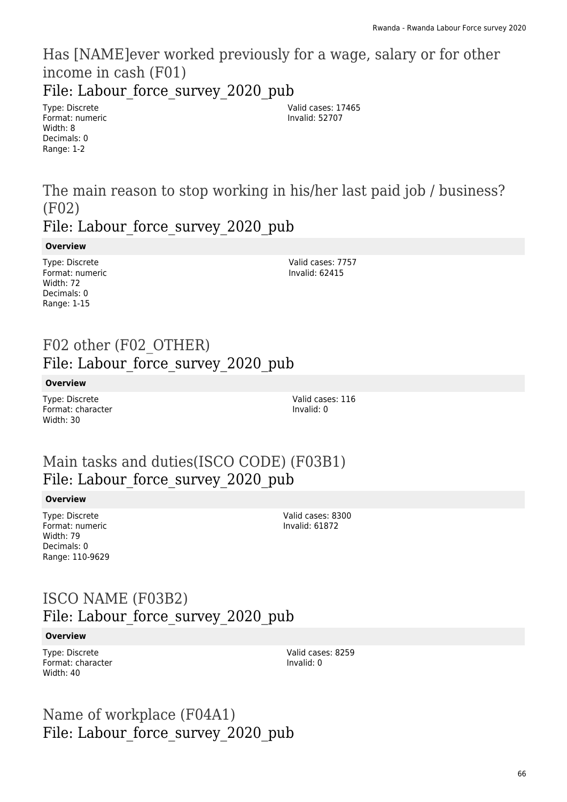Has [NAME]ever worked previously for a wage, salary or for other income in cash (F01)

File: Labour force survey 2020 pub

Type: Discrete Format: numeric Width: 8 Decimals: 0 Range: 1-2

Valid cases: 17465 Invalid: 52707

The main reason to stop working in his/her last paid job / business? (F02)

File: Labour force survey 2020 pub

### **Overview**

Type: Discrete Format: numeric Width: 72 Decimals: 0 Range: 1-15

Valid cases: 7757 Invalid: 62415

## F02 other (F02\_OTHER) File: Labour force survey 2020 pub

**Overview**

Type: Discrete Format: character Width: 30

Valid cases: 116 Invalid: 0

# Main tasks and duties(ISCO CODE) (F03B1) File: Labour force survey 2020 pub

### **Overview**

Type: Discrete Format: numeric Width: 79 Decimals: 0 Range: 110-9629

Valid cases: 8300 Invalid: 61872

## ISCO NAME (F03B2) File: Labour force survey 2020 pub

#### **Overview**

Type: Discrete Format: character Width: 40

Valid cases: 8259 Invalid: 0

Name of workplace (F04A1) File: Labour force survey 2020 pub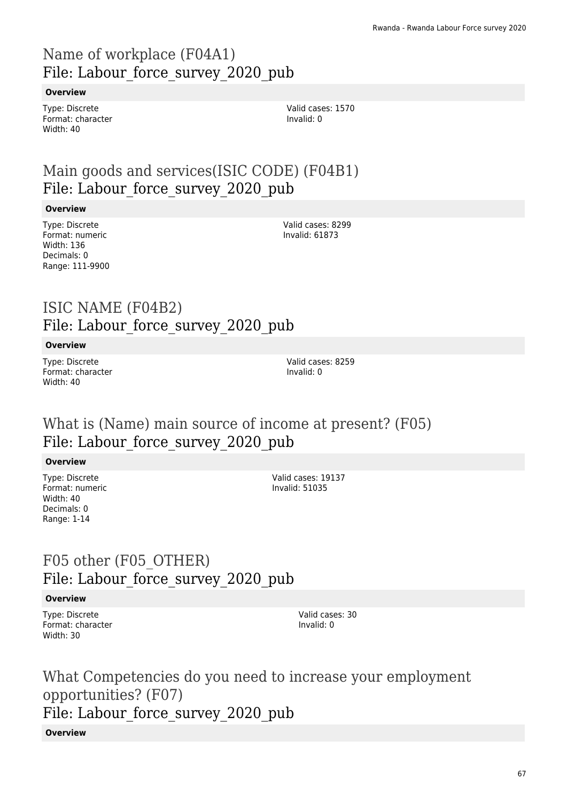# Name of workplace (F04A1) File: Labour\_force\_survey\_2020\_pub

### **Overview**

Type: Discrete Format: character Width: 40

# Main goods and services(ISIC CODE) (F04B1) File: Labour force survey 2020 pub

#### **Overview**

Type: Discrete Format: numeric Width: 136 Decimals: 0 Range: 111-9900 Valid cases: 8299 Invalid: 61873

## ISIC NAME (F04B2) File: Labour force survey 2020 pub

#### **Overview**

Type: Discrete Format: character Width: 40

Valid cases: 8259 Invalid: 0

## What is (Name) main source of income at present? (F05) File: Labour force survey 2020 pub

### **Overview**

Type: Discrete Format: numeric Width: 40 Decimals: 0 Range: 1-14

Valid cases: 19137 Invalid: 51035

## F05 other (F05\_OTHER) File: Labour force survey 2020 pub

### **Overview**

Type: Discrete Format: character Width: 30

Valid cases: 30 Invalid: 0

What Competencies do you need to increase your employment opportunities? (F07) File: Labour force survey 2020 pub

#### **Overview**

Valid cases: 1570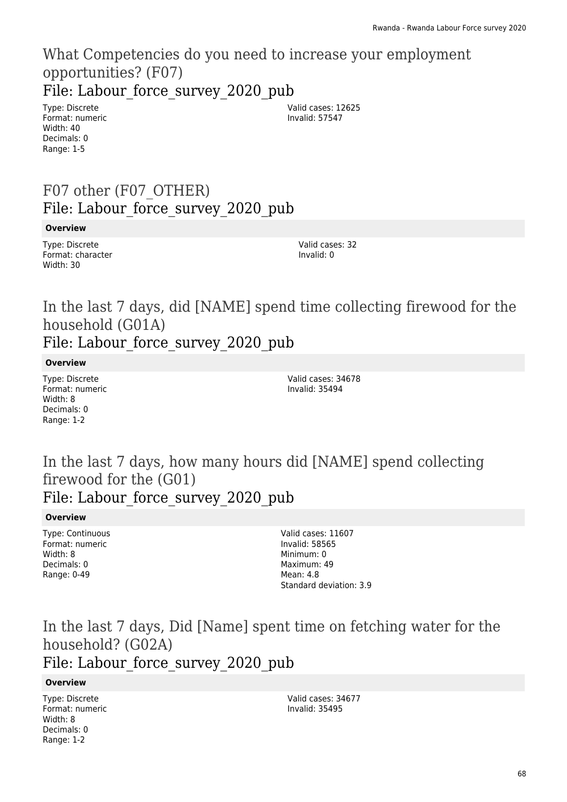### What Competencies do you need to increase your employment opportunities? (F07) File: Labour force survey 2020 pub

Type: Discrete Format: numeric Width: 40 Decimals: 0 Range: 1-5

Valid cases: 12625 Invalid: 57547

# F07 other (F07\_OTHER) File: Labour force survey 2020 pub

#### **Overview**

Type: Discrete Format: character Width: 30

Valid cases: 32 Invalid: 0

In the last 7 days, did [NAME] spend time collecting firewood for the household (G01A) File: Labour force survey 2020 pub

**Overview**

Type: Discrete Format: numeric Width: 8 Decimals: 0 Range: 1-2

Valid cases: 34678 Invalid: 35494

## In the last 7 days, how many hours did [NAME] spend collecting firewood for the (G01) File: Labour force survey 2020 pub

#### **Overview**

Type: Continuous Format: numeric Width: 8 Decimals: 0 Range: 0-49

Valid cases: 11607 Invalid: 58565 Minimum: 0 Maximum: 49 Mean: 4.8 Standard deviation: 3.9

In the last 7 days, Did [Name] spent time on fetching water for the household? (G02A)

File: Labour force survey 2020 pub

### **Overview**

Type: Discrete Format: numeric Width: 8 Decimals: 0 Range: 1-2

Valid cases: 34677 Invalid: 35495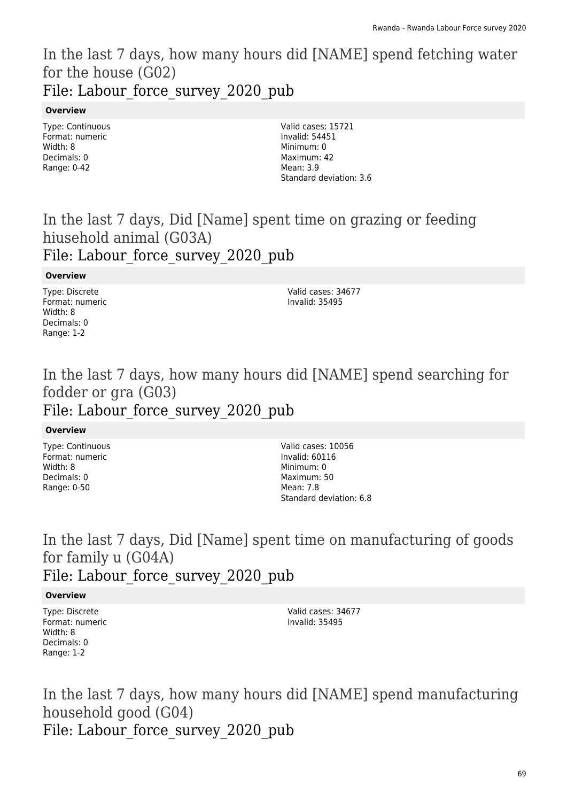## In the last 7 days, how many hours did [NAME] spend fetching water for the house (G02) File: Labour force survey 2020 pub

### **Overview**

Type: Continuous Format: numeric Width: 8 Decimals: 0 Range: 0-42

Valid cases: 15721 Invalid: 54451 Minimum: 0 Maximum: 42 Mean: 3.9 Standard deviation: 3.6

In the last 7 days, Did [Name] spent time on grazing or feeding hiusehold animal (G03A) File: Labour force survey 2020 pub

### **Overview**

Type: Discrete Format: numeric Width: 8 Decimals: 0 Range: 1-2

Valid cases: 34677 Invalid: 35495

## In the last 7 days, how many hours did [NAME] spend searching for fodder or gra (G03) File: Labour force survey 2020 pub

### **Overview**

Type: Continuous Format: numeric Width: 8 Decimals: 0 Range: 0-50

Valid cases: 10056 Invalid: 60116 Minimum: 0 Maximum: 50 Mean: 7.8 Standard deviation: 6.8

## In the last 7 days, Did [Name] spent time on manufacturing of goods for family u (G04A) File: Labour force survey 2020 pub

### **Overview**

Type: Discrete Format: numeric Width: 8 Decimals: 0 Range: 1-2

Valid cases: 34677 Invalid: 35495

In the last 7 days, how many hours did [NAME] spend manufacturing household good (G04) File: Labour force survey 2020 pub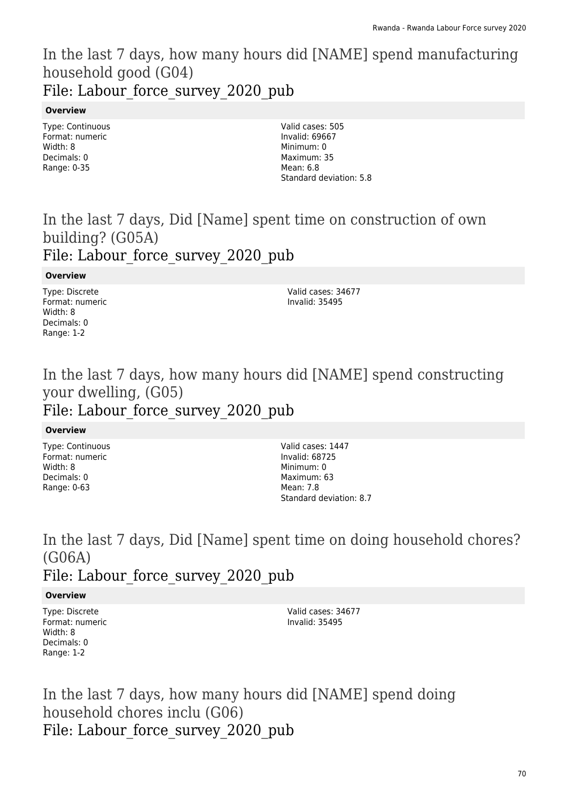## In the last 7 days, how many hours did [NAME] spend manufacturing household good (G04) File: Labour force survey 2020 pub

### **Overview**

Type: Continuous Format: numeric Width: 8 Decimals: 0 Range: 0-35

Valid cases: 505 Invalid: 69667 Minimum: 0 Maximum: 35 Mean: 6.8 Standard deviation: 5.8

## In the last 7 days, Did [Name] spent time on construction of own building? (G05A) File: Labour force survey 2020 pub

### **Overview**

Type: Discrete Format: numeric Width: 8 Decimals: 0 Range: 1-2

Valid cases: 34677 Invalid: 35495

## In the last 7 days, how many hours did [NAME] spend constructing your dwelling, (G05) File: Labour force survey 2020 pub

### **Overview**

Type: Continuous Format: numeric Width: 8 Decimals: 0 Range: 0-63

Valid cases: 1447 Invalid: 68725 Minimum: 0 Maximum: 63 Mean: 7.8 Standard deviation: 8.7

## In the last 7 days, Did [Name] spent time on doing household chores? (G06A) File: Labour force survey 2020 pub

### **Overview**

Type: Discrete Format: numeric Width: 8 Decimals: 0 Range: 1-2

Valid cases: 34677 Invalid: 35495

In the last 7 days, how many hours did [NAME] spend doing household chores inclu (G06) File: Labour force survey 2020 pub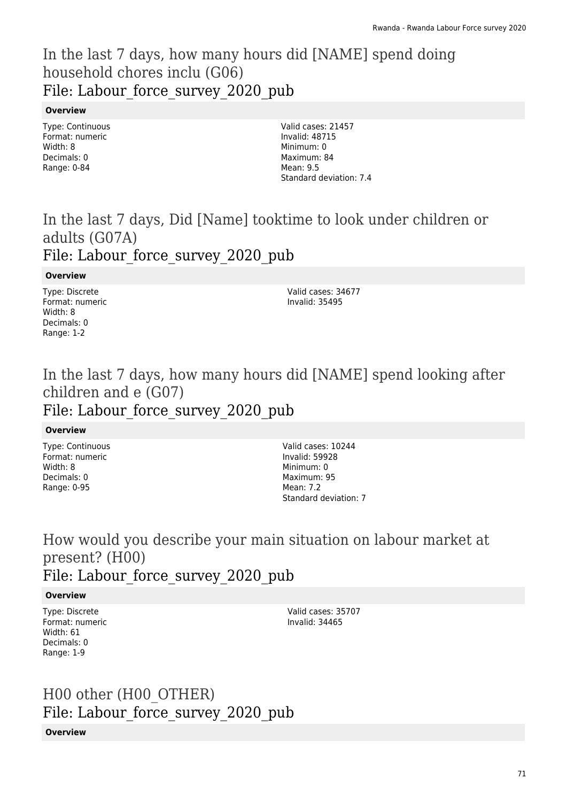## In the last 7 days, how many hours did [NAME] spend doing household chores inclu (G06) File: Labour force survey 2020 pub

### **Overview**

Type: Continuous Format: numeric Width: 8 Decimals: 0 Range: 0-84

Valid cases: 21457 Invalid: 48715 Minimum: 0 Maximum: 84 Mean: 9.5 Standard deviation: 7.4

## In the last 7 days, Did [Name] tooktime to look under children or adults (G07A) File: Labour force survey 2020 pub

### **Overview**

Type: Discrete Format: numeric Width: 8 Decimals: 0 Range: 1-2

Valid cases: 34677 Invalid: 35495

## In the last 7 days, how many hours did [NAME] spend looking after children and e (G07) File: Labour force survey 2020 pub

### **Overview**

Type: Continuous Format: numeric Width: 8 Decimals: 0 Range: 0-95

Valid cases: 10244 Invalid: 59928 Minimum: 0 Maximum: 95 Mean: 7.2 Standard deviation: 7

### How would you describe your main situation on labour market at present? (H00) File: Labour force survey 2020 pub

### **Overview**

Type: Discrete Format: numeric Width: 61 Decimals: 0 Range: 1-9

Valid cases: 35707 Invalid: 34465

# H00 other (H00\_OTHER) File: Labour force survey 2020 pub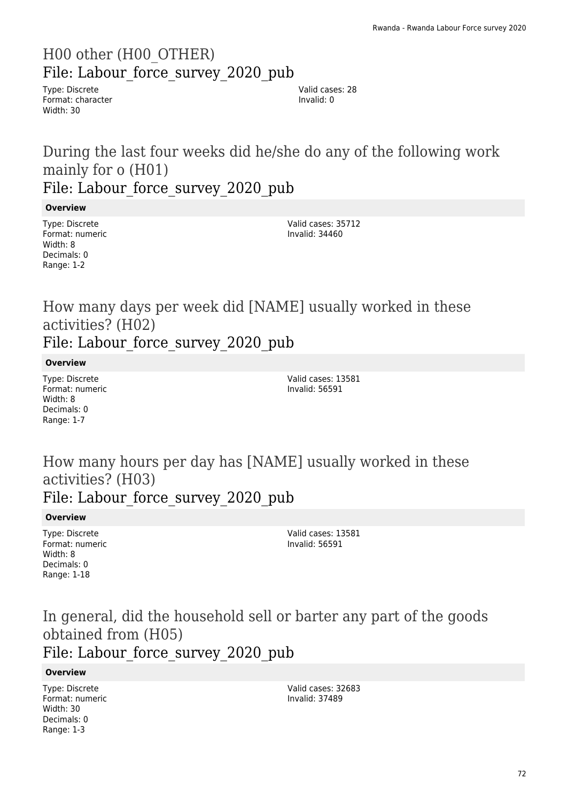# H00 other (H00\_OTHER) File: Labour force survey 2020 pub

Type: Discrete Format: character Width: 30

Valid cases: 28 Invalid: 0

## During the last four weeks did he/she do any of the following work mainly for o (H01) File: Labour force survey 2020 pub

### **Overview**

Type: Discrete Format: numeric Width: 8 Decimals: 0 Range: 1-2

Valid cases: 35712 Invalid: 34460

How many days per week did [NAME] usually worked in these activities? (H02) File: Labour force survey 2020 pub

#### **Overview**

Type: Discrete Format: numeric Width: 8 Decimals: 0 Range: 1-7

Valid cases: 13581 Invalid: 56591

How many hours per day has [NAME] usually worked in these activities? (H03) File: Labour force survey 2020 pub

#### **Overview**

Type: Discrete Format: numeric Width: 8 Decimals: 0 Range: 1-18

Valid cases: 13581 Invalid: 56591

## In general, did the household sell or barter any part of the goods obtained from (H05) File: Labour force survey 2020 pub

#### **Overview**

Type: Discrete Format: numeric Width: 30 Decimals: 0 Range: 1-3

Valid cases: 32683 Invalid: 37489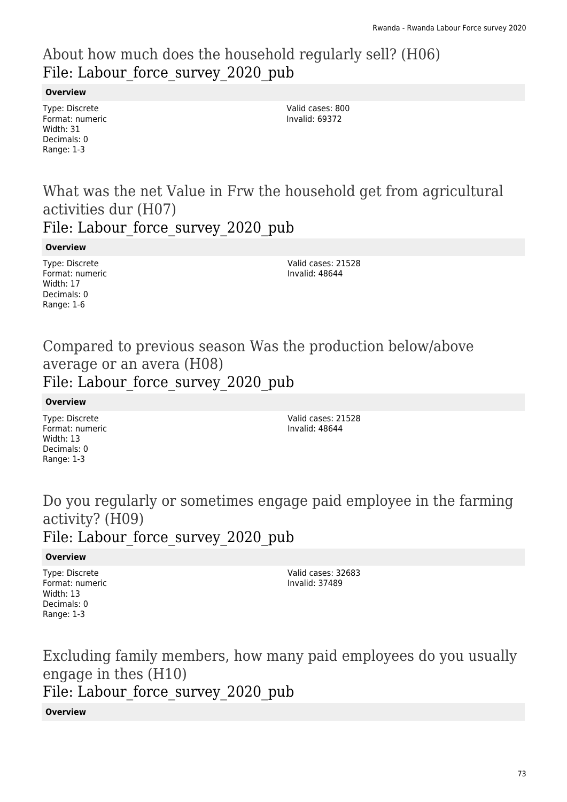# About how much does the household regularly sell? (H06) File: Labour force survey 2020 pub

### **Overview**

Type: Discrete Format: numeric Width: 31 Decimals: 0 Range: 1-3

Valid cases: 800 Invalid: 69372

What was the net Value in Frw the household get from agricultural activities dur (H07)

File: Labour force survey 2020 pub

**Overview**

Type: Discrete Format: numeric Width: 17 Decimals: 0 Range: 1-6

Valid cases: 21528 Invalid: 48644

### Compared to previous season Was the production below/above average or an avera (H08) File: Labour force survey 2020 pub

**Overview**

Type: Discrete Format: numeric Width: 13 Decimals: 0 Range: 1-3

Valid cases: 21528 Invalid: 48644

Do you regularly or sometimes engage paid employee in the farming activity? (H09) File: Labour force survey 2020 pub

### **Overview**

Type: Discrete Format: numeric Width: 13 Decimals: 0 Range: 1-3

Valid cases: 32683 Invalid: 37489

Excluding family members, how many paid employees do you usually engage in thes (H10) File: Labour force survey 2020 pub

### **Overview**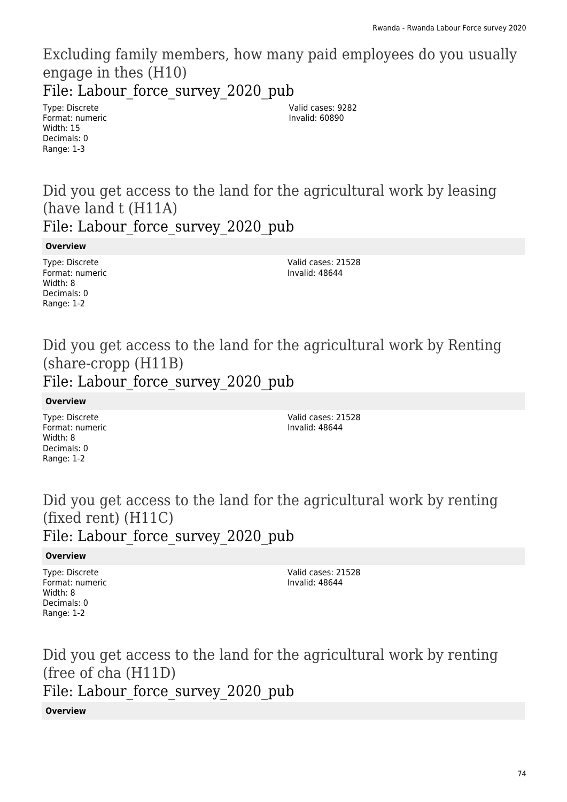Excluding family members, how many paid employees do you usually engage in thes (H10)

File: Labour force survey 2020 pub

Type: Discrete Format: numeric Width: 15 Decimals: 0 Range: 1-3

Valid cases: 9282 Invalid: 60890

Did you get access to the land for the agricultural work by leasing (have land t (H11A) File: Labour force survey 2020 pub

**Overview**

Type: Discrete Format: numeric Width: 8 Decimals: 0 Range: 1-2

Valid cases: 21528 Invalid: 48644

Did you get access to the land for the agricultural work by Renting (share-cropp (H11B) File: Labour force survey 2020 pub

**Overview**

Type: Discrete Format: numeric Width: 8 Decimals: 0 Range: 1-2

Valid cases: 21528 Invalid: 48644

Did you get access to the land for the agricultural work by renting (fixed rent) (H11C) File: Labour force survey 2020 pub

### **Overview**

Type: Discrete Format: numeric Width: 8 Decimals: 0 Range: 1-2

Valid cases: 21528 Invalid: 48644

Did you get access to the land for the agricultural work by renting (free of cha (H11D) File: Labour force survey 2020 pub

#### **Overview**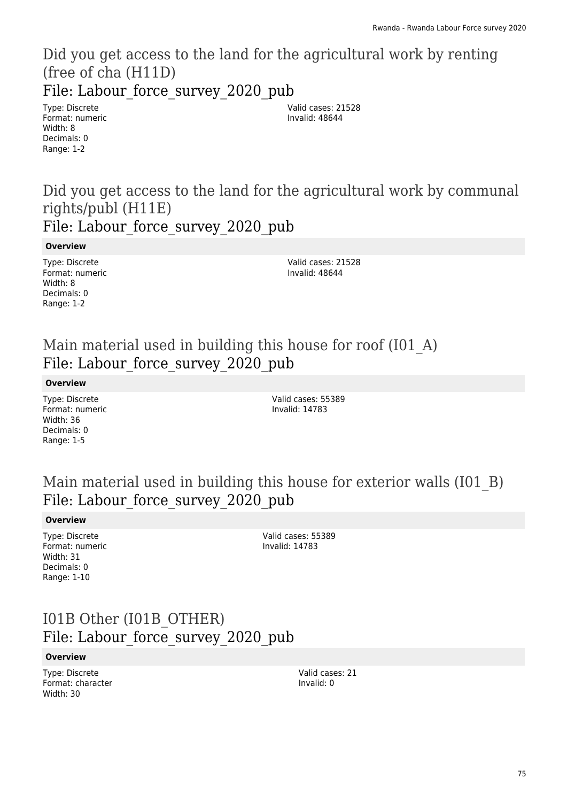Did you get access to the land for the agricultural work by renting (free of cha (H11D) File: Labour force survey 2020 pub

Type: Discrete Format: numeric Width: 8 Decimals: 0 Range: 1-2

Valid cases: 21528 Invalid: 48644

Did you get access to the land for the agricultural work by communal rights/publ (H11E) File: Labour force survey 2020 pub

**Overview**

Type: Discrete Format: numeric Width: 8 Decimals: 0 Range: 1-2

Valid cases: 21528 Invalid: 48644

### Main material used in building this house for roof (I01\_A) File: Labour force survey 2020 pub

**Overview**

Type: Discrete Format: numeric Width: 36 Decimals: 0 Range: 1-5

Valid cases: 55389 Invalid: 14783

# Main material used in building this house for exterior walls (I01\_B) File: Labour force survey 2020 pub

#### **Overview**

Type: Discrete Format: numeric Width: 31 Decimals: 0 Range: 1-10

Valid cases: 55389 Invalid: 14783

# I01B Other (I01B\_OTHER) File: Labour force survey 2020 pub

#### **Overview**

Type: Discrete Format: character Width: 30

Valid cases: 21 Invalid: 0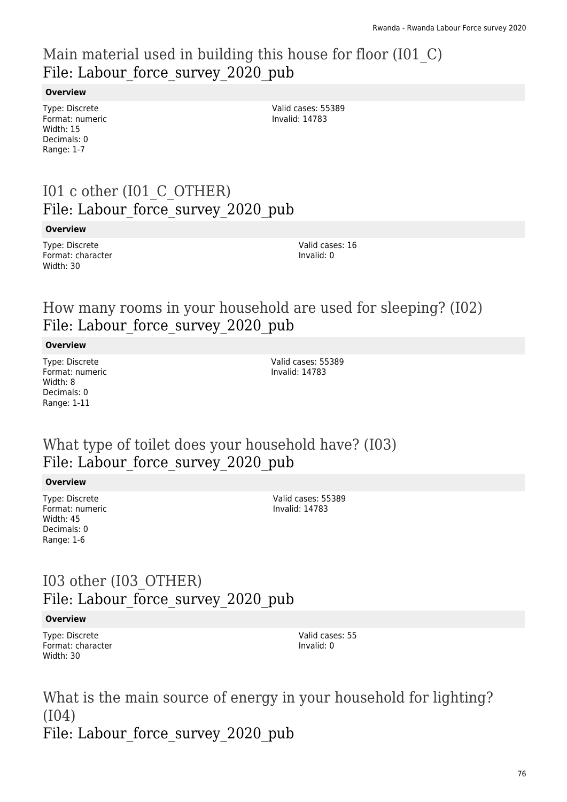# Main material used in building this house for floor (I01\_C) File: Labour force survey 2020 pub

### **Overview**

Type: Discrete Format: numeric Width: 15 Decimals: 0 Range: 1-7

Valid cases: 55389 Invalid: 14783

# I01 c other (I01\_C\_OTHER) File: Labour force survey 2020 pub

### **Overview**

Type: Discrete Format: character Width: 30

Valid cases: 16 Invalid: 0

### How many rooms in your household are used for sleeping? (I02) File: Labour force survey 2020 pub

### **Overview**

Type: Discrete Format: numeric Width: 8 Decimals: 0 Range: 1-11

Valid cases: 55389 Invalid: 14783

### What type of toilet does your household have? (I03) File: Labour force survey 2020 pub

### **Overview**

Type: Discrete Format: numeric Width: 45 Decimals: 0 Range: 1-6

Valid cases: 55389 Invalid: 14783

# I03 other (I03\_OTHER) File: Labour force survey 2020 pub

### **Overview**

Type: Discrete Format: character Width: 30

Valid cases: 55 Invalid: 0

What is the main source of energy in your household for lighting? (I04) File: Labour force survey 2020 pub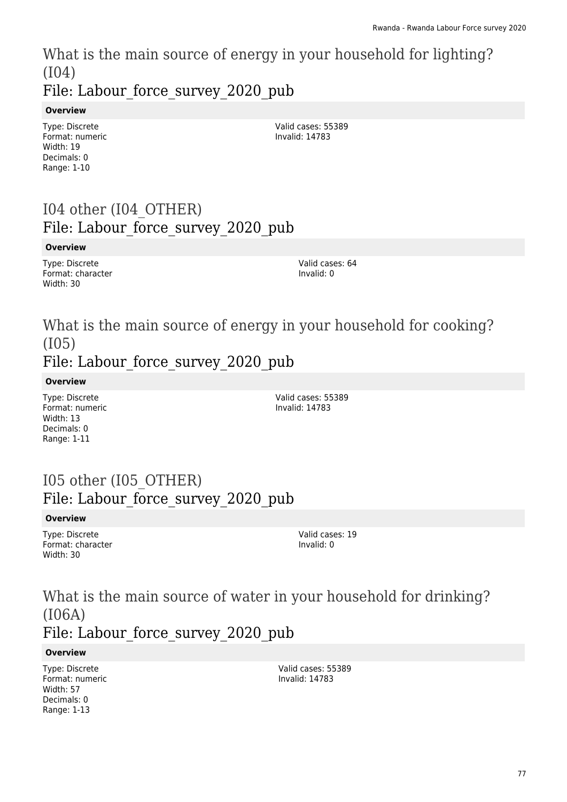What is the main source of energy in your household for lighting? (I04)

File: Labour force survey 2020 pub

### **Overview**

Type: Discrete Format: numeric Width: 19 Decimals: 0 Range: 1-10

Valid cases: 55389 Invalid: 14783

# I04 other (I04\_OTHER) File: Labour\_force\_survey\_2020\_pub

### **Overview**

Type: Discrete Format: character Width: 30

Valid cases: 64 Invalid: 0

# What is the main source of energy in your household for cooking? (I05)

### File: Labour force survey 2020 pub

**Overview**

Type: Discrete Format: numeric Width: 13 Decimals: 0 Range: 1-11

Valid cases: 55389 Invalid: 14783

# I05 other (I05\_OTHER) File: Labour force survey 2020 pub

### **Overview**

Type: Discrete Format: character Width: 30

Valid cases: 19 Invalid: 0

What is the main source of water in your household for drinking? (I06A) File: Labour force survey 2020 pub

### **Overview**

Type: Discrete Format: numeric Width: 57 Decimals: 0 Range: 1-13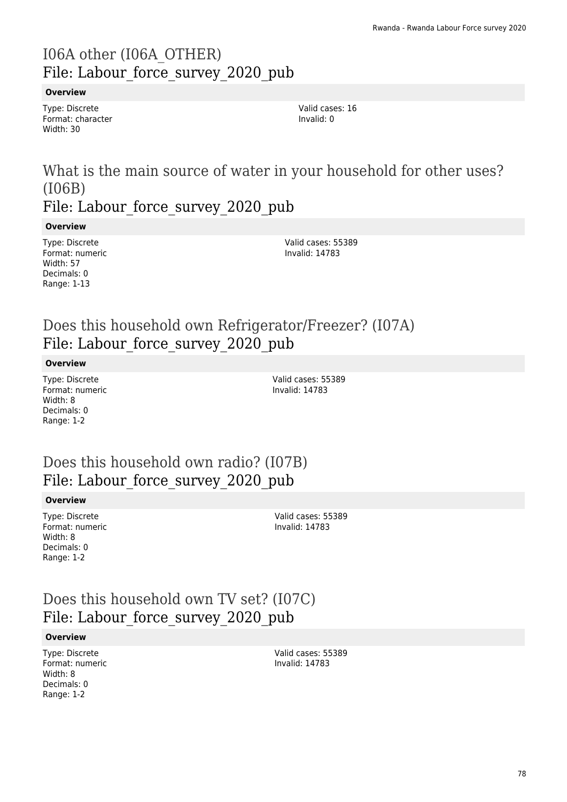# I06A other (I06A\_OTHER) File: Labour force survey 2020 pub

### **Overview**

Type: Discrete Format: character Width: 30

Valid cases: 16 Invalid: 0

### What is the main source of water in your household for other uses? (I06B) File: Labour force survey 2020 pub

**Overview**

Type: Discrete Format: numeric Width: 57 Decimals: 0 Range: 1-13

Valid cases: 55389 Invalid: 14783

# Does this household own Refrigerator/Freezer? (I07A) File: Labour force survey 2020 pub

#### **Overview**

Type: Discrete Format: numeric Width: 8 Decimals: 0 Range: 1-2

Valid cases: 55389 Invalid: 14783

# Does this household own radio? (I07B) File: Labour force survey 2020 pub

#### **Overview**

Type: Discrete Format: numeric Width: 8 Decimals: 0 Range: 1-2

Valid cases: 55389 Invalid: 14783

Does this household own TV set? (I07C) File: Labour\_force\_survey\_2020\_pub

### **Overview**

Type: Discrete Format: numeric Width: 8 Decimals: 0 Range: 1-2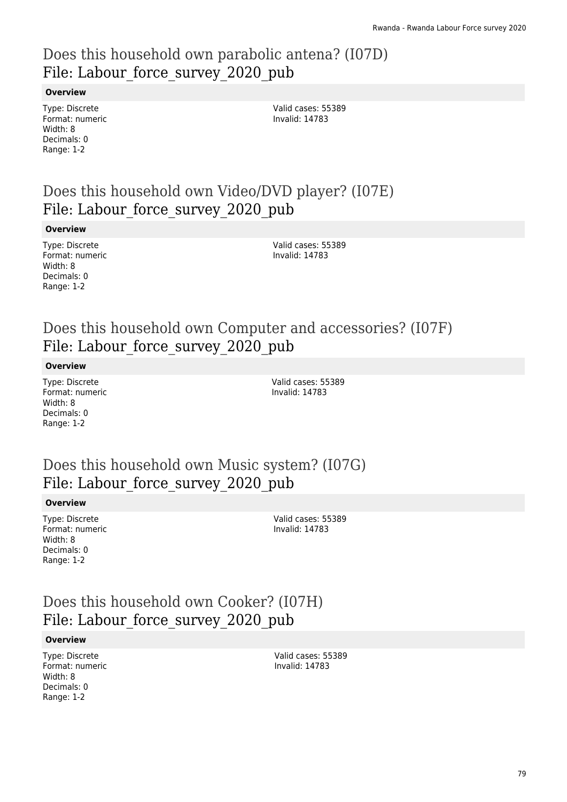# Does this household own parabolic antena? (I07D) File: Labour force survey 2020 pub

### **Overview**

Type: Discrete Format: numeric Width: 8 Decimals: 0 Range: 1-2

Valid cases: 55389 Invalid: 14783

# Does this household own Video/DVD player? (I07E) File: Labour force survey 2020 pub

#### **Overview**

Type: Discrete Format: numeric Width: 8 Decimals: 0 Range: 1-2

Valid cases: 55389 Invalid: 14783

# Does this household own Computer and accessories? (I07F) File: Labour force survey 2020 pub

#### **Overview**

Type: Discrete Format: numeric Width: 8 Decimals: 0 Range: 1-2

Valid cases: 55389 Invalid: 14783

### Does this household own Music system? (I07G) File: Labour force survey 2020 pub

#### **Overview**

Type: Discrete Format: numeric Width: 8 Decimals: 0 Range: 1-2

Valid cases: 55389 Invalid: 14783

# Does this household own Cooker? (I07H) File: Labour force survey 2020 pub

#### **Overview**

Type: Discrete Format: numeric Width: 8 Decimals: 0 Range: 1-2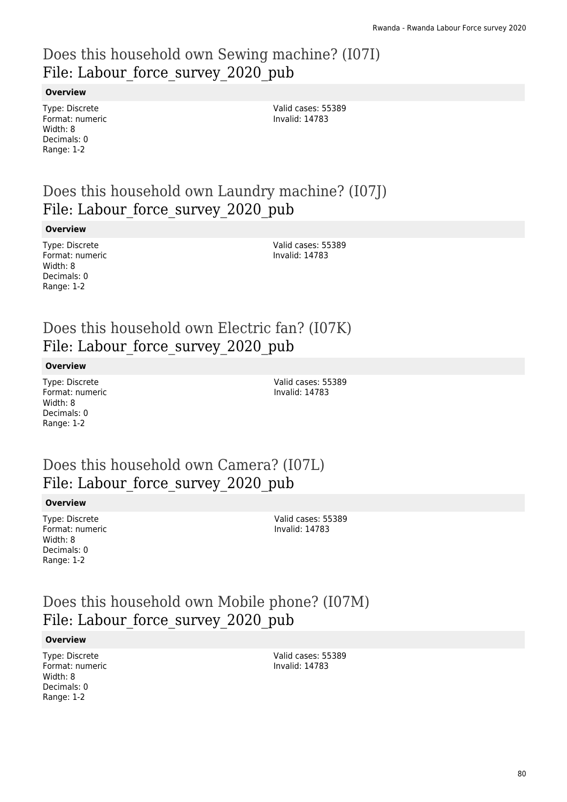# Does this household own Sewing machine? (I07I) File: Labour force survey 2020 pub

### **Overview**

Type: Discrete Format: numeric Width: 8 Decimals: 0 Range: 1-2

Valid cases: 55389 Invalid: 14783

# Does this household own Laundry machine? (I07J) File: Labour force survey 2020 pub

#### **Overview**

Type: Discrete Format: numeric Width: 8 Decimals: 0 Range: 1-2

Valid cases: 55389 Invalid: 14783

# Does this household own Electric fan? (I07K) File: Labour force survey 2020 pub

#### **Overview**

Type: Discrete Format: numeric Width: 8 Decimals: 0 Range: 1-2

Valid cases: 55389 Invalid: 14783

### Does this household own Camera? (I07L) File: Labour force survey 2020 pub

#### **Overview**

Type: Discrete Format: numeric Width: 8 Decimals: 0 Range: 1-2

Valid cases: 55389 Invalid: 14783

# Does this household own Mobile phone? (I07M) File: Labour force survey 2020 pub

#### **Overview**

Type: Discrete Format: numeric Width: 8 Decimals: 0 Range: 1-2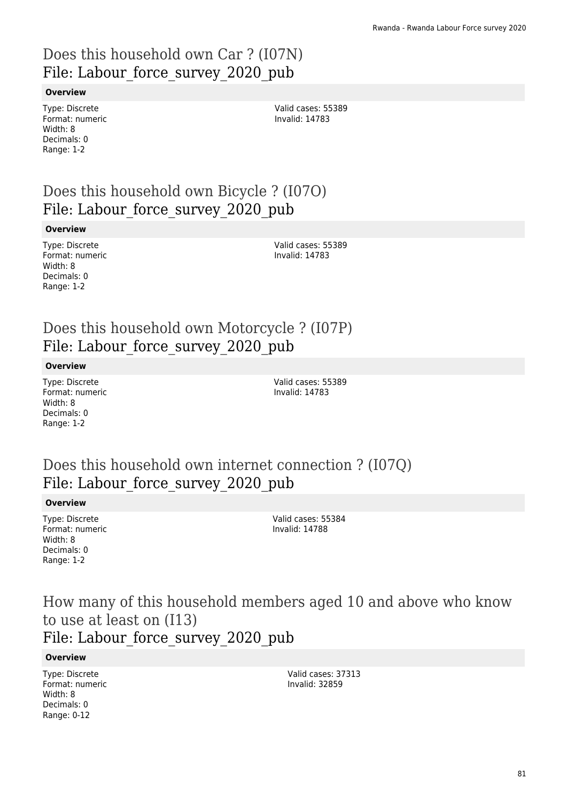# Does this household own Car ? (I07N) File: Labour force survey 2020 pub

### **Overview**

Type: Discrete Format: numeric Width: 8 Decimals: 0 Range: 1-2

Valid cases: 55389 Invalid: 14783

# Does this household own Bicycle ? (I07O) File: Labour force survey 2020 pub

#### **Overview**

Type: Discrete Format: numeric Width: 8 Decimals: 0 Range: 1-2

Valid cases: 55389 Invalid: 14783

# Does this household own Motorcycle ? (I07P) File: Labour force survey 2020 pub

#### **Overview**

Type: Discrete Format: numeric Width: 8 Decimals: 0 Range: 1-2

Valid cases: 55389 Invalid: 14783

### Does this household own internet connection ? (I07Q) File: Labour force survey 2020 pub

### **Overview**

Type: Discrete Format: numeric Width: 8 Decimals: 0 Range: 1-2

Valid cases: 55384 Invalid: 14788

How many of this household members aged 10 and above who know to use at least on (I13) File: Labour force survey 2020 pub

#### **Overview**

Type: Discrete Format: numeric Width: 8 Decimals: 0 Range: 0-12

Valid cases: 37313 Invalid: 32859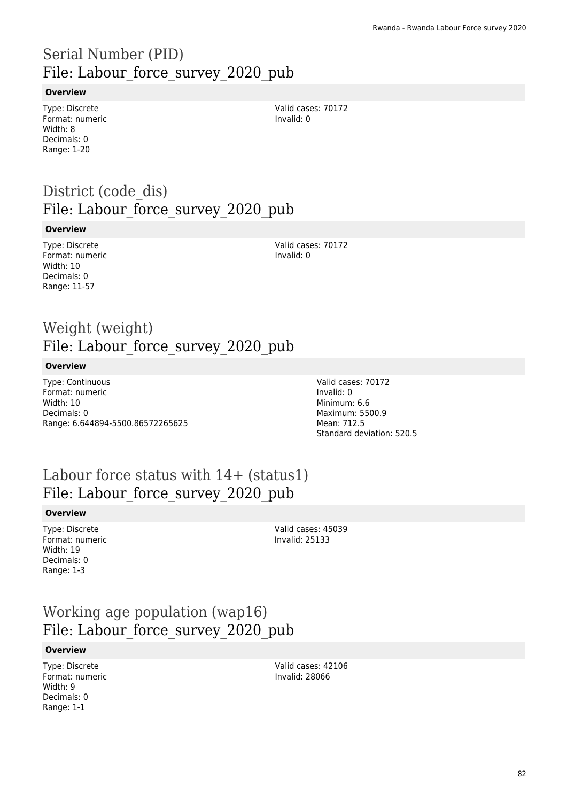# Serial Number (PID) File: Labour force survey 2020 pub

### **Overview**

Type: Discrete Format: numeric Width: 8 Decimals: 0 Range: 1-20

Valid cases: 70172 Invalid: 0

# District (code dis) File: Labour force survey 2020 pub

#### **Overview**

Type: Discrete Format: numeric Width: 10 Decimals: 0 Range: 11-57

Valid cases: 70172 Invalid: 0

### Weight (weight) File: Labour force survey 2020 pub

#### **Overview**

Type: Continuous Format: numeric Width: 10 Decimals: 0 Range: 6.644894-5500.86572265625 Valid cases: 70172 Invalid: 0 Minimum: 6.6 Maximum: 5500.9 Mean: 712.5 Standard deviation: 520.5

### Labour force status with  $14+$  (status1) File: Labour force survey 2020 pub

#### **Overview**

Type: Discrete Format: numeric Width: 19 Decimals: 0 Range: 1-3

Valid cases: 45039 Invalid: 25133

# Working age population (wap16) File: Labour force survey 2020 pub

#### **Overview**

Type: Discrete Format: numeric Width: 9 Decimals: 0 Range: 1-1

Valid cases: 42106 Invalid: 28066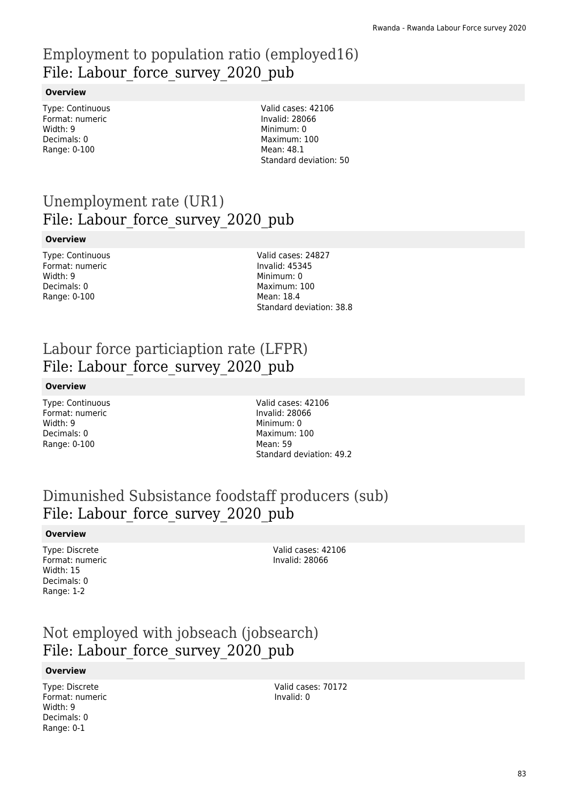# Employment to population ratio (employed16) File: Labour force survey 2020 pub

### **Overview**

Type: Continuous Format: numeric Width: 9 Decimals: 0 Range: 0-100

Valid cases: 42106 Invalid: 28066 Minimum: 0 Maximum: 100 Mean: 48.1 Standard deviation: 50

# Unemployment rate (UR1) File: Labour force survey 2020 pub

### **Overview**

| <b>Type: Continuous</b> |
|-------------------------|
| Format: numeric         |
| Width: 9                |
| Decimals: 0             |
| Range: 0-100            |

Valid cases: 24827 Invalid: 45345 Minimum: 0 Maximum: 100 Mean: 18.4 Standard deviation: 38.8

# Labour force particiaption rate (LFPR) File: Labour force survey 2020 pub

### **Overview**

Type: Continuous Format: numeric Width: 9 Decimals: 0 Range: 0-100

Valid cases: 42106 Invalid: 28066 Minimum: 0 Maximum: 100 Mean: 59 Standard deviation: 49.2

# Dimunished Subsistance foodstaff producers (sub) File: Labour force survey 2020 pub

### **Overview**

Type: Discrete Format: numeric Width: 15 Decimals: 0 Range: 1-2

Valid cases: 42106 Invalid: 28066

### Not employed with jobseach (jobsearch) File: Labour force survey 2020 pub

### **Overview**

Type: Discrete Format: numeric Width: 9 Decimals: 0 Range: 0-1

Valid cases: 70172 Invalid: 0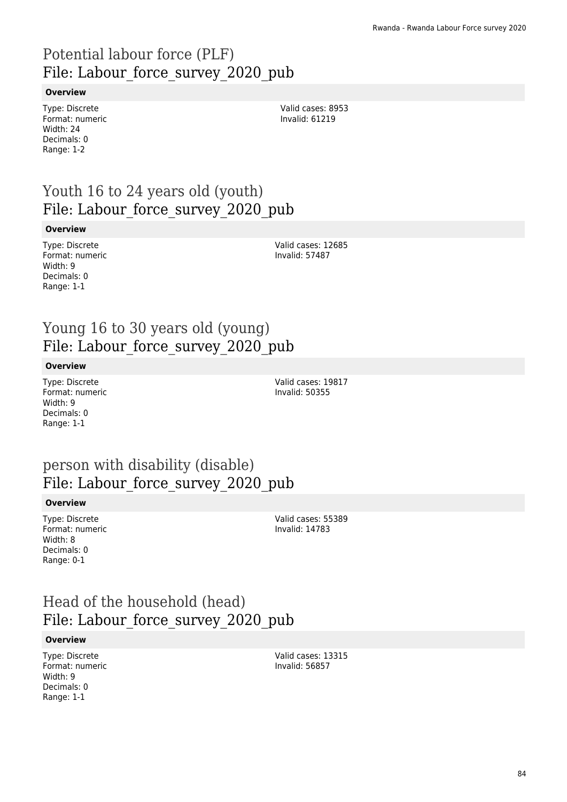# Potential labour force (PLF) File: Labour\_force\_survey\_2020\_pub

### **Overview**

Type: Discrete Format: numeric Width: 24 Decimals: 0 Range: 1-2

Valid cases: 8953 Invalid: 61219

# Youth 16 to 24 years old (youth) File: Labour force survey 2020 pub

#### **Overview**

Type: Discrete Format: numeric Width: 9 Decimals: 0 Range: 1-1

Valid cases: 12685 Invalid: 57487

### Young 16 to 30 years old (young) File: Labour force survey 2020 pub

### **Overview**

Type: Discrete Format: numeric Width: 9 Decimals: 0 Range: 1-1

Valid cases: 19817 Invalid: 50355

### person with disability (disable) File: Labour force survey 2020 pub

#### **Overview**

Type: Discrete Format: numeric Width: 8 Decimals: 0 Range: 0-1

Valid cases: 55389 Invalid: 14783

# Head of the household (head) File: Labour force survey 2020 pub

#### **Overview**

Type: Discrete Format: numeric Width: 9 Decimals: 0 Range: 1-1

Valid cases: 13315 Invalid: 56857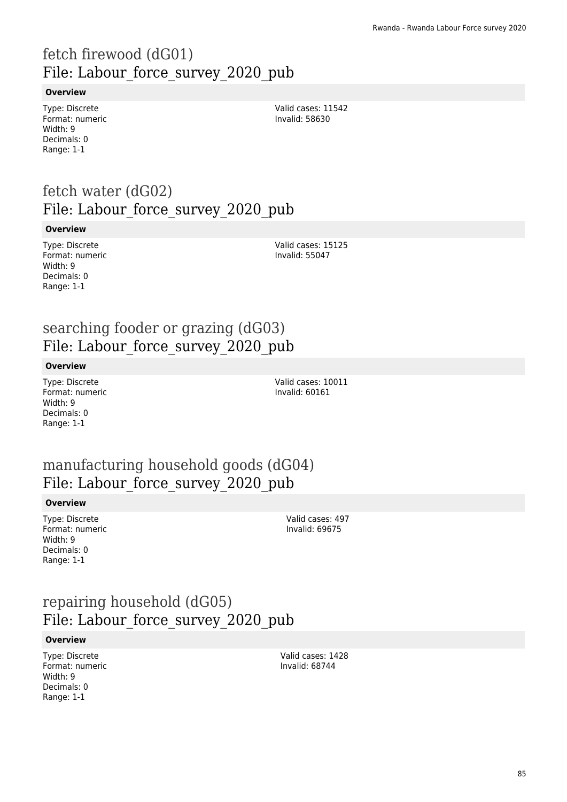# fetch firewood (dG01) File: Labour force survey 2020 pub

### **Overview**

Type: Discrete Format: numeric Width: 9 Decimals: 0 Range: 1-1

Valid cases: 11542 Invalid: 58630

# fetch water (dG02) File: Labour force survey 2020 pub

#### **Overview**

Type: Discrete Format: numeric Width: 9 Decimals: 0 Range: 1-1

Valid cases: 15125 Invalid: 55047

### searching fooder or grazing (dG03) File: Labour force survey 2020 pub

#### **Overview**

Type: Discrete Format: numeric Width: 9 Decimals: 0 Range: 1-1

Valid cases: 10011 Invalid: 60161

### manufacturing household goods (dG04) File: Labour force survey 2020 pub

#### **Overview**

Type: Discrete Format: numeric Width: 9 Decimals: 0 Range: 1-1

Valid cases: 497 Invalid: 69675

### repairing household (dG05) File: Labour force survey 2020 pub

#### **Overview**

Type: Discrete Format: numeric Width: 9 Decimals: 0 Range: 1-1

Valid cases: 1428 Invalid: 68744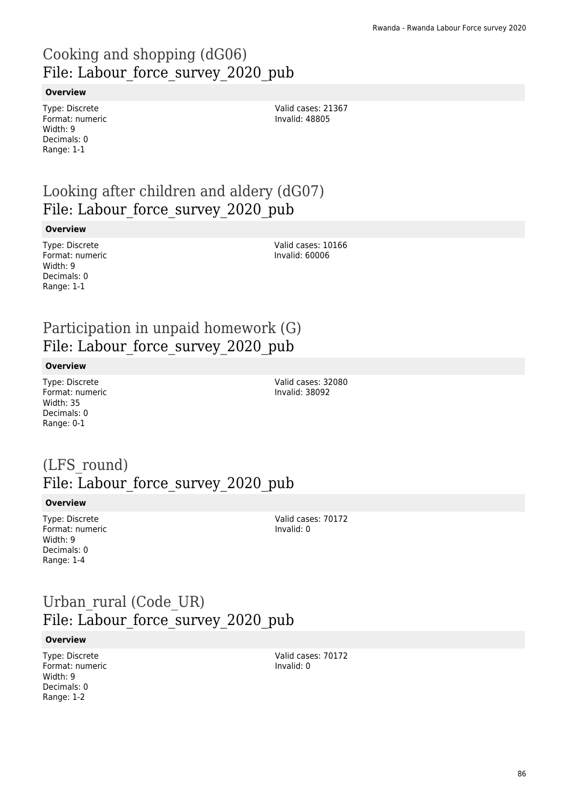# Cooking and shopping (dG06) File: Labour force survey 2020 pub

### **Overview**

Type: Discrete Format: numeric Width: 9 Decimals: 0 Range: 1-1

Valid cases: 21367 Invalid: 48805

# Looking after children and aldery (dG07) File: Labour force survey 2020 pub

#### **Overview**

Type: Discrete Format: numeric Width: 9 Decimals: 0 Range: 1-1

Valid cases: 10166 Invalid: 60006

### Participation in unpaid homework (G) File: Labour force survey 2020 pub

#### **Overview**

Type: Discrete Format: numeric Width: 35 Decimals: 0 Range: 0-1

Valid cases: 32080 Invalid: 38092

# (LFS\_round) File: Labour force\_survey\_2020\_pub

#### **Overview**

Type: Discrete Format: numeric Width: 9 Decimals: 0 Range: 1-4

Valid cases: 70172 Invalid: 0

### Urban\_rural (Code\_UR) File: Labour force survey 2020 pub

#### **Overview**

Type: Discrete Format: numeric Width: 9 Decimals: 0 Range: 1-2

Valid cases: 70172 Invalid: 0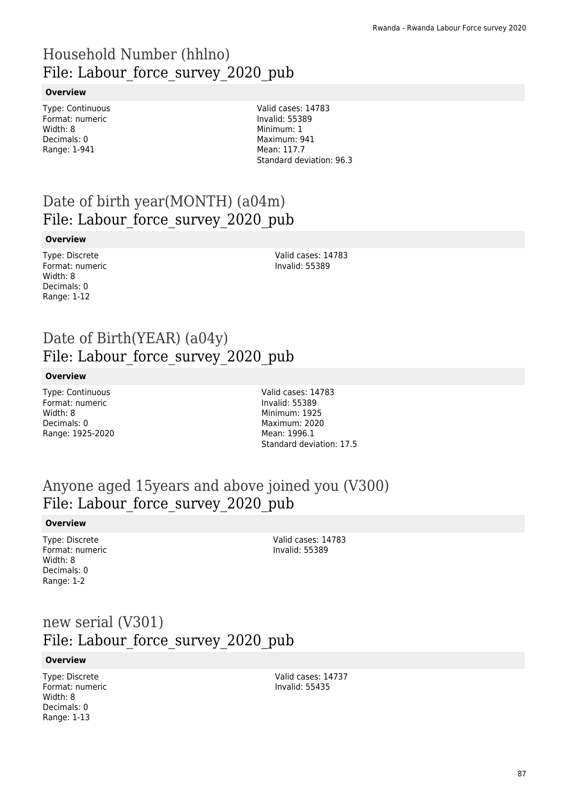# Household Number (hhlno) File: Labour force survey 2020 pub

### **Overview**

Type: Continuous Format: numeric Width: 8 Decimals: 0 Range: 1-941

Valid cases: 14783 Invalid: 55389 Minimum: 1 Maximum: 941 Mean: 117.7 Standard deviation: 96.3

# Date of birth year(MONTH) (a04m) File: Labour\_force\_survey\_2020\_pub

### **Overview**

Type: Discrete Format: numeric Width: 8 Decimals: 0 Range: 1-12

Valid cases: 14783 Invalid: 55389

### Date of Birth(YEAR) (a04y) File: Labour force survey 2020 pub

### **Overview**

Type: Continuous Format: numeric Width: 8 Decimals: 0 Range: 1925-2020 Valid cases: 14783 Invalid: 55389 Minimum: 1925 Maximum: 2020 Mean: 1996.1 Standard deviation: 17.5

### Anyone aged 15years and above joined you (V300) File: Labour force survey 2020 pub

#### **Overview**

Type: Discrete Format: numeric Width: 8 Decimals: 0 Range: 1-2

Valid cases: 14783 Invalid: 55389

### new serial (V301) File: Labour force survey 2020 pub

#### **Overview**

Type: Discrete Format: numeric Width: 8 Decimals: 0 Range: 1-13

Valid cases: 14737 Invalid: 55435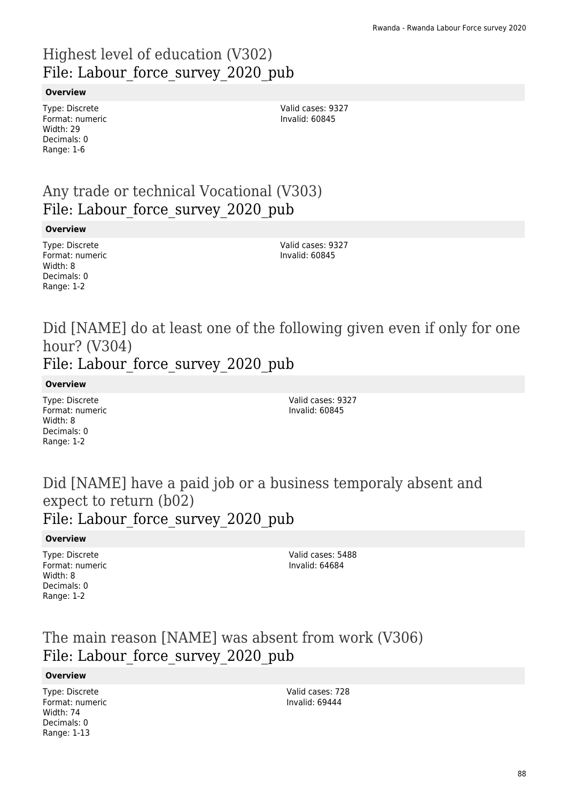# Highest level of education (V302) File: Labour force survey 2020 pub

### **Overview**

Type: Discrete Format: numeric Width: 29 Decimals: 0 Range: 1-6

Valid cases: 9327 Invalid: 60845

### Any trade or technical Vocational (V303) File: Labour force survey 2020 pub

#### **Overview**

Type: Discrete Format: numeric Width: 8 Decimals: 0 Range: 1-2

Valid cases: 9327 Invalid: 60845

Did [NAME] do at least one of the following given even if only for one hour? (V304) File: Labour force survey 2020 pub

#### **Overview**

Type: Discrete Format: numeric Width: 8 Decimals: 0 Range: 1-2

Valid cases: 9327 Invalid: 60845

### Did [NAME] have a paid job or a business temporaly absent and expect to return (b02) File: Labour force survey 2020 pub

#### **Overview**

Type: Discrete Format: numeric Width: 8 Decimals: 0 Range: 1-2

Valid cases: 5488 Invalid: 64684

### The main reason [NAME] was absent from work (V306) File: Labour force survey 2020 pub

#### **Overview**

Type: Discrete Format: numeric Width: 74 Decimals: 0 Range: 1-13

Valid cases: 728 Invalid: 69444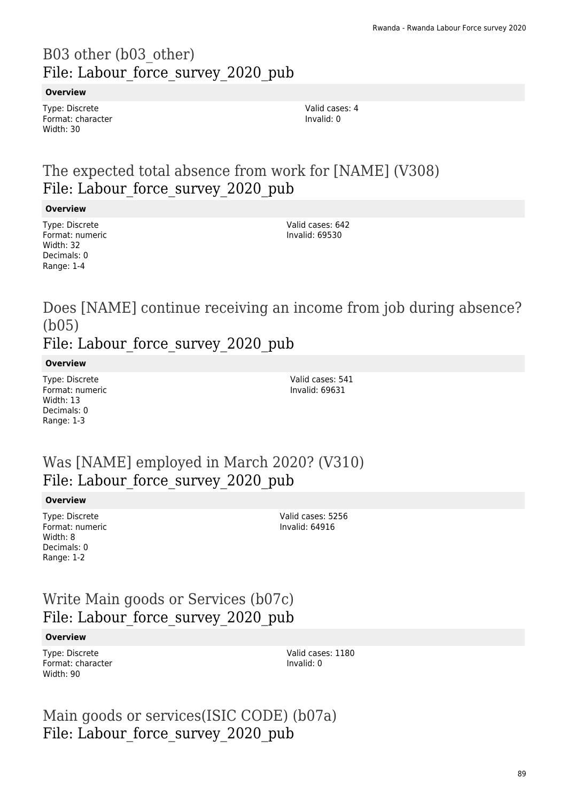# B03 other (b03\_other) File: Labour force survey 2020 pub

### **Overview**

Type: Discrete Format: character Width: 30

Valid cases: 4 Invalid: 0

# The expected total absence from work for [NAME] (V308) File: Labour force survey 2020 pub

### **Overview**

Type: Discrete Format: numeric Width: 32 Decimals: 0 Range: 1-4

Valid cases: 642 Invalid: 69530

Does [NAME] continue receiving an income from job during absence? (b05) File: Labour force survey 2020 pub

### **Overview**

Type: Discrete Format: numeric Width: 13 Decimals: 0 Range: 1-3

Valid cases: 541 Invalid: 69631

### Was [NAME] employed in March 2020? (V310) File: Labour force survey 2020 pub

#### **Overview**

Type: Discrete Format: numeric Width: 8 Decimals: 0 Range: 1-2

Valid cases: 5256 Invalid: 64916

### Write Main goods or Services (b07c) File: Labour force survey 2020 pub

#### **Overview**

Type: Discrete Format: character Width: 90

Valid cases: 1180 Invalid: 0

Main goods or services(ISIC CODE) (b07a) File: Labour force survey 2020 pub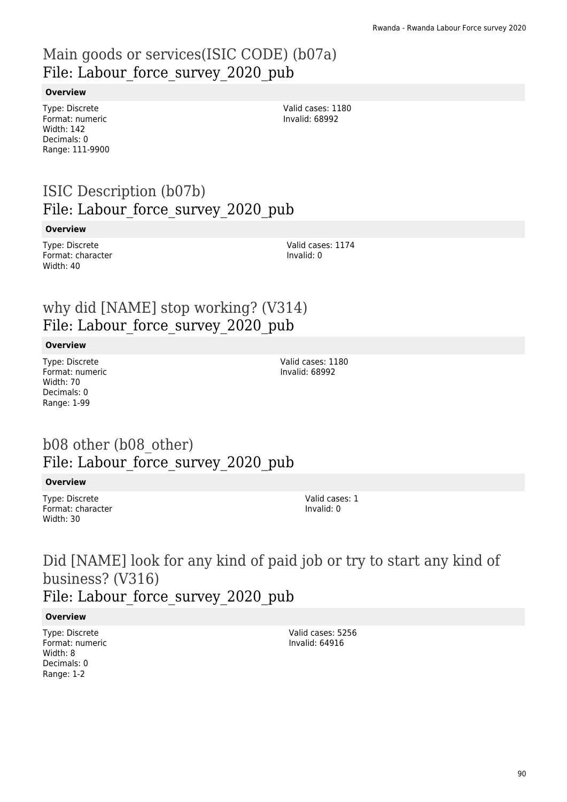# Main goods or services(ISIC CODE) (b07a) File: Labour force survey 2020 pub

### **Overview**

Type: Discrete Format: numeric Width: 142 Decimals: 0 Range: 111-9900

Valid cases: 1180 Invalid: 68992

# ISIC Description (b07b) File: Labour force survey 2020 pub

#### **Overview**

Type: Discrete Format: character Width: 40

Valid cases: 1174 Invalid: 0

### why did [NAME] stop working? (V314) File: Labour force survey 2020 pub

#### **Overview**

Type: Discrete Format: numeric Width: 70 Decimals: 0 Range: 1-99

Valid cases: 1180 Invalid: 68992

### b08 other (b08\_other) File: Labour force survey 2020 pub

#### **Overview**

Type: Discrete Format: character Width: 30

Valid cases: 1 Invalid: 0

# Did [NAME] look for any kind of paid job or try to start any kind of business? (V316) File: Labour force survey 2020 pub

#### **Overview**

Type: Discrete Format: numeric Width: 8 Decimals: 0 Range: 1-2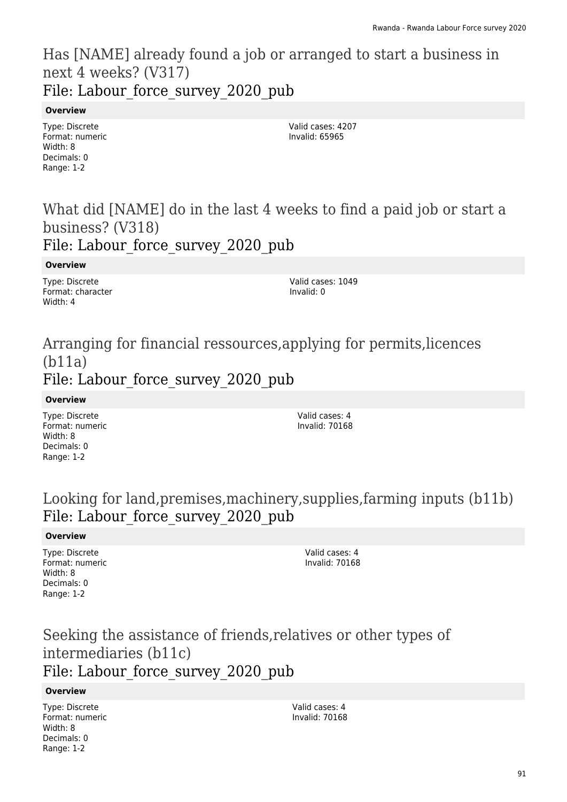### Has [NAME] already found a job or arranged to start a business in next 4 weeks? (V317) File: Labour force survey 2020 pub

### **Overview**

Type: Discrete Format: numeric Width: 8 Decimals: 0 Range: 1-2

Valid cases: 4207 Invalid: 65965

### What did [NAME] do in the last 4 weeks to find a paid job or start a business? (V318) File: Labour force survey 2020 pub

### **Overview**

Type: Discrete Format: character Width: 4

Valid cases: 1049 Invalid: 0

### Arranging for financial ressources,applying for permits,licences (b11a) File: Labour force survey 2020 pub

**Overview**

Type: Discrete Format: numeric Width: 8 Decimals: 0 Range: 1-2

Valid cases: 4 Invalid: 70168

# Looking for land,premises,machinery,supplies,farming inputs (b11b) File: Labour force survey 2020 pub

### **Overview**

Type: Discrete Format: numeric Width: 8 Decimals: 0 Range: 1-2

Valid cases: 4 Invalid: 70168

# Seeking the assistance of friends,relatives or other types of intermediaries (b11c) File: Labour force survey 2020 pub

### **Overview**

Type: Discrete Format: numeric Width: 8 Decimals: 0 Range: 1-2

Valid cases: 4 Invalid: 70168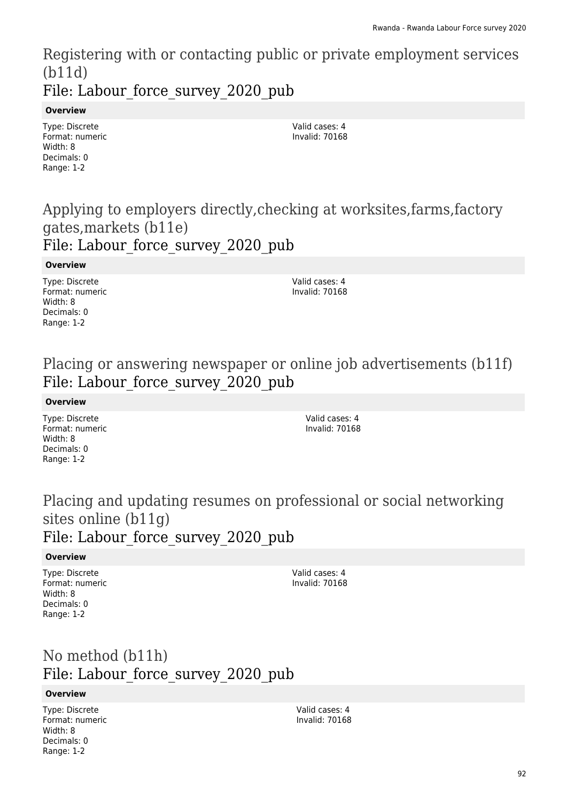Registering with or contacting public or private employment services (b11d) File: Labour force survey 2020 pub

### **Overview**

Type: Discrete Format: numeric Width: 8 Decimals: 0 Range: 1-2

Valid cases: 4 Invalid: 70168

### Applying to employers directly,checking at worksites,farms,factory gates,markets (b11e) File: Labour force\_survey\_2020\_pub

#### **Overview**

Type: Discrete Format: numeric Width: 8 Decimals: 0 Range: 1-2

Valid cases: 4 Invalid: 70168

# Placing or answering newspaper or online job advertisements (b11f) File: Labour force survey 2020 pub

### **Overview**

Type: Discrete Format: numeric Width: 8 Decimals: 0 Range: 1-2

Valid cases: 4 Invalid: 70168

### Placing and updating resumes on professional or social networking sites online (b11g) File: Labour force survey 2020 pub

### **Overview**

Type: Discrete Format: numeric Width: 8 Decimals: 0 Range: 1-2

Valid cases: 4 Invalid: 70168

# No method (b11h) File: Labour force\_survey\_2020\_pub

### **Overview**

Type: Discrete Format: numeric Width: 8 Decimals: 0 Range: 1-2

Valid cases: 4 Invalid: 70168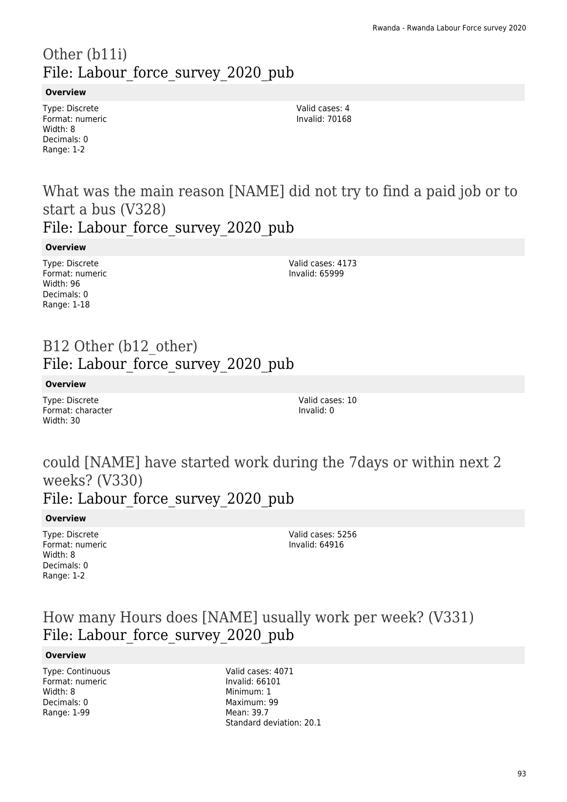# Other (b11i) File: Labour force survey 2020 pub

### **Overview**

Type: Discrete Format: numeric Width: 8 Decimals: 0 Range: 1-2

Valid cases: 4 Invalid: 70168

What was the main reason [NAME] did not try to find a paid job or to start a bus (V328)

File: Labour force survey 2020 pub

**Overview**

Type: Discrete Format: numeric Width: 96 Decimals: 0 Range: 1-18

Valid cases: 4173 Invalid: 65999

### B12 Other (b12\_other) File: Labour force survey 2020 pub

### **Overview**

Type: Discrete Format: character Width: 30

Valid cases: 10 Invalid: 0

# could [NAME] have started work during the 7days or within next 2 weeks? (V330)

# File: Labour force survey 2020 pub

### **Overview**

Type: Discrete Format: numeric Width: 8 Decimals: 0 Range: 1-2

Valid cases: 5256 Invalid: 64916

### How many Hours does [NAME] usually work per week? (V331) File: Labour force survey 2020 pub

### **Overview**

Type: Continuous Format: numeric Width: 8 Decimals: 0 Range: 1-99

Valid cases: 4071 Invalid: 66101 Minimum: 1 Maximum: 99 Mean: 39.7 Standard deviation: 20.1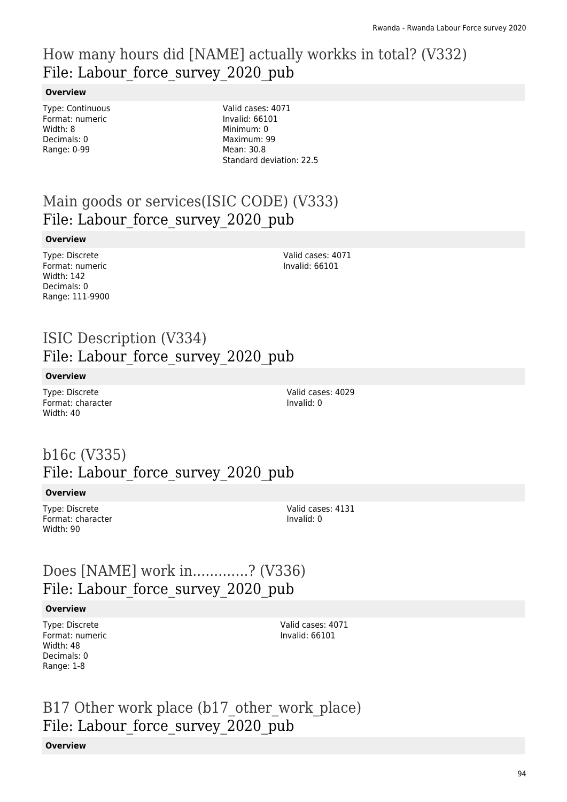# How many hours did [NAME] actually workks in total? (V332) File: Labour force survey 2020 pub

### **Overview**

Type: Continuous Format: numeric Width: 8 Decimals: 0 Range: 0-99

Valid cases: 4071 Invalid: 66101 Minimum: 0 Maximum: 99 Mean: 30.8 Standard deviation: 22.5

# Main goods or services(ISIC CODE) (V333) File: Labour force survey 2020 pub

### **Overview**

Type: Discrete Format: numeric Width: 142 Decimals: 0 Range: 111-9900

Valid cases: 4071 Invalid: 66101

### ISIC Description (V334) File: Labour force survey 2020 pub

### **Overview**

Type: Discrete Format: character Width: 40

Valid cases: 4029 Invalid: 0

# b16c (V335) File: Labour force survey 2020 pub

### **Overview**

Type: Discrete Format: character Width: 90

Valid cases: 4131 Invalid: 0

### Does [NAME] work in.............? (V336) File: Labour force survey 2020 pub

### **Overview**

Type: Discrete Format: numeric Width: 48 Decimals: 0 Range: 1-8

Valid cases: 4071 Invalid: 66101

B17 Other work place (b17 other work place) File: Labour force survey 2020 pub

### **Overview**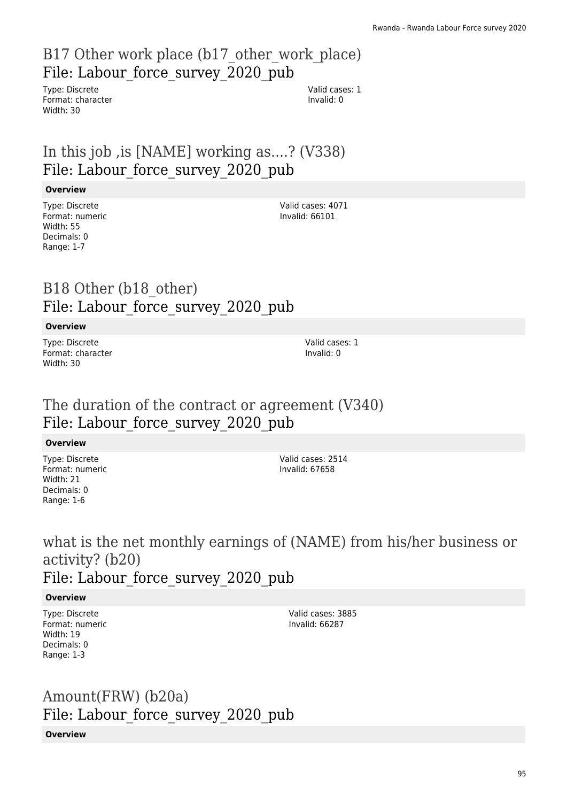# B17 Other work place (b17 other work place) File: Labour force survey 2020 pub

Type: Discrete Format: character Width: 30

Valid cases: 1 Invalid: 0

# In this job ,is [NAME] working as....? (V338) File: Labour force survey 2020 pub

### **Overview**

Type: Discrete Format: numeric Width: 55 Decimals: 0 Range: 1-7

Valid cases: 4071 Invalid: 66101

### B18 Other (b18\_other) File: Labour force survey 2020 pub

### **Overview**

Type: Discrete Format: character Width: 30

Valid cases: 1 Invalid: 0

# The duration of the contract or agreement (V340) File: Labour force survey 2020 pub

### **Overview**

Type: Discrete Format: numeric Width: 21 Decimals: 0 Range: 1-6

Valid cases: 2514 Invalid: 67658

what is the net monthly earnings of (NAME) from his/her business or activity? (b20) File: Labour force survey 2020 pub

### **Overview**

Type: Discrete Format: numeric Width: 19 Decimals: 0 Range: 1-3

Valid cases: 3885 Invalid: 66287

# Amount(FRW) (b20a) File: Labour\_force\_survey\_2020\_pub

### **Overview**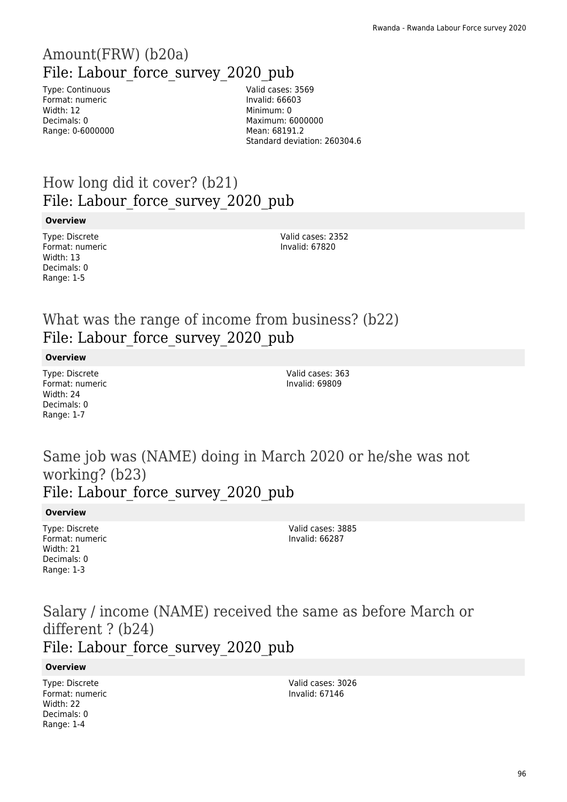# Amount(FRW) (b20a) File: Labour force survey 2020 pub

Type: Continuous Format: numeric Width: 12 Decimals: 0 Range: 0-6000000 Valid cases: 3569 Invalid: 66603 Minimum: 0 Maximum: 6000000 Mean: 68191.2 Standard deviation: 260304.6

# How long did it cover? (b21) File: Labour force survey 2020 pub

### **Overview**

Type: Discrete Format: numeric Width: 13 Decimals: 0 Range: 1-5

Valid cases: 2352 Invalid: 67820

# What was the range of income from business? (b22) File: Labour force survey 2020 pub

### **Overview**

Type: Discrete Format: numeric Width: 24 Decimals: 0 Range: 1-7

Valid cases: 363 Invalid: 69809

### Same job was (NAME) doing in March 2020 or he/she was not working? (b23) File: Labour force survey 2020 pub

### **Overview**

Type: Discrete Format: numeric Width: 21 Decimals: 0 Range: 1-3

Valid cases: 3885 Invalid: 66287

### Salary / income (NAME) received the same as before March or different ? (b24) File: Labour force survey 2020 pub

### **Overview**

Type: Discrete Format: numeric Width: 22 Decimals: 0 Range: 1-4

Valid cases: 3026 Invalid: 67146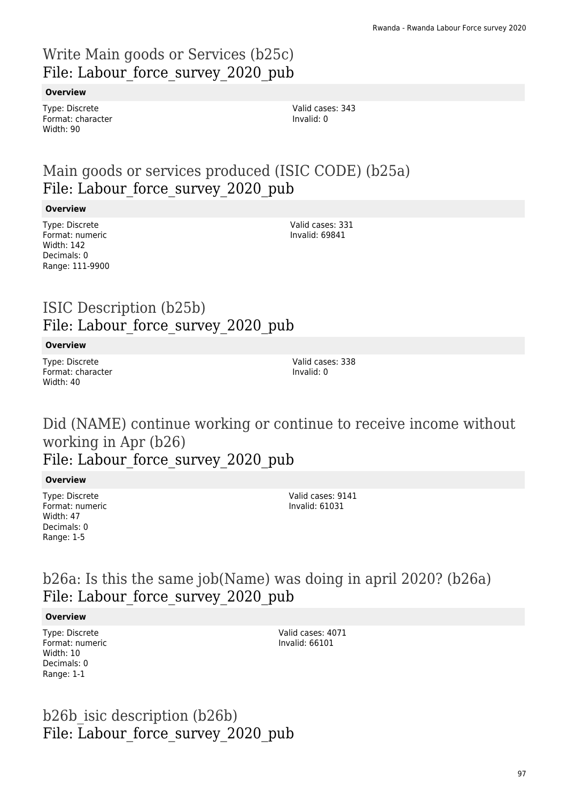# Write Main goods or Services (b25c) File: Labour force survey 2020 pub

### **Overview**

Type: Discrete Format: character Width: 90

# Main goods or services produced (ISIC CODE) (b25a) File: Labour force survey 2020 pub

### **Overview**

Type: Discrete Format: numeric Width: 142 Decimals: 0 Range: 111-9900 Valid cases: 331 Invalid: 69841

# ISIC Description (b25b) File: Labour force survey 2020 pub

### **Overview**

Type: Discrete Format: character Width: 40

Valid cases: 338 Invalid: 0

Did (NAME) continue working or continue to receive income without working in Apr (b26)

File: Labour force survey 2020 pub

### **Overview**

Type: Discrete Format: numeric Width: 47 Decimals: 0 Range: 1-5

Valid cases: 9141 Invalid: 61031

### b26a: Is this the same job(Name) was doing in april 2020? (b26a) File: Labour force survey 2020 pub

### **Overview**

Type: Discrete Format: numeric Width: 10 Decimals: 0 Range: 1-1

Valid cases: 4071 Invalid: 66101

b26b\_isic description (b26b) File: Labour force survey 2020 pub

Valid cases: 343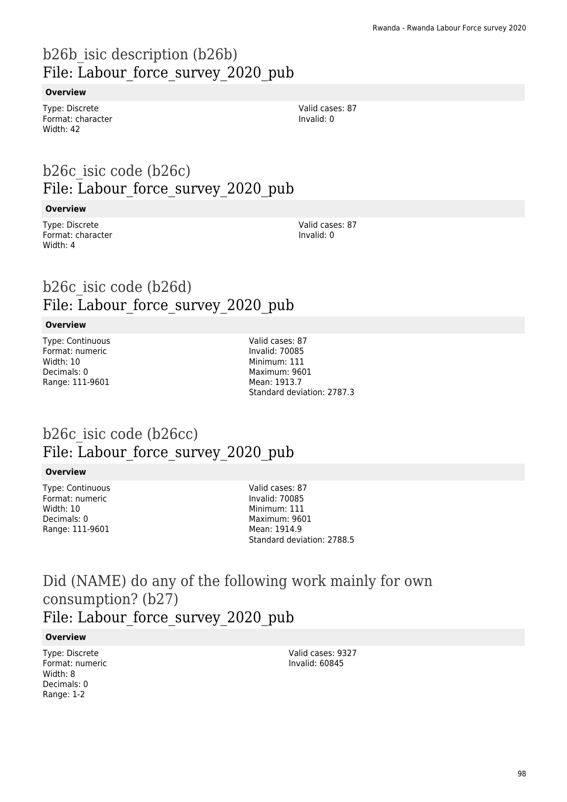# b26b\_isic description (b26b) File: Labour force survey 2020 pub

### **Overview**

Type: Discrete Format: character Width: 42

# b26c\_isic code (b26c) File: Labour force survey 2020 pub

#### **Overview**

Type: Discrete Format: character Width: 4

Valid cases: 87 Invalid: 0

Valid cases: 87 Invalid: 0

# b26c\_isic code (b26d) File: Labour force survey 2020 pub

### **Overview**

Type: Continuous Format: numeric Width: 10 Decimals: 0 Range: 111-9601

Valid cases: 87 Invalid: 70085 Minimum: 111 Maximum: 9601 Mean: 1913.7 Standard deviation: 2787.3

# b26c\_isic code (b26cc) File: Labour force survey 2020 pub

### **Overview**

Type: Continuous Format: numeric Width: 10 Decimals: 0 Range: 111-9601

Valid cases: 87 Invalid: 70085 Minimum: 111 Maximum: 9601 Mean: 1914.9 Standard deviation: 2788.5

### Did (NAME) do any of the following work mainly for own consumption? (b27) File: Labour\_force\_survey\_2020\_pub

### **Overview**

Type: Discrete Format: numeric Width: 8 Decimals: 0 Range: 1-2

Valid cases: 9327 Invalid: 60845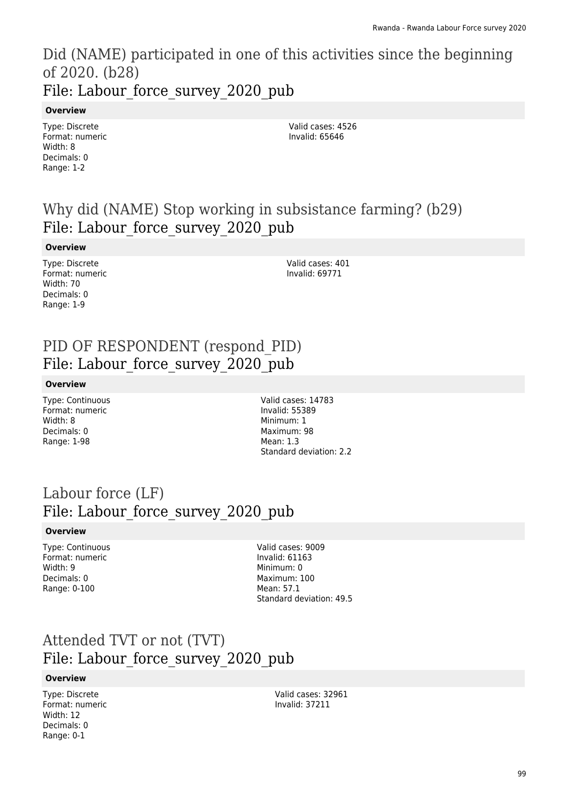Did (NAME) participated in one of this activities since the beginning of 2020. (b28) File: Labour force survey 2020 pub

#### **Overview**

Type: Discrete Format: numeric Width: 8 Decimals: 0 Range: 1-2

Valid cases: 4526 Invalid: 65646

# Why did (NAME) Stop working in subsistance farming? (b29) File: Labour force survey 2020 pub

#### **Overview**

Type: Discrete Format: numeric Width: 70 Decimals: 0 Range: 1-9

Valid cases: 401 Invalid: 69771

# PID OF RESPONDENT (respond\_PID) File: Labour force survey 2020 pub

#### **Overview**

Type: Continuous Format: numeric Width: 8 Decimals: 0 Range: 1-98

Valid cases: 14783 Invalid: 55389 Minimum: 1 Maximum: 98 Mean: 1.3 Standard deviation: 2.2

# Labour force (LF) File: Labour force survey 2020 pub

#### **Overview**

Type: Continuous Format: numeric Width: 9 Decimals: 0 Range: 0-100

Valid cases: 9009 Invalid: 61163 Minimum: 0 Maximum: 100 Mean: 57.1 Standard deviation: 49.5

### Attended TVT or not (TVT) File: Labour force survey 2020 pub

#### **Overview**

Type: Discrete Format: numeric Width: 12 Decimals: 0 Range: 0-1

Valid cases: 32961 Invalid: 37211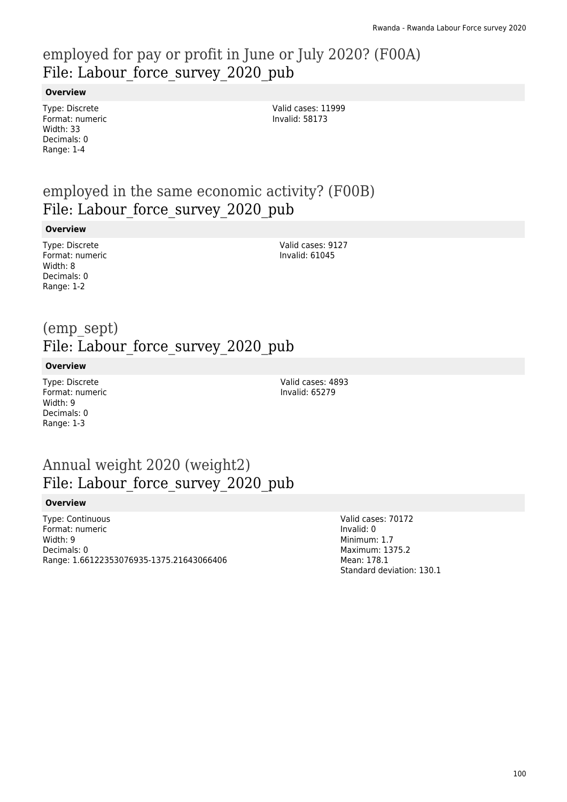# employed for pay or profit in June or July 2020? (F00A) File: Labour force survey 2020 pub

### **Overview**

Type: Discrete Format: numeric Width: 33 Decimals: 0 Range: 1-4

Valid cases: 11999 Invalid: 58173

### employed in the same economic activity? (F00B) File: Labour force survey 2020 pub

#### **Overview**

Type: Discrete Format: numeric Width: 8 Decimals: 0 Range: 1-2

Valid cases: 9127 Invalid: 61045

### (emp\_sept) File: Labour force survey 2020 pub

### **Overview**

Type: Discrete Format: numeric Width: 9 Decimals: 0 Range: 1-3

Valid cases: 4893 Invalid: 65279

# Annual weight 2020 (weight2) File: Labour force survey 2020 pub

### **Overview**

Type: Continuous Format: numeric Width: 9 Decimals: 0 Range: 1.66122353076935-1375.21643066406 Valid cases: 70172 Invalid: 0 Minimum: 1.7 Maximum: 1375.2 Mean: 178.1 Standard deviation: 130.1